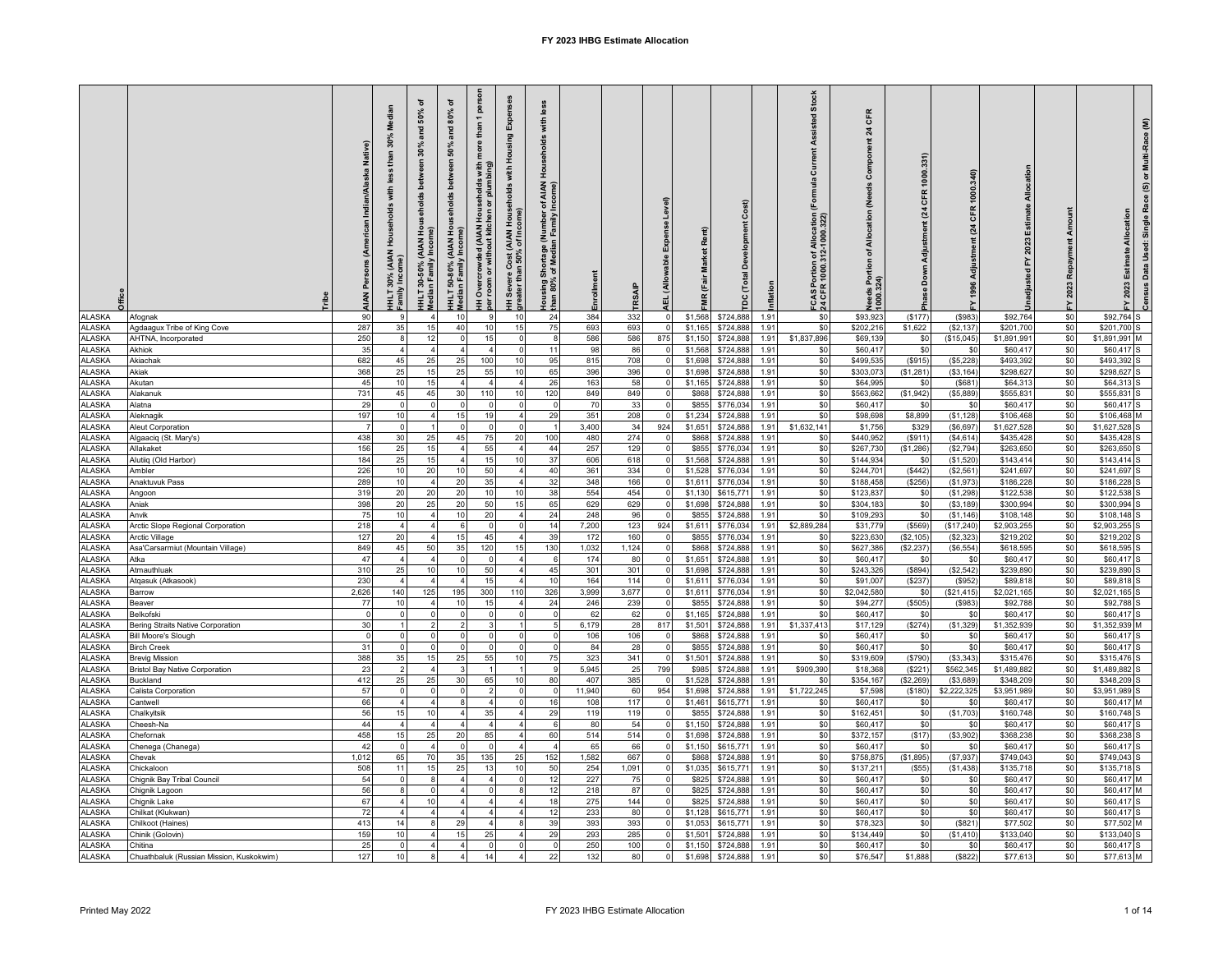| <b>ALASKA</b>                  | ribe<br>Afoanak                           | Native)<br>Indian/Alaska<br>(American<br><b>AIAN Persons</b><br>90 | 30%<br>than<br>less<br>with<br>$rac{1}{2}$<br><b>IAIAN</b><br>HLT 30%<br>amily Inc | ৢ<br>50%<br>and<br>30%<br>ಕಿ<br>seholds<br>오<br>ً مِ<br><b>Inco</b><br>Median Family<br>IHLT 30-50%<br>$\overline{4}$ | ৳<br>80%<br>and<br>S.<br>å<br>훞<br>ହି<br>AIAN)<br>Incom<br>HHLT 50-80% (<br>Median Family<br>10 | persor<br>ē<br>৯<br><b>AIAN</b><br>호<br>without<br>rowded<br>৯<br>Overcr<br>room<br>¥<br>$\mathbf{g}$ | 贝<br>Housing<br>with<br>Severe Cost (AIAN Households<br>ater than 50% of Income)<br>10 | with<br><b>AIAN</b><br>호텔<br>of Median Family<br>あ<br>$\frac{3}{2}$ eus<br>than<br>24 | Enrollmen<br>384 | 332         | Level-               | Rent)<br>Market<br>(Fair<br>¥<br>\$1,568 | Cost<br>Development<br>DC (Tota<br>\$724,888 | Inflation<br>1.91 | sisted Stock<br>æ<br>Current<br>Formula<br>: Allocation (<br>2-1000.322)<br><u>하 경</u><br>Portion<br>CASP<br>\$0 | CFR<br>$\overline{24}$<br>Component<br>(Needs<br>of Allocation<br>Needs Portion<br>1000.324)<br>\$93,923 | 1000.<br>$\overline{24}$<br>(\$177) | 340)<br>1000<br>CFR<br>$\mathbf{z}$<br>1996<br>(S983) | Allocation<br>Estimate<br>2023<br>놊<br>ladjusted<br>\$92,764 | Re<br>2023<br>\$0 | Allocation<br>Estimate<br>2023<br>\$92,764 S | ŝ<br>Multi-Ra<br>ā<br>$\tilde{g}$<br>Single Race<br>Data Used:<br>Census |
|--------------------------------|-------------------------------------------|--------------------------------------------------------------------|------------------------------------------------------------------------------------|-----------------------------------------------------------------------------------------------------------------------|-------------------------------------------------------------------------------------------------|-------------------------------------------------------------------------------------------------------|----------------------------------------------------------------------------------------|---------------------------------------------------------------------------------------|------------------|-------------|----------------------|------------------------------------------|----------------------------------------------|-------------------|------------------------------------------------------------------------------------------------------------------|----------------------------------------------------------------------------------------------------------|-------------------------------------|-------------------------------------------------------|--------------------------------------------------------------|-------------------|----------------------------------------------|--------------------------------------------------------------------------|
| <b>ALASKA</b>                  | Agdaagux Tribe of King Cove               | 287                                                                | 35                                                                                 | 15                                                                                                                    | 40                                                                                              | 10                                                                                                    | 15                                                                                     | 75                                                                                    | 693              | 693         | $\Omega$             | \$1.165                                  | \$724,888                                    | 1.91              | \$0                                                                                                              | \$202,216                                                                                                | \$1,622                             | (S2, 137)                                             | \$201,700                                                    | \$0               | \$201,700                                    |                                                                          |
| <b>ALASKA</b>                  | AHTNA, Incorporated                       | 250                                                                | 8                                                                                  | 12                                                                                                                    | $\Omega$                                                                                        | 15                                                                                                    | $\Omega$                                                                               | 8                                                                                     | 586              | 586         | 875                  | \$1,150                                  | \$724,888                                    | 1.91              | \$1,837,896                                                                                                      | \$69,139                                                                                                 | \$0                                 | (\$15,045)                                            | \$1,891,991                                                  | \$0               | \$1,891,991 M                                |                                                                          |
| <b>ALASKA</b>                  | Akhiok                                    | 35                                                                 | $\overline{4}$                                                                     | $\overline{4}$                                                                                                        | $\boldsymbol{\Lambda}$                                                                          | $\overline{4}$                                                                                        | $\Omega$                                                                               | 11                                                                                    | 98               | 86          | $\Omega$             | \$1,568                                  | \$724,888                                    | 1.91              | \$0                                                                                                              | \$60,417                                                                                                 | \$0                                 | \$0                                                   | \$60,417                                                     | \$0               | \$60,417                                     |                                                                          |
| <b>ALASKA</b>                  | Akiachak                                  | 682                                                                | 45                                                                                 | 25                                                                                                                    | 25                                                                                              | 100                                                                                                   | 10                                                                                     | 95                                                                                    | 815              | 708         | $\Omega$             | \$1,698                                  | \$724,888                                    | 1.91              | \$0                                                                                                              | \$499,535                                                                                                | (\$915)                             | (\$5,228)                                             | \$493,392                                                    | \$0               | \$493,392                                    |                                                                          |
| <b>ALASKA</b>                  | Akiak                                     | 368                                                                | 25                                                                                 | 15                                                                                                                    | 25                                                                                              | 55                                                                                                    | 10                                                                                     | 65                                                                                    | 396              | 396         |                      | \$1,698                                  | \$724,888                                    | 1.91              | \$0                                                                                                              | \$303,073                                                                                                | (\$1,281                            | (\$3, 164)                                            | \$298,627                                                    | \$0               | \$298,62                                     |                                                                          |
| <b>ALASKA</b>                  | Akutar                                    | 45                                                                 | 10                                                                                 | 15                                                                                                                    |                                                                                                 |                                                                                                       |                                                                                        | 26                                                                                    | 163              | 58          |                      | \$1,165                                  | \$724,888                                    | 1.91              | \$0                                                                                                              | \$64,995                                                                                                 | \$0                                 | (\$681                                                | \$64,31                                                      | \$0               | \$64,31                                      |                                                                          |
| <b>ALASKA</b>                  | Alakanuk                                  | 731                                                                | 45                                                                                 | 45                                                                                                                    | 30                                                                                              | 110                                                                                                   | 10                                                                                     | 120                                                                                   | 849              | 849         | $\Omega$             | \$868                                    | \$724,888                                    | 1.91              | \$0                                                                                                              | \$563,662                                                                                                | (\$1,942)                           | (\$5,889)                                             | \$555,83                                                     | \$0               | \$555,83                                     |                                                                          |
| <b>ALASKA</b>                  | Alatna                                    | 29<br>197                                                          | $\Omega$<br>10                                                                     |                                                                                                                       |                                                                                                 |                                                                                                       |                                                                                        | 29                                                                                    | 70               | 33          | $\Omega$             | \$855                                    | \$776,034                                    | 1.91              | \$0                                                                                                              | \$60,417<br>\$98,698                                                                                     | \$0<br>\$8,899                      | \$0<br>(S1, 128)                                      | \$60,417                                                     | \$0<br>\$0        | \$60,417                                     |                                                                          |
| <b>ALASKA</b><br><b>ALASKA</b> | Aleknagik<br><b>Aleut Corporation</b>     |                                                                    | $\Omega$                                                                           | $\overline{4}$                                                                                                        | 15<br>$\Omega$                                                                                  | 19<br>$\Omega$                                                                                        |                                                                                        |                                                                                       | 351<br>3,400     | 208<br>34   | 924                  | \$1,234<br>\$1,651                       | \$724,888<br>\$724,888                       | 1.91<br>1.91      | \$0<br>\$1,632,141                                                                                               | \$1,756                                                                                                  | \$329                               | (\$6,697)                                             | \$106,468<br>\$1,627,528                                     | \$0               | \$106,468<br>\$1,627,528                     |                                                                          |
| <b>ALASKA</b>                  | Algaaciq (St. Mary's)                     | 438                                                                | 30                                                                                 | 25                                                                                                                    | 45                                                                                              | 75                                                                                                    | 20                                                                                     | 100                                                                                   | 480              | 274         | $\Omega$             | \$868                                    | \$724,888                                    | 1.91              | \$0                                                                                                              | \$440,952                                                                                                | (\$911)                             | (\$4,614)                                             | \$435,428                                                    | \$0               | \$435,428                                    |                                                                          |
| <b>ALASKA</b>                  | Allakaket                                 | 156                                                                | 25                                                                                 | 15                                                                                                                    |                                                                                                 | 55                                                                                                    | $\overline{4}$                                                                         | 44                                                                                    | 257              | 129         | $\Omega$             | \$855                                    | \$776,034                                    | 1.91              | \$0                                                                                                              | \$267,730                                                                                                | (\$1,286)                           | (\$2,794)                                             | \$263,650                                                    | \$0               | \$263,650                                    |                                                                          |
| <b>ALASKA</b>                  | Alutiiq (Old Harbor)                      | 184                                                                | 25                                                                                 | 15                                                                                                                    |                                                                                                 | 15                                                                                                    | 10                                                                                     | 37                                                                                    | 606              | 618         | $\Omega$             | \$1,568                                  | \$724,888                                    | 1.91              | \$0                                                                                                              | \$144,934                                                                                                | \$0                                 | (\$1,520                                              | \$143,414                                                    | \$0               | \$143,414                                    |                                                                          |
| <b>ALASKA</b>                  | Ambler                                    | 226                                                                | 10                                                                                 | 20                                                                                                                    | 10                                                                                              | 50                                                                                                    |                                                                                        | 40                                                                                    | 361              | 334         |                      | \$1,528                                  | \$776,034                                    | 1.91              | \$0                                                                                                              | \$244,701                                                                                                | ( \$442                             | (\$2,561                                              | \$241,697                                                    | \$0               | \$241,697                                    |                                                                          |
| <b>ALASKA</b>                  | Anaktuvuk Pass                            | 289                                                                | 10                                                                                 |                                                                                                                       | 20                                                                                              | 35                                                                                                    |                                                                                        | 32                                                                                    | 348              | 166         |                      | \$1,611                                  | \$776,034                                    | 1.91              | \$0                                                                                                              | \$188,458                                                                                                | (\$256)                             | (\$1,973]                                             | \$186,228                                                    | \$0               | \$186,228                                    |                                                                          |
| <b>ALASKA</b>                  | Angoon                                    | 319                                                                | 20                                                                                 | 20                                                                                                                    | 20                                                                                              | 10                                                                                                    | 10                                                                                     | 38                                                                                    | 554              | 454         | $\Omega$             | \$1,130                                  | \$615,771                                    | 1.91              | \$0                                                                                                              | \$123,837                                                                                                | \$0                                 | (\$1,298)                                             | \$122,538                                                    | \$0               | \$122,538                                    |                                                                          |
| <b>ALASKA</b>                  | Aniak                                     | 398                                                                | 20                                                                                 | 25                                                                                                                    | 20                                                                                              | 50                                                                                                    | 15                                                                                     | 65                                                                                    | 629              | 629         |                      | \$1,698                                  | \$724,888                                    | 1.91              | \$0                                                                                                              | \$304,183                                                                                                | \$0                                 | (\$3,189)                                             | \$300,994                                                    | \$0               | \$300,994                                    |                                                                          |
| <b>ALASKA</b>                  | Anvik                                     | 75                                                                 | 10                                                                                 | $\overline{4}$                                                                                                        | 10                                                                                              | 20                                                                                                    |                                                                                        | 24                                                                                    | 248              | 96          | $\mathbf 0$          | \$855                                    | \$724,888                                    | 1.91              | \$0                                                                                                              | \$109,293                                                                                                | \$0                                 | (\$1,146)                                             | \$108,148                                                    | \$0               | \$108,148                                    |                                                                          |
| <b>ALASKA</b>                  | Arctic Slope Regional Corporation         | 218                                                                | $\overline{4}$                                                                     | $\overline{4}$                                                                                                        | 6                                                                                               | $\Omega$                                                                                              |                                                                                        | 14                                                                                    | 7,200            | 123         | 924                  | \$1,611                                  | \$776,034                                    | 1.91              | \$2,889,284                                                                                                      | \$31,779                                                                                                 | (\$569)                             | (\$17,240)                                            | \$2,903,255                                                  | \$0               | \$2,903,255                                  |                                                                          |
| <b>ALASKA</b>                  | Arctic Village                            | 127                                                                | 20                                                                                 | $\mathbf{A}$                                                                                                          | 15                                                                                              | 45                                                                                                    |                                                                                        | 39                                                                                    | 172              | 160         | $\Omega$             | \$855                                    | \$776,034                                    | 1.91              | \$0                                                                                                              | \$223,630                                                                                                | (\$2,105)                           | (\$2,323)                                             | \$219,202                                                    | \$0               | \$219,202                                    |                                                                          |
| <b>ALASKA</b>                  | Asa'Carsarmiut (Mountain Village)<br>Atka | 849<br>47                                                          | 45<br>$\overline{4}$                                                               | 50                                                                                                                    | 35                                                                                              | 120                                                                                                   | 15                                                                                     | 130                                                                                   | 1,032<br>174     | 1,124<br>80 | $\Omega$<br>$\Omega$ | \$868<br>\$1,651                         | \$724,888                                    | 1.91              | \$0<br>\$0                                                                                                       | \$627,386                                                                                                | (\$2,237)                           | (\$6,554)<br>- \$0                                    | \$618,595                                                    | \$0               | \$618,595                                    |                                                                          |
| <b>ALASKA</b><br><b>ALASKA</b> | Atmauthluak                               | 310                                                                | 25                                                                                 | 10                                                                                                                    | 10                                                                                              | 50                                                                                                    |                                                                                        | 45                                                                                    | 301              | 301         |                      | \$1,698                                  | \$724,888<br>\$724,888                       | 1.91<br>1.91      | \$0                                                                                                              | \$60,417<br>\$243,326                                                                                    | \$0<br>(\$894)                      | (\$2,542)                                             | \$60,417<br>\$239,890                                        | \$0<br>\$0        | \$60,41<br>\$239,890                         |                                                                          |
| <b>ALASKA</b>                  | Atqasuk (Atkasook)                        | 230                                                                | $\Delta$                                                                           |                                                                                                                       |                                                                                                 | 15                                                                                                    |                                                                                        | 10                                                                                    | 164              | 114         |                      | \$1,611                                  | \$776,034                                    | 1.91              | \$0                                                                                                              | \$91,007                                                                                                 | (\$237)                             | (\$952]                                               | \$89,818                                                     | \$0               | \$89,81                                      |                                                                          |
| <b>ALASKA</b>                  | Barrow                                    | 2,626                                                              | 140                                                                                | 125                                                                                                                   | 195                                                                                             | 300                                                                                                   | 110                                                                                    | 326                                                                                   | 3,999            | 3,677       |                      | \$1,611                                  | \$776,034                                    | 1.91              | \$0                                                                                                              | \$2,042,580                                                                                              | \$0                                 | (\$21,415)                                            | \$2,021,165                                                  | \$0               | \$2,021,165                                  |                                                                          |
| <b>ALASKA</b>                  | Beaver                                    | 77                                                                 | 10                                                                                 |                                                                                                                       | 10                                                                                              | 15                                                                                                    |                                                                                        | 24                                                                                    | 246              | 239         |                      | \$855                                    | \$724,888                                    | 1.91              | \$0                                                                                                              | \$94,277                                                                                                 | (\$505)                             | (S983)                                                | \$92,788                                                     | \$0               | \$92,788                                     |                                                                          |
| <b>ALASKA</b>                  | Belkofski                                 |                                                                    |                                                                                    | $\Omega$                                                                                                              |                                                                                                 |                                                                                                       |                                                                                        |                                                                                       | 62               | 62          |                      | \$1.165                                  | \$724,888                                    | 1.91              | \$0                                                                                                              | \$60.417                                                                                                 | \$0                                 | \$0                                                   | \$60,417                                                     | \$0               | \$60,417                                     |                                                                          |
| <b>ALASKA</b>                  | Bering Straits Native Corporation         | 30                                                                 |                                                                                    |                                                                                                                       |                                                                                                 |                                                                                                       |                                                                                        | 5                                                                                     | 6,179            | 28          | 817                  | \$1,501                                  | \$724,888                                    | 1.91              | \$1,337,413                                                                                                      | \$17,129                                                                                                 | (\$274)                             | (\$1,329)                                             | \$1,352,939                                                  | \$0               | \$1,352,939                                  |                                                                          |
| <b>ALASKA</b>                  | Bill Moore's Slough                       | $\overline{0}$                                                     | $\Omega$                                                                           | $\Omega$                                                                                                              | $\Omega$                                                                                        | $\Omega$                                                                                              |                                                                                        | $\Omega$                                                                              | 106              | 106         | $\Omega$             | \$868                                    | \$724,888                                    | 1.91              | \$0                                                                                                              | \$60,417                                                                                                 | \$0                                 | \$0                                                   | \$60,417                                                     | \$0               | \$60,417                                     |                                                                          |
| <b>ALASKA</b>                  | <b>Birch Creek</b>                        | 31                                                                 | $\Omega$                                                                           | $\Omega$                                                                                                              | $\Omega$                                                                                        |                                                                                                       |                                                                                        |                                                                                       | 84               | 28          | $\Omega$             | \$855                                    | \$724,888                                    | 1.91              | \$0                                                                                                              | \$60,41                                                                                                  | \$0                                 | \$0                                                   | \$60,417                                                     | \$0               | \$60,41                                      |                                                                          |
| <b>ALASKA</b>                  | <b>Brevig Mission</b>                     | 388                                                                | 35                                                                                 | 15                                                                                                                    | 25                                                                                              | 55                                                                                                    | 10                                                                                     | 75                                                                                    | 323              | 341         |                      | \$1,501                                  | \$724,888                                    | 1.91              | \$0                                                                                                              | \$319,609                                                                                                | (\$790)                             | ( \$3,343)                                            | \$315,47                                                     | \$0               | \$315,476                                    |                                                                          |
| <b>ALASKA</b><br>LASKA         | <b>Bristol Bay Native Corporation</b>     | 23<br>412                                                          | 25                                                                                 | 25                                                                                                                    | 30                                                                                              | 65                                                                                                    | 10                                                                                     | 80                                                                                    | 5.945<br>407     | 25<br>385   | 799                  | \$985<br>\$1,528                         | \$724,888<br>\$724,888                       | 1.91<br>1.91      | \$909,390<br>\$0                                                                                                 | \$18,368<br>\$354,167                                                                                    | (\$221<br>(\$2,269)                 | \$562,345<br>(\$3,689)                                | \$1,489,88<br>\$348,20                                       | \$0<br>\$0        | \$1,489,882<br>\$348,209                     |                                                                          |
| <b>ALASKA</b>                  | Buckland<br>Calista Corporation           | 57                                                                 | $\Omega$                                                                           | $\Omega$                                                                                                              |                                                                                                 |                                                                                                       |                                                                                        | $\Omega$                                                                              | 11,940           | 60          | 954                  | \$1,698                                  | \$724,888                                    | 1.91              | \$1,722,245                                                                                                      | \$7,598                                                                                                  | (\$180)                             | \$2,222,325                                           | \$3,951,989                                                  | \$0               | \$3,951,989                                  |                                                                          |
| <b>ALASKA</b>                  | Cantwell                                  | 66                                                                 |                                                                                    |                                                                                                                       |                                                                                                 |                                                                                                       |                                                                                        | 16                                                                                    | 108              | 117         |                      | \$1,461                                  | \$615,771                                    | 1.91              | \$0                                                                                                              | \$60,41                                                                                                  | \$0                                 | \$0                                                   | \$60,417                                                     | \$0               | \$60,417                                     |                                                                          |
| <b>ALASKA</b>                  | Chalkyitsik                               | 56                                                                 | 15                                                                                 | 10                                                                                                                    |                                                                                                 | 35                                                                                                    |                                                                                        | 29                                                                                    | 119              | 119         | $\Omega$             | \$855                                    | \$724,888                                    | 1.91              | \$0                                                                                                              | \$162,451                                                                                                | \$0                                 | (\$1,703)                                             | \$160,748                                                    | \$0               | \$160,748                                    |                                                                          |
| <b>ALASKA</b>                  | Cheesh-Na                                 | 44                                                                 | $\overline{4}$                                                                     | $\overline{4}$                                                                                                        |                                                                                                 |                                                                                                       |                                                                                        | 6                                                                                     | 80               | 54          | $\Omega$             | \$1,150                                  | \$724,888                                    | 1.91              | \$0                                                                                                              | \$60,417                                                                                                 | \$0                                 | \$0                                                   | \$60,417                                                     | \$0               | \$60,417                                     |                                                                          |
| <b>ALASKA</b>                  | Chefornak                                 | 458                                                                | 15                                                                                 | 25                                                                                                                    | 20                                                                                              | 85                                                                                                    |                                                                                        | 60                                                                                    | 514              | 514         | $\Omega$             | \$1,698                                  | \$724,888                                    | 1.91              | \$0                                                                                                              | \$372,157                                                                                                | (\$17)                              | (\$3,902)                                             | \$368,238                                                    | \$0               | \$368,238                                    |                                                                          |
| <b>ALASKA</b>                  | Chenega (Chanega)                         | 42                                                                 | $\Omega$                                                                           | $\overline{4}$                                                                                                        |                                                                                                 |                                                                                                       |                                                                                        |                                                                                       | 65               | 66          | $\mathbf 0$          | \$1,150                                  | \$615,771                                    | 1.91              | \$0                                                                                                              | \$60,417                                                                                                 | \$0                                 | \$0                                                   | \$60,417                                                     | \$0               | \$60,41                                      |                                                                          |
| <b>ALASKA</b>                  | Chevak                                    | 1,012                                                              | 65                                                                                 | 70                                                                                                                    | 35                                                                                              | 135                                                                                                   | 25                                                                                     | 152                                                                                   | 1,582            | 667         |                      | \$868                                    | \$724,888                                    | 1.91              | \$0                                                                                                              | \$758,87                                                                                                 | (\$1,895)                           | (\$7,937)                                             | \$749,043                                                    | \$0               | \$749,04                                     |                                                                          |
| <b>ALASKA</b>                  | Chickaloor                                | 508                                                                | 11                                                                                 | 15                                                                                                                    | 25                                                                                              | 13                                                                                                    | 10                                                                                     | 50                                                                                    | 254              | 1,091       |                      | \$1,035                                  | \$615,771                                    | 1.91              | \$0                                                                                                              | \$137,21                                                                                                 | (\$55)                              | (\$1,438)                                             | \$135,718                                                    | \$0               | \$135,71                                     |                                                                          |
| <b>ALASKA</b>                  | Chignik Bay Tribal Council                | 54                                                                 | $\Omega$                                                                           |                                                                                                                       |                                                                                                 |                                                                                                       |                                                                                        | 12                                                                                    | 227              | 75          | $\Omega$             | \$825                                    | \$724,888                                    | 1.91              | \$0                                                                                                              | \$60,41                                                                                                  | \$0                                 | \$0                                                   | \$60,417                                                     | \$0               | \$60,41                                      |                                                                          |
| <b>ALASKA</b><br><b>ALASKA</b> | Chignik Lagoon                            | 56<br>67                                                           |                                                                                    | 10                                                                                                                    |                                                                                                 |                                                                                                       |                                                                                        | 12<br>18                                                                              | 218<br>275       | 87<br>144   | $\Omega$             | \$825<br>\$825                           | \$724,888<br>\$724,888                       | 1.91<br>1.91      | \$0<br>\$0                                                                                                       | \$60,41<br>\$60,417                                                                                      | \$0<br>\$0                          | \$0<br>\$0                                            | \$60,417<br>\$60,417                                         | \$0<br>\$0        | \$60,417<br>\$60,417                         |                                                                          |
| <b>ALASKA</b>                  | Chignik Lake<br>Chilkat (Klukwan)         | 72                                                                 |                                                                                    |                                                                                                                       |                                                                                                 |                                                                                                       |                                                                                        | 12                                                                                    | 233              | 80          | 0                    | \$1,128                                  | \$615,771                                    | 1.91              | \$0                                                                                                              | \$60,417                                                                                                 | \$0                                 | \$0                                                   | \$60,417                                                     | \$0               | \$60,417                                     |                                                                          |
| <b>ALASKA</b>                  | Chilkoot (Haines)                         | 413                                                                | 14                                                                                 |                                                                                                                       | 29                                                                                              |                                                                                                       |                                                                                        | 39                                                                                    | 393              | 393         |                      | \$1.053                                  | \$615,77'                                    | 1.91              | \$0                                                                                                              | \$78,32                                                                                                  | \$0                                 | $($ \$821)                                            | \$77,502                                                     | \$0               | \$77,502                                     |                                                                          |
| <b>ALASKA</b>                  | Chinik (Golovin)                          | 159                                                                | 10                                                                                 | $\overline{4}$                                                                                                        | 15                                                                                              | 25                                                                                                    |                                                                                        | 29                                                                                    | 293              | 285         | $\Omega$             | \$1,50'                                  | \$724,888                                    | 1.91              | \$0                                                                                                              | \$134,449                                                                                                | \$0                                 | (\$1,410)                                             | \$133,040                                                    | \$0               | \$133,040                                    |                                                                          |
| <b>ALASKA</b>                  | Chitina                                   | 25                                                                 | $\Omega$                                                                           |                                                                                                                       |                                                                                                 |                                                                                                       |                                                                                        | $^{\circ}$                                                                            | 250              | 100         | $\Omega$             | \$1,150                                  | \$724,888                                    | 1.91              | \$0                                                                                                              | \$60,41                                                                                                  | \$0                                 | \$0                                                   | \$60,417                                                     | \$0               | \$60,417                                     |                                                                          |
| <b>ALASKA</b>                  | Chuathbaluk (Russian Mission, Kuskokwim)  | 127                                                                | 10 <sup>1</sup>                                                                    |                                                                                                                       |                                                                                                 | 14                                                                                                    |                                                                                        | $\overline{22}$                                                                       | 132              | 80          |                      | \$1,698                                  | \$724,88                                     | 1.91              | \$0                                                                                                              | \$76,547                                                                                                 | \$1,888                             | (\$822)                                               | \$77,61                                                      | \$0               | \$77,61                                      |                                                                          |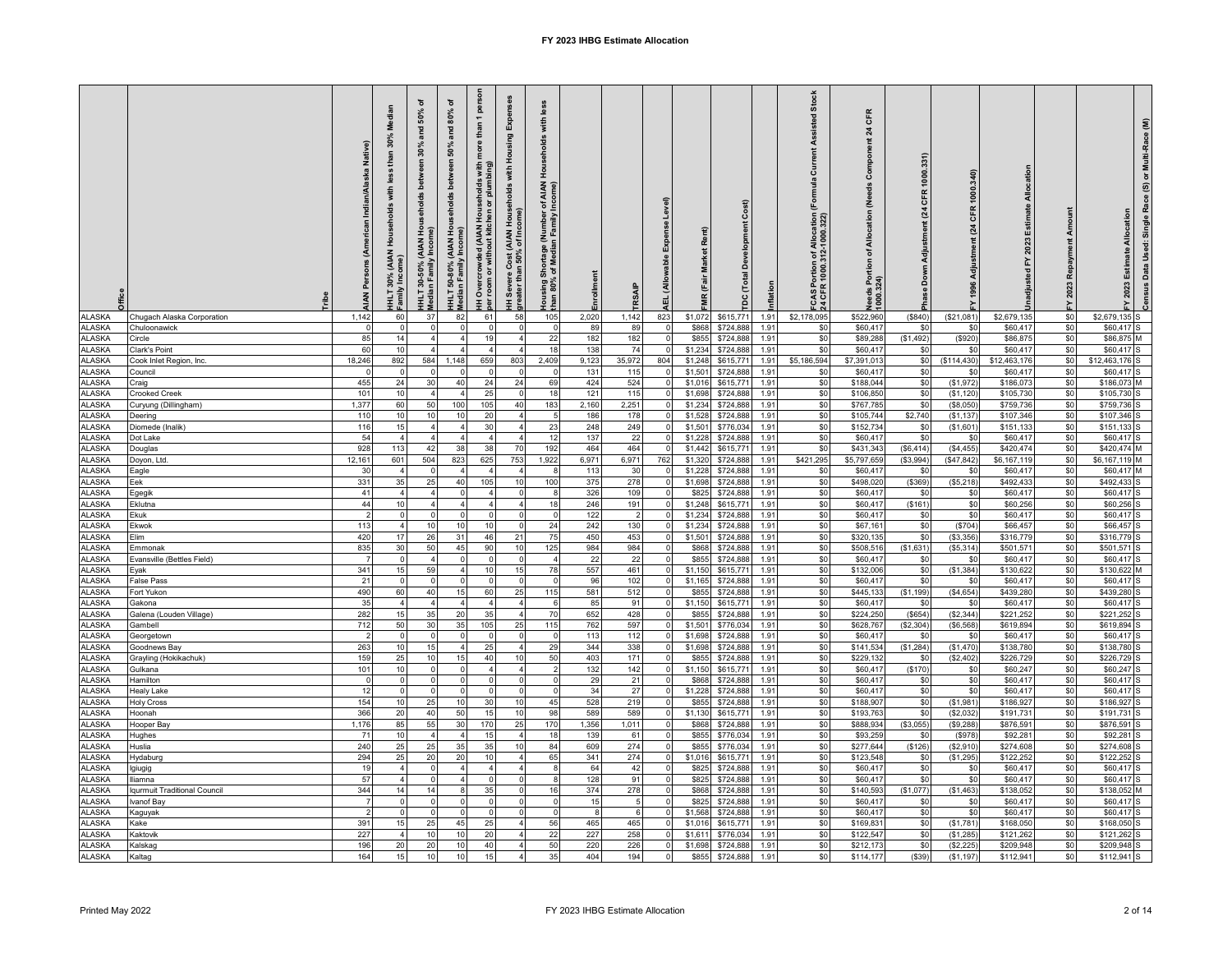| <b>ALASKA</b>                  | ribe<br>Chugach Alaska Corporation | Indian/Alaska Native)<br>AIAN Persons (American<br>1,142 | than $30\%$<br>less<br>with<br>(AIAN House<br><b>HLT30%</b><br>amily Inco<br>60 | ৳<br>50%<br>and<br>30%<br>betw<br>useholds<br>£<br>ଛ<br><b>AIAN</b><br>Incor<br>HHLT 30-50% ( <i>J</i><br>Median Family I<br>37 | ৳<br>80%<br>and<br>50%<br>εñ<br>betwe<br>Households<br>၉<br>AIAN  <br>/ Incom<br>HHLT 50-80% (<br>Median Family<br>82 | person<br>more<br>sith<br>With<br>plum<br>without kitchen or<br>(AIAN<br>IH Overcrowded<br>ŏ<br>room<br>61 | Ŵ,<br>Housing<br>with<br>Severe Cost (AIAN Households<br>ater than 50% of Income)<br>Ŧ<br>58 | less<br>with<br>Households<br>ढ<br>Family<br>of Median<br>of Median<br>あ<br>han 80%<br>105 | Enrollmen<br>2,020 | RSAIP<br>1,142 | evel)<br>(Allow<br>긊<br>823 | Rent)<br><b>Market</b><br>VIR (Fair<br>\$1,072 | Cost)<br>Development<br>DC (Total<br>\$615,771 | nflation<br>1.91 | <b>Current Assisted Stock</b><br>(Formula<br>: Allocation (<br>2-1000.322)<br>ځ م<br><b>CAS Portion (</b><br>4 CFR 1000.3<br>\$2,178,095 | CFR<br>$\overline{a}$<br>Component<br>(Needs<br>Allocation<br>৳<br>Needs Portion of<br>1000.324)<br>\$522,960 | 1000.331<br>CFR<br>(24)<br>(\$840) | 1000<br>CFR<br>$\mathbf{z}$<br>(\$21,081) | Estimate Allocation<br>2023<br>노<br>adjusted<br>\$2,679,135 | Repavn<br>2023<br>\$0 | Estimate Allocation<br>2023<br>\$2,679,135 S | í.<br>Multi-Race<br>ā<br>Census Data Used: Single Race (S) |
|--------------------------------|------------------------------------|----------------------------------------------------------|---------------------------------------------------------------------------------|---------------------------------------------------------------------------------------------------------------------------------|-----------------------------------------------------------------------------------------------------------------------|------------------------------------------------------------------------------------------------------------|----------------------------------------------------------------------------------------------|--------------------------------------------------------------------------------------------|--------------------|----------------|-----------------------------|------------------------------------------------|------------------------------------------------|------------------|------------------------------------------------------------------------------------------------------------------------------------------|---------------------------------------------------------------------------------------------------------------|------------------------------------|-------------------------------------------|-------------------------------------------------------------|-----------------------|----------------------------------------------|------------------------------------------------------------|
| <b>ALASKA</b>                  | Chuloonawick                       | $\Omega$                                                 | $\Omega$                                                                        | $^{\circ}$                                                                                                                      | $\Omega$                                                                                                              | $\Omega$                                                                                                   | $\Omega$                                                                                     | $\overline{\mathbf{0}}$                                                                    | 89                 | 89             | $\Omega$                    | \$868                                          | \$724,888                                      | 1.91             | \$0                                                                                                                                      | \$60,417                                                                                                      | \$0                                | \$0                                       | \$60,417                                                    | \$0                   | \$60,417                                     |                                                            |
| <b>ALASKA</b>                  | Circle                             | 85                                                       | 14                                                                              | $\overline{4}$                                                                                                                  |                                                                                                                       | 19                                                                                                         |                                                                                              | 22                                                                                         | 182                | 182            | $\Omega$                    | \$855                                          | \$724,888                                      | 1.91             | \$0                                                                                                                                      | \$89,288                                                                                                      | (\$1,492)                          | (\$920)                                   | \$86,875                                                    | \$0                   | \$86,875                                     |                                                            |
| <b>ALASKA</b>                  | Clark's Point                      | 60                                                       | 10                                                                              | $\overline{4}$                                                                                                                  | $\boldsymbol{\Lambda}$                                                                                                | $\overline{a}$                                                                                             | $\Lambda$                                                                                    | 18                                                                                         | 138                | 74             | $\Omega$                    | \$1,234                                        | \$724,888                                      | 1.91             | \$0                                                                                                                                      | \$60,417                                                                                                      | \$0                                | \$0                                       | \$60,417                                                    | \$0                   | \$60,417                                     |                                                            |
| <b>ALASKA</b>                  | Cook Inlet Region, Inc.            | 18,246                                                   | 892                                                                             | 584                                                                                                                             | 1,148                                                                                                                 | 659                                                                                                        | 803                                                                                          | 2,409                                                                                      | 9,123              | 35,972         | 804                         | \$1,248                                        | \$615,771                                      | 1.91             | \$5,186,594                                                                                                                              | \$7,391,013                                                                                                   | \$0                                | (\$114,430)                               | \$12,463,17                                                 | \$0                   | \$12,463,17                                  |                                                            |
| <b>ALASKA</b><br><b>ALASKA</b> | Council                            | 455                                                      | 24                                                                              | 30                                                                                                                              | 40                                                                                                                    | 24                                                                                                         | 24                                                                                           | 69                                                                                         | 131<br>424         | 115<br>524     |                             | \$1,501<br>\$1,016                             | \$724,888<br>\$615,771                         | 1.91<br>1.91     | \$0<br>\$0                                                                                                                               | \$60,417<br>\$188,044                                                                                         | \$0<br>\$0                         | \$0                                       | \$60,417<br>\$186,073                                       | \$0<br>\$0            | \$60,41<br>\$186,07                          |                                                            |
| <b>ALASKA</b>                  | Craig<br>Crooked Creek             | 101                                                      | 10                                                                              | $\overline{4}$                                                                                                                  |                                                                                                                       | 25                                                                                                         | $\Omega$                                                                                     | 18                                                                                         | 121                | 115            |                             | \$1,698                                        | \$724,888                                      | 1.91             | \$0                                                                                                                                      | \$106,850                                                                                                     | \$0                                | (\$1,972]<br>(\$1,120                     | \$105,730                                                   | \$0                   | \$105,73                                     |                                                            |
| <b>ALASKA</b>                  | Curyung (Dillingham)               | 1,377                                                    | 60                                                                              | 50                                                                                                                              | 100                                                                                                                   | 105                                                                                                        | 40                                                                                           | 183                                                                                        | 2,160              | 2,251          |                             | \$1,234                                        | \$724,888                                      | 1.91             | \$0                                                                                                                                      | \$767,785                                                                                                     | \$0                                | (\$8,050                                  | \$759,73                                                    | \$0                   | \$759,736                                    |                                                            |
| <b>ALASKA</b>                  | Deerina                            | 110                                                      | 10                                                                              | 10                                                                                                                              | 10                                                                                                                    | 20                                                                                                         |                                                                                              |                                                                                            | 186                | 178            | $\Omega$                    | \$1,528                                        | \$724,888                                      | 1.91             | \$0                                                                                                                                      | \$105,744                                                                                                     | \$2,740                            | (\$1,137                                  | \$107,346                                                   | \$0                   | \$107,346                                    |                                                            |
| <b>ALASKA</b>                  | Diomede (Inalik)                   | 116                                                      | 15                                                                              | $\overline{4}$                                                                                                                  | $\overline{4}$                                                                                                        | 30                                                                                                         |                                                                                              | 23                                                                                         | 248                | 249            |                             | \$1,501                                        | \$776,034                                      | 1.91             | \$0                                                                                                                                      | \$152,734                                                                                                     | \$0                                | (\$1,601]                                 | \$151,133                                                   | \$0                   | \$151,133                                    |                                                            |
| <b>ALASKA</b>                  | Dot Lake                           | 54                                                       | $\overline{4}$                                                                  | $\overline{4}$                                                                                                                  | $\overline{4}$                                                                                                        |                                                                                                            |                                                                                              | 12                                                                                         | 137                | 22             | $\sqrt{ }$                  | \$1,228                                        | \$724,888                                      | 1.91             | \$0                                                                                                                                      | \$60,417                                                                                                      | \$0                                | \$0                                       | \$60,417                                                    | \$0                   | \$60,417                                     |                                                            |
| <b>ALASKA</b>                  | Douglas                            | 928                                                      | 113                                                                             | 42                                                                                                                              | 38                                                                                                                    | 38                                                                                                         | 70                                                                                           | 192                                                                                        | 464                | 464            | $\Omega$                    | \$1,442                                        | \$615,771                                      | 1.91             | \$0                                                                                                                                      | \$431,343                                                                                                     | ( \$6,414)                         | (\$4,455)                                 | \$420,474                                                   | \$0                   | \$420,474                                    |                                                            |
| <b>ALASKA</b>                  | Doyon, Ltd                         | 12,161                                                   | 601                                                                             | 504                                                                                                                             | 823                                                                                                                   | 625                                                                                                        | 753                                                                                          | 1,922                                                                                      | 6,971              | 6,971          | 762                         | \$1,320                                        | \$724,888                                      | 1.91             | \$421,295                                                                                                                                | \$5,797,659                                                                                                   | (\$3,994)                          | (\$47,842)                                | \$6,167,11                                                  | \$0                   | \$6,167,11                                   |                                                            |
| <b>ALASKA</b><br><b>ALASKA</b> | Eagle<br>Eek                       | 30<br>331                                                | $\overline{4}$<br>35                                                            | 25                                                                                                                              | 40                                                                                                                    | 105                                                                                                        | 10                                                                                           | 100                                                                                        | 113<br>375         | 30<br>278      |                             | \$1,228<br>\$1,698                             | \$724,888<br>\$724,888                         | 1.91<br>1.91     | \$0<br>\$0                                                                                                                               | \$60,41<br>\$498,020                                                                                          | \$0<br>( \$369)                    | \$0<br>(\$5,218)                          | \$60,41<br>\$492,433                                        | \$0<br>\$0            | \$60,41<br>\$492,43                          |                                                            |
| <b>ALASKA</b>                  | Egegik                             | 41                                                       | $\overline{4}$                                                                  | $\overline{4}$                                                                                                                  |                                                                                                                       |                                                                                                            |                                                                                              | 8                                                                                          | 326                | 109            | $\Omega$                    | \$825                                          | \$724,888                                      | 1.91             | \$0                                                                                                                                      | \$60,417                                                                                                      | \$0                                | \$0                                       | \$60,417                                                    | \$0                   | \$60,417                                     |                                                            |
| <b>ALASKA</b>                  | Eklutna                            | $44\,$                                                   | 10                                                                              |                                                                                                                                 |                                                                                                                       |                                                                                                            |                                                                                              | 18                                                                                         | 246                | 191            | $\Omega$                    | \$1,248                                        | \$615,771                                      | 1.91             | \$0                                                                                                                                      | \$60,417                                                                                                      | (\$161)                            | \$0                                       | \$60,25                                                     | \$0                   | \$60,256                                     |                                                            |
| <b>ALASKA</b>                  | Ekuk                               | $\overline{2}$                                           | $\Omega$                                                                        | $^{\circ}$                                                                                                                      |                                                                                                                       |                                                                                                            |                                                                                              | $\overline{0}$                                                                             | 122                |                | $\Omega$                    | \$1,234                                        | \$724,888                                      | 1.91             | \$0                                                                                                                                      | \$60,417                                                                                                      | \$0                                | \$0                                       | \$60,417                                                    | \$0                   | \$60,417                                     |                                                            |
| <b>ALASKA</b>                  | Ekwok                              | 113                                                      | $\overline{a}$                                                                  | 10                                                                                                                              | 10                                                                                                                    | 10                                                                                                         |                                                                                              | 24                                                                                         | 242                | 130            | $\Omega$                    | \$1,234                                        | \$724,888                                      | 1.91             | \$0                                                                                                                                      | \$67,161                                                                                                      | \$0                                | (\$704)                                   | \$66,457                                                    | \$0                   | \$66,457                                     |                                                            |
| <b>ALASKA</b>                  | Elim                               | 420                                                      | 17                                                                              | 26                                                                                                                              | 31                                                                                                                    | 46                                                                                                         | 21                                                                                           | 75                                                                                         | 450                | 453            | $\Omega$                    | \$1,501                                        | \$724,888                                      | 1.91             | \$0                                                                                                                                      | \$320,135                                                                                                     | \$0                                | ( \$3,356)                                | \$316,779                                                   | \$0                   | \$316,779                                    |                                                            |
| <b>ALASKA</b>                  | Emmonak                            | 835                                                      | 30                                                                              | 50                                                                                                                              | 45                                                                                                                    | 90                                                                                                         | 10                                                                                           | 125                                                                                        | 984                | 984            | $\Omega$                    | \$868                                          | \$724,888                                      | 1.91             | \$0                                                                                                                                      | \$508,516                                                                                                     | (\$1,631)                          | (\$5,314)                                 | \$501,571                                                   | \$0                   | \$501,57                                     |                                                            |
| <b>ALASKA</b>                  | Evansville (Bettles Field)         |                                                          | $\Omega$                                                                        | $\overline{4}$                                                                                                                  |                                                                                                                       | $\Omega$                                                                                                   |                                                                                              |                                                                                            | 22                 | 22             | $\Omega$                    | \$855                                          | \$724,888                                      | 1.91             | \$0                                                                                                                                      | \$60,417                                                                                                      | \$0                                | \$0                                       | \$60,417                                                    | \$0                   | \$60,41                                      |                                                            |
| <b>ALASKA</b><br><b>ALASKA</b> | Evak<br>False Pass                 | 341<br>21                                                | 15                                                                              | 59                                                                                                                              |                                                                                                                       | 10                                                                                                         | 15                                                                                           | 78                                                                                         | 557<br>96          | 461<br>102     |                             | \$1,150<br>\$1,165                             | \$615,77'<br>\$724,888                         | 1.91<br>1.91     | \$0<br>\$0                                                                                                                               | \$132,00<br>\$60,417                                                                                          | \$0<br>\$0                         | (\$1,384)<br>\$0                          | \$130,622<br>\$60,41]                                       | \$0<br>\$0            | \$130,62<br>\$60,41                          |                                                            |
| <b>ALASKA</b>                  | Fort Yukon                         | 490                                                      | 60                                                                              | 40                                                                                                                              | 15                                                                                                                    | 60                                                                                                         | 25                                                                                           | 115                                                                                        | 581                | 512            | $\sqrt{2}$                  | \$855                                          | \$724,888                                      | 1.91             | \$0                                                                                                                                      | \$445,133                                                                                                     | (\$1,199)                          | (\$4,654)                                 | \$439,280                                                   | \$0                   | \$439,280                                    |                                                            |
| <b>ALASKA</b>                  | Gakona                             | 35                                                       |                                                                                 |                                                                                                                                 |                                                                                                                       |                                                                                                            |                                                                                              |                                                                                            | 85                 | 91             |                             | \$1,150                                        | \$615,771                                      | 1.91             | \$0                                                                                                                                      | \$60,417                                                                                                      | \$0                                | \$0                                       | \$60,417                                                    | \$0                   | \$60,41                                      |                                                            |
| <b>ALASKA</b>                  | Galena (Louden Village)            | 282                                                      | 15                                                                              | 35                                                                                                                              | 20                                                                                                                    | 35                                                                                                         |                                                                                              | 70                                                                                         | 652                | 428            | $\Omega$                    | \$855                                          | \$724,888                                      | 1.91             | \$0                                                                                                                                      | \$224,250                                                                                                     | (\$654)                            | (\$2,344)                                 | \$221,252                                                   | \$0                   | \$221,252                                    |                                                            |
| <b>ALASKA</b>                  | Gambell                            | 712                                                      | 50                                                                              | 30                                                                                                                              | 35                                                                                                                    | 105                                                                                                        | 25                                                                                           | 115                                                                                        | 762                | 597            | $\mathbf 0$                 | \$1,501                                        | \$776,034                                      | 1.91             | \$0                                                                                                                                      | \$628,767                                                                                                     | (\$2,304)                          | (\$6,568)                                 | \$619,894                                                   | \$0                   | \$619,894                                    |                                                            |
| <b>ALASKA</b>                  | Georgetown                         |                                                          | $\Omega$                                                                        | $\Omega$                                                                                                                        | $\Omega$                                                                                                              |                                                                                                            |                                                                                              | $^{\circ}$                                                                                 | 113                | 112            | $\Omega$                    | \$1,698                                        | \$724,888                                      | 1.91             | \$0                                                                                                                                      | \$60,41                                                                                                       | \$0                                | \$0                                       | \$60,417                                                    | \$0                   | \$60,417                                     |                                                            |
| <b>ALASKA</b>                  | Goodnews Bay                       | 263                                                      | 10                                                                              | 15                                                                                                                              | $\mathbf{A}$                                                                                                          | 25                                                                                                         | $\mathbf{A}$                                                                                 | 29                                                                                         | 344                | 338            | $\Omega$                    | \$1,698                                        | \$724,888                                      | 1.91             | \$0                                                                                                                                      | \$141,534                                                                                                     | (\$1,284)                          | (\$1,470)                                 | \$138,780                                                   | \$0                   | \$138,780                                    |                                                            |
| <b>ALASKA</b><br><b>ALASKA</b> | Grayling (Hokikachuk)<br>Gulkana   | 159<br>101                                               | 25<br>10                                                                        | 10                                                                                                                              | 15                                                                                                                    | 40                                                                                                         | 10                                                                                           | 50                                                                                         | 403<br>132         | 171<br>142     | $\Omega$                    | \$855<br>\$1,150                               | \$724,888<br>\$615,77                          | 1.91<br>1.91     | \$0<br>\$0                                                                                                                               | \$229,132<br>\$60,41                                                                                          | \$0<br>(\$170                      | (\$2,402)<br>\$0                          | \$226,72<br>\$60,24                                         | \$0<br>\$0            | \$226,72<br>\$60,247                         |                                                            |
| <b>ALASKA</b>                  | Hamiltor                           | $\Omega$                                                 | $\Omega$                                                                        |                                                                                                                                 |                                                                                                                       |                                                                                                            |                                                                                              |                                                                                            | 29                 | 21             |                             | \$868                                          | \$724,888                                      | 1.91             | \$0                                                                                                                                      | \$60,41                                                                                                       | \$0                                | \$0                                       | \$60,417                                                    | \$0                   | \$60,417                                     |                                                            |
| <b>ALASKA</b>                  | Healy Lake                         | 12                                                       | $\Omega$                                                                        |                                                                                                                                 |                                                                                                                       |                                                                                                            |                                                                                              | $\Omega$                                                                                   | 34                 | 27             | $\Omega$                    | \$1,228                                        | \$724,888                                      | 1.91             | \$0                                                                                                                                      | \$60,41                                                                                                       | \$0                                | \$0                                       | \$60,417                                                    | \$0                   | \$60,417                                     |                                                            |
| <b>ALASKA</b>                  | <b>Holy Cross</b>                  | 154                                                      | 10                                                                              | 25                                                                                                                              | 10                                                                                                                    | 30                                                                                                         | 10                                                                                           | 45                                                                                         | 528                | 219            | $\mathbf 0$                 | \$855                                          | \$724,888                                      | 1.91             | \$0                                                                                                                                      | \$188,907                                                                                                     | \$0                                | (\$1,981)                                 | \$186,927                                                   | \$0                   | \$186,927                                    |                                                            |
| <b>ALASKA</b>                  | Hoonah                             | 366                                                      | 20                                                                              | 40                                                                                                                              | 50                                                                                                                    | 15                                                                                                         | 10                                                                                           | 98                                                                                         | 589                | 589            | $\circ$                     | \$1,130                                        | \$615,771                                      | 1.91             | \$0                                                                                                                                      | \$193,763                                                                                                     | \$0                                | (\$2,032)                                 | \$191,731                                                   | \$0                   | \$191,731                                    |                                                            |
| <b>ALASKA</b>                  | Hooper Bay                         | 1,176                                                    | 85                                                                              | 55                                                                                                                              | 30                                                                                                                    | 170                                                                                                        | 25                                                                                           | 170                                                                                        | 1,356              | 1,011          | $\mathbf 0$                 | \$868                                          | \$724,888                                      | 1.91             | \$0                                                                                                                                      | \$888,934                                                                                                     | ( \$3,055)                         | (\$9,288)                                 | \$876,591                                                   | \$0                   | \$876,591                                    |                                                            |
| <b>ALASKA</b>                  | Hughes                             | 71                                                       | 10                                                                              | $\overline{4}$                                                                                                                  | $\overline{a}$                                                                                                        | 15                                                                                                         | $\Delta$                                                                                     | 18                                                                                         | 139                | 61             | $\Omega$                    | \$855                                          | \$776,034                                      | 1.91             | \$0                                                                                                                                      | \$93,259                                                                                                      | \$0                                | $($ \$978)                                | \$92,281                                                    | \$0                   | \$92,281                                     |                                                            |
| <b>ALASKA</b>                  | Huslia                             | 240                                                      | 25                                                                              | 25                                                                                                                              | 35                                                                                                                    | 35                                                                                                         | 10                                                                                           | 84                                                                                         | 609                | 274            | $\Omega$<br>$\Omega$        | \$855                                          | \$776,034                                      | 1.91             | \$0                                                                                                                                      | \$277,644                                                                                                     | (\$126)                            | (\$2,910                                  | \$274,608                                                   | \$0                   | \$274,608                                    |                                                            |
| <b>ALASKA</b><br><b>ALASKA</b> | Hydaburg<br>lgiugig                | 294<br>19                                                | 25                                                                              | 20                                                                                                                              | 20                                                                                                                    | 10                                                                                                         |                                                                                              | 65                                                                                         | 341<br>64          | 274<br>42      |                             | \$1,016<br>\$825                               | \$615,771<br>\$724,888                         | 1.91<br>1.91     | \$0<br>\$0                                                                                                                               | \$123,548<br>\$60,41                                                                                          | \$0<br>\$0                         | (\$1,295)<br>\$0                          | \$122,25<br>\$60,417                                        | \$0<br>\$0            | \$122,25<br>\$60,41                          |                                                            |
| LASKA                          | liamna                             | 57                                                       | $\Delta$                                                                        |                                                                                                                                 |                                                                                                                       |                                                                                                            |                                                                                              |                                                                                            | 128                | 91             |                             | \$825                                          | \$724,888                                      | 1.91             | \$0                                                                                                                                      | \$60,417                                                                                                      | \$0                                | \$0                                       | \$60,417                                                    | \$0                   | \$60,41                                      |                                                            |
| <b>ALASKA</b>                  | Iqurmuit Traditional Council       | 344                                                      | 14                                                                              | 14                                                                                                                              |                                                                                                                       | 35                                                                                                         |                                                                                              | 16                                                                                         | 374                | 278            | $\Omega$                    | \$868                                          | \$724,888                                      | 1.91             | \$0                                                                                                                                      | \$140,593                                                                                                     | (\$1,077)                          | (\$1,463)                                 | \$138,052                                                   | \$0                   | \$138,052                                    |                                                            |
| <b>ALASKA</b>                  | Ivanof Bay                         |                                                          |                                                                                 |                                                                                                                                 |                                                                                                                       |                                                                                                            |                                                                                              | $\Omega$                                                                                   | 15                 |                | $\mathbf 0$                 | \$825                                          | \$724,88                                       | 1.91             | \$0                                                                                                                                      | \$60,417                                                                                                      | \$0                                | \$0                                       | \$60,417                                                    | \$0                   | \$60,417                                     |                                                            |
| <b>ALASKA</b>                  | Kaguyak                            |                                                          |                                                                                 | $\overline{0}$                                                                                                                  |                                                                                                                       |                                                                                                            |                                                                                              | $\mathbf 0$                                                                                |                    |                |                             | \$1,568                                        | \$724,88                                       | 1.91             | \$0                                                                                                                                      | \$60,41                                                                                                       | \$0                                | \$0                                       | \$60,417                                                    | \$0                   | \$60,417                                     |                                                            |
| <b>ALASKA</b>                  | <b>Cake</b>                        | 391                                                      | 15                                                                              | 25                                                                                                                              | 45                                                                                                                    | 25                                                                                                         |                                                                                              | 56                                                                                         | 465                | 465            | $\sqrt{2}$                  | \$1,016                                        | \$615,771                                      | 1.91             | \$0                                                                                                                                      | \$169,83                                                                                                      | \$0                                | (\$1,781)                                 | \$168,050                                                   | \$0                   | \$168,050                                    |                                                            |
| <b>ALASKA</b>                  | Kaktovik                           | 227                                                      | $\overline{4}$                                                                  | 10                                                                                                                              | 10                                                                                                                    | 20                                                                                                         |                                                                                              | 22                                                                                         | 227                | 258            | $\sqrt{2}$                  | \$1,61                                         | \$776,034                                      | 1.91             | \$0                                                                                                                                      | \$122,547                                                                                                     | \$0                                | (\$1,285)                                 | \$121,262                                                   | \$0                   | \$121,262                                    |                                                            |
| <b>ALASKA</b>                  | Kalskag                            | 196                                                      | 20                                                                              | 20                                                                                                                              | 10                                                                                                                    | 40                                                                                                         |                                                                                              | 50                                                                                         | 220                | 226            | $\Omega$                    | \$1,698                                        | \$724,888                                      | 1.91             | \$0                                                                                                                                      | \$212,173                                                                                                     | \$0                                | (\$2,225)                                 | \$209,948                                                   | \$0                   | \$209,948                                    |                                                            |
| ALASKA                         | Kaltag                             | 164                                                      | 15                                                                              | 10                                                                                                                              | 10                                                                                                                    | 15                                                                                                         |                                                                                              | 35                                                                                         | 404                | 194            |                             | \$855                                          | \$724,888                                      | 1.91             | \$0                                                                                                                                      | \$114,177                                                                                                     | (\$39)                             | (\$1,197)                                 | \$112,941                                                   | \$0                   | \$112,941                                    |                                                            |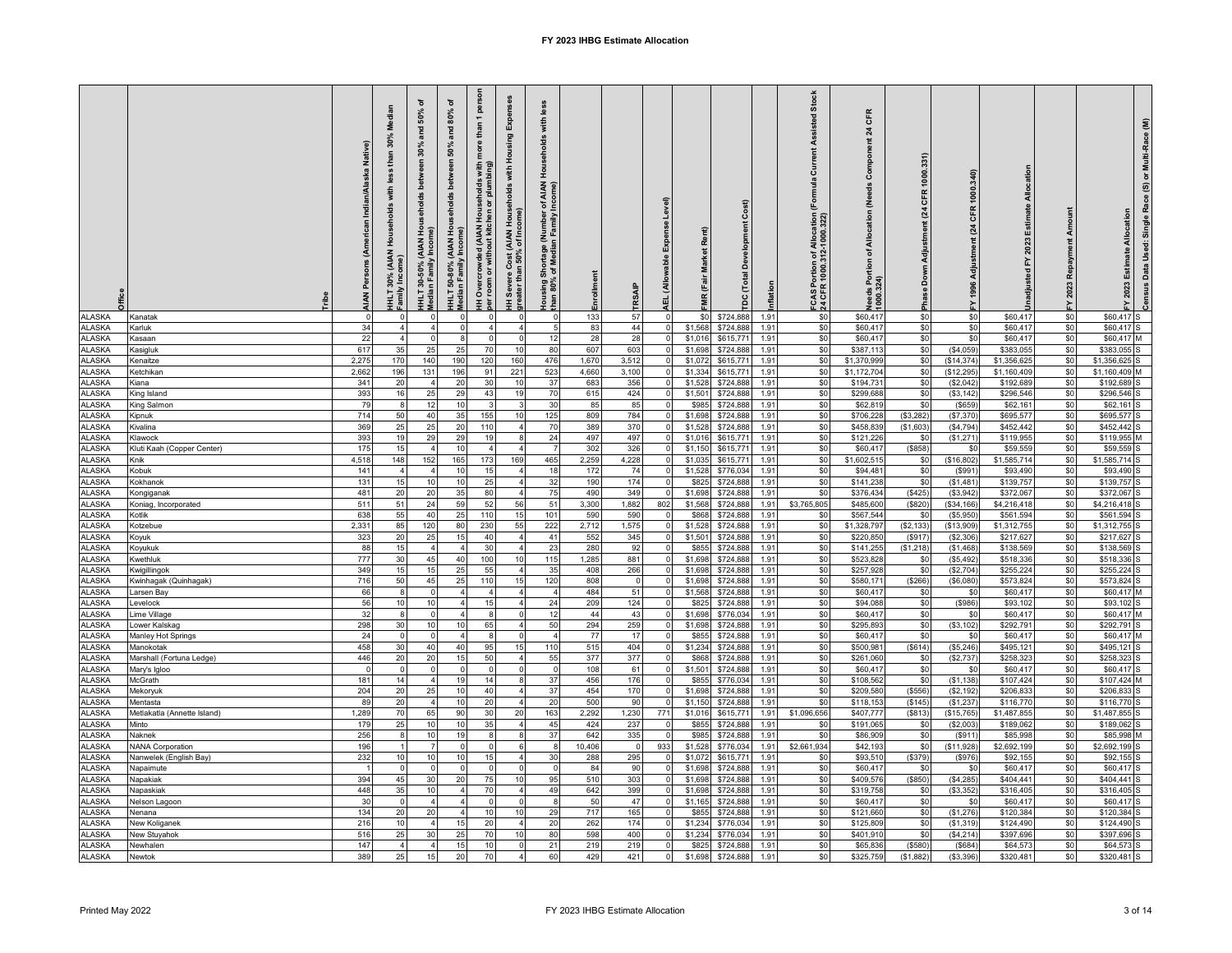| <b>ALASKA</b>                  | ribe<br>Kanatak                    | Indian/Alaska Native)<br>(American<br><b>NAN Persons</b> | Medi<br>than $30\%$<br>less<br>with<br><b>House</b><br><b>AIAN</b><br>HHLT 30% (<br>amily Inco<br>$\mathbf 0$ | ৳<br>$50\%$<br>and<br>30%<br>between<br>seholds<br>휻<br>Income)<br><b>AIAN</b><br>HHLT 30-50% ( <i>J</i><br>Median Family I<br>$^{\circ}$ | ৳<br>80%<br>and<br>್ತಿ<br>훞<br>Income)<br><b>AIAN</b><br>HHLT 50-80% ( <i>i</i><br>Median Family I<br>$\circ$ | persor<br>g<br>with<br>room or without kitchen or plumbing)<br><b>INAIAN</b><br><b>IH Overcrowded</b> | 핏<br>Housing<br>with<br><del>I</del> H Severe Cost (AIAN Households<br>rreater than 50% of Income) | less<br>with<br>Households<br><b>AIAIA</b><br>호르<br>Housing Shortage (Number<br>han 80% of Median Family<br>$\overline{0}$ | inrollmen<br>133 | 57           | jeve)           | Rent)<br>Market<br>MR (Fair<br>\$0 | Cost<br>Development<br>DC (Tota<br>\$724,888 | nflation<br>1.91 | Assisted Stock<br>Current<br>(Formula<br>f Allocation (<br>2-1000.322)<br>$\frac{1}{3}$<br>FCAS Portion<br>\$0 | CFR<br>$\overline{24}$<br>Component<br>(Needs<br>of Allocation<br>tion<br><b>Jeeds Port</b><br>000.324)<br>\$60,417 | 80<br><b>GFR</b><br>\$0 | 1000<br>CFR<br>24<br>1996<br>\$0 | Allocation<br>Estimate<br>2023<br>고<br>adjusted<br>\$60,417 | مع<br>2023<br>\$0 | Census Data Used: Single Race (S) or Multi-Race (M)<br>2023 Estimate Allocation<br>\$60,417 |
|--------------------------------|------------------------------------|----------------------------------------------------------|---------------------------------------------------------------------------------------------------------------|-------------------------------------------------------------------------------------------------------------------------------------------|---------------------------------------------------------------------------------------------------------------|-------------------------------------------------------------------------------------------------------|----------------------------------------------------------------------------------------------------|----------------------------------------------------------------------------------------------------------------------------|------------------|--------------|-----------------|------------------------------------|----------------------------------------------|------------------|----------------------------------------------------------------------------------------------------------------|---------------------------------------------------------------------------------------------------------------------|-------------------------|----------------------------------|-------------------------------------------------------------|-------------------|---------------------------------------------------------------------------------------------|
| <b>ALASKA</b>                  | Karluk                             | 34                                                       |                                                                                                               |                                                                                                                                           |                                                                                                               |                                                                                                       |                                                                                                    |                                                                                                                            | 83               | 44           |                 | \$1,568                            | \$724,888                                    | 1.91             | \$0                                                                                                            | \$60,417                                                                                                            | \$0                     | \$0                              | \$60,417                                                    | \$0               | \$60,417                                                                                    |
| <b>ALASKA</b>                  | Kasaan                             | 22                                                       | 4                                                                                                             | $\Omega$                                                                                                                                  | 8                                                                                                             | $\circ$                                                                                               |                                                                                                    | 12                                                                                                                         | 28               | 28           | $\Omega$        | \$1,016                            | \$615,771                                    | 1.91             | \$0                                                                                                            | \$60,417                                                                                                            | \$0                     | \$0                              | \$60,417                                                    | \$0               | \$60,417                                                                                    |
| <b>ALASKA</b>                  | Kasigluk                           | 617                                                      | 35                                                                                                            | 25                                                                                                                                        | 25                                                                                                            | 70                                                                                                    | 10                                                                                                 | 80                                                                                                                         | 607              | 603          | <sup>n</sup>    | \$1,698                            | \$724,888                                    | 1.91             | \$0                                                                                                            | \$387,113                                                                                                           | \$0                     | ( \$4,059)                       | \$383,055                                                   | \$0               | \$383,055                                                                                   |
| <b>ALASKA</b>                  | Kenaitze                           | 2,275                                                    | 170                                                                                                           | 140                                                                                                                                       | 190                                                                                                           | 120                                                                                                   | 160                                                                                                | 476                                                                                                                        | 1,670            | 3,512        | $\Omega$        | \$1,072                            | \$615,771                                    | 1.91             | \$0                                                                                                            | \$1,370,999                                                                                                         | \$0                     | (\$14,374)                       | \$1,356,625                                                 | \$0               | \$1,356,625                                                                                 |
| <b>ALASKA</b><br><b>ALASKA</b> | Ketchikan<br>Kiana                 | 2,662<br>341                                             | 196<br>20                                                                                                     | 131                                                                                                                                       | 196                                                                                                           | 91<br>30                                                                                              | 221<br>10                                                                                          | 523<br>37                                                                                                                  | 4,660<br>683     | 3,100<br>356 |                 | \$1,334                            | \$615,771<br>\$724,88                        | 1.91<br>1.91     | \$0<br>\$0                                                                                                     | \$1,172,704                                                                                                         | \$0<br>\$0              | (\$12,295                        | \$1,160,409                                                 | \$0               | \$1,160,409<br>\$192,68                                                                     |
| <b>ALASKA</b>                  |                                    | 393                                                      | 16                                                                                                            | 25                                                                                                                                        | 20<br>29                                                                                                      | 43                                                                                                    | 19                                                                                                 | 70                                                                                                                         | 615              | 424          |                 | \$1,528<br>\$1,501                 | \$724,888                                    | 1.91             | \$0                                                                                                            | \$194,73<br>\$299,688                                                                                               | \$0                     | (\$2,042<br>( \$3, 142           | \$192,68<br>\$296,546                                       | \$0<br>\$0        | \$296,546                                                                                   |
| <b>ALASKA</b>                  | King Island<br>King Salmon         | 79                                                       | $\mathbf{a}$                                                                                                  | 12                                                                                                                                        | 10                                                                                                            |                                                                                                       |                                                                                                    | 30                                                                                                                         | 85               | 85           |                 | \$985                              | \$724,888                                    | 1.91             | \$0                                                                                                            | \$62,819                                                                                                            | \$0                     | (\$659                           | \$62,161                                                    | \$0               | \$62,16                                                                                     |
| <b>ALASKA</b>                  | Kipnuk                             | 714                                                      | 50                                                                                                            | 40                                                                                                                                        | 35                                                                                                            | 155                                                                                                   | 10                                                                                                 | 125                                                                                                                        | 809              | 784          |                 | \$1,698                            | \$724,888                                    | 1.91             | \$0                                                                                                            | \$706,228                                                                                                           | (\$3,282                | (\$7,370                         | \$695,57                                                    | \$0               | \$695,577                                                                                   |
| <b>ALASKA</b>                  | Kivalina                           | 369                                                      | 25                                                                                                            | 25                                                                                                                                        | 20                                                                                                            | 110                                                                                                   |                                                                                                    | 70                                                                                                                         | 389              | 370          |                 | \$1,528                            | \$724,888                                    | 1.91             | \$0                                                                                                            | \$458,839                                                                                                           | (\$1,603)               | (S4, 794)                        | \$452,442                                                   | \$0               | \$452,442                                                                                   |
| <b>ALASKA</b>                  | Klawock                            | 393                                                      | 19                                                                                                            | 29                                                                                                                                        | 29                                                                                                            | 19                                                                                                    |                                                                                                    | 24                                                                                                                         | 497              | 497          |                 | \$1,016                            | \$615,771                                    | 1.91             | \$0                                                                                                            | \$121,226                                                                                                           | \$0                     | (\$1,271]                        | \$119,955                                                   | \$0               | \$119,955                                                                                   |
| <b>ALASKA</b>                  | Kluti Kaah (Copper Center)         | 175                                                      | 15                                                                                                            |                                                                                                                                           | 10                                                                                                            | $\overline{4}$                                                                                        |                                                                                                    | $\overline{7}$                                                                                                             | 302              | 326          |                 | \$1,150                            | \$615,771                                    | 1.91             | \$0                                                                                                            | \$60,417                                                                                                            | $($ \$858)              | \$0                              | \$59,55                                                     | \$0               | \$59,559                                                                                    |
| <b>ALASKA</b>                  | Knik                               | 4,518                                                    | 148                                                                                                           | 152                                                                                                                                       | 165                                                                                                           | 173                                                                                                   | 169                                                                                                | 465                                                                                                                        | 2,259            | 4,228        | $\Omega$        | \$1,035                            | \$615,771                                    | 1.91             | \$0                                                                                                            | \$1,602,515                                                                                                         | \$0                     | (\$16,802                        | \$1,585,714                                                 | \$0               | \$1,585,714                                                                                 |
| <b>ALASKA</b>                  | Kobuk                              | 141                                                      | $\overline{4}$                                                                                                |                                                                                                                                           | 10                                                                                                            | 15                                                                                                    |                                                                                                    | 18                                                                                                                         | 172              | 74           |                 | \$1,528                            | \$776,034                                    | 1.91             | \$0                                                                                                            | \$94,48                                                                                                             | \$0                     | (\$991                           | \$93,49                                                     | \$0               | \$93,490                                                                                    |
| <b>ALASKA</b>                  | Kokhanok                           | 131                                                      | 15                                                                                                            | 10                                                                                                                                        | 10                                                                                                            | 25                                                                                                    |                                                                                                    | 32                                                                                                                         | 190              | 174          |                 | \$825                              | \$724,888                                    | 1.91             | \$0                                                                                                            | \$141,238                                                                                                           | \$0                     | (\$1,481                         | \$139,75                                                    | \$0               | \$139,757                                                                                   |
| <b>ALASKA</b>                  | Kongiganak                         | 481                                                      | 20<br>51                                                                                                      | 20<br>24                                                                                                                                  | 35<br>59                                                                                                      | 80                                                                                                    | 56                                                                                                 | 75<br>51                                                                                                                   | 490              | 349          |                 | \$1,698                            | \$724,888                                    | 1.91             | \$0                                                                                                            | \$376,434<br>\$485,600                                                                                              | (\$425)                 | (\$3,942                         | \$372,067                                                   | \$0               | \$372,067                                                                                   |
| <b>ALASKA</b><br><b>ALASKA</b> | Koniag, Incorporated<br>Kotlik     | 511<br>638                                               | 55                                                                                                            | 40                                                                                                                                        | 25                                                                                                            | 52<br>110                                                                                             | 15                                                                                                 | 101                                                                                                                        | 3,300<br>590     | 1,882<br>590 | 802<br>$\Omega$ | \$1,568<br>\$868                   | \$724,888<br>\$724,888                       | 1.91<br>1.91     | \$3,765,805<br>\$0                                                                                             | \$567,544                                                                                                           | (\$820)<br>\$0          | (\$34, 166<br>(\$5,950           | \$4,216,41<br>\$561,594                                     | \$0<br>\$0        | \$4,216,418<br>\$561,594                                                                    |
| <b>ALASKA</b>                  | Kotzebue                           | 2,331                                                    | 85                                                                                                            | 120                                                                                                                                       | 80                                                                                                            | 230                                                                                                   | 55                                                                                                 | 222                                                                                                                        | 2,712            | 1,575        | $\Omega$        | \$1,528                            | \$724,888                                    | 1.91             | \$0                                                                                                            | \$1,328,797                                                                                                         | (\$2, 133)              | (\$13,909                        | \$1,312,755                                                 | \$0               | \$1,312,755                                                                                 |
| <b>ALASKA</b>                  | <b>Koyuk</b>                       | 323                                                      | 20                                                                                                            | 25                                                                                                                                        | 15                                                                                                            | 40                                                                                                    |                                                                                                    | 41                                                                                                                         | 552              | 345          |                 | \$1,501                            | \$724,888                                    | 1.91             | \$0                                                                                                            | \$220,850                                                                                                           | (\$917)                 | (\$2,306                         | \$217,627                                                   | \$0               | \$217,627                                                                                   |
| <b>ALASKA</b>                  | Koyukuk                            | 88                                                       | 15                                                                                                            | 4                                                                                                                                         | -4                                                                                                            | 30                                                                                                    | $\Delta$                                                                                           | 23                                                                                                                         | 280              | 92           | <sup>n</sup>    | \$855                              | \$724,888                                    | 1.91             | \$0                                                                                                            | \$141,255                                                                                                           | (\$1,218)               | (\$1,468)                        | \$138,569                                                   | \$0               | \$138,569                                                                                   |
| <b>ALASKA</b>                  | Kwethluk                           | 777                                                      | 30                                                                                                            | 45                                                                                                                                        | 40                                                                                                            | 100                                                                                                   | 10                                                                                                 | 115                                                                                                                        | 1,285            | 881          | $\Omega$        | \$1,698                            | \$724,888                                    | 1.91             | \$0                                                                                                            | \$523,828                                                                                                           | \$0                     | (\$5,492                         | \$518,336                                                   | \$0               | \$518,336                                                                                   |
| <b>ALASKA</b>                  | Kwigillingok                       | 349                                                      | 15                                                                                                            | 15                                                                                                                                        | 25                                                                                                            | 55                                                                                                    |                                                                                                    | 35                                                                                                                         | 408              | 266          |                 | \$1,698                            | \$724,888                                    | 1.91             | \$0                                                                                                            | \$257,928                                                                                                           | \$0                     | (\$2,704                         | \$255,22                                                    | \$0               | \$255,22                                                                                    |
| <b>ALASKA</b>                  | Kwinhagak (Quinhagak)              | 716                                                      | 50                                                                                                            | 45                                                                                                                                        | 25                                                                                                            | 110                                                                                                   | 15                                                                                                 | 120                                                                                                                        | 808              |              |                 | \$1,698                            | \$724,888                                    | 1.91             | \$0                                                                                                            | \$580,171                                                                                                           | (\$266)                 | (\$6,080                         | \$573,824                                                   | \$0               | \$573,82                                                                                    |
| LASKA                          | arsen Bay.                         | 66                                                       | 8                                                                                                             |                                                                                                                                           |                                                                                                               |                                                                                                       |                                                                                                    |                                                                                                                            | 484              | 51           |                 | \$1,568                            | \$724,888                                    | 1.91             | \$0                                                                                                            | \$60,417                                                                                                            | \$0                     | \$0                              | \$60,417                                                    | \$0               | \$60,41                                                                                     |
| <b>ALASKA</b>                  | evelock                            | 56                                                       | 10                                                                                                            | 10                                                                                                                                        |                                                                                                               | 15                                                                                                    |                                                                                                    | 24                                                                                                                         | 209              | 124          |                 | \$825                              | \$724,888                                    | 1.91             | \$0                                                                                                            | \$94,088                                                                                                            | \$0                     | (\$986)                          | \$93,102                                                    | \$0               | \$93,102                                                                                    |
| <b>ALASKA</b><br><b>ALASKA</b> | ime Village                        | 32<br>298                                                | 30                                                                                                            | $\overline{0}$<br>10                                                                                                                      | 10                                                                                                            | 65                                                                                                    |                                                                                                    | 12<br>50                                                                                                                   | $44\,$<br>294    | 43<br>259    |                 | \$1,698<br>\$1,698                 | \$776,034<br>\$724,888                       | 1.91             | \$0<br>\$0                                                                                                     | \$60,417<br>\$295,893                                                                                               | \$0<br>\$0              | \$0<br>(\$3,102                  | \$60,417<br>\$292,791                                       | \$0<br>\$0        | \$60,417<br>\$292,791                                                                       |
| <b>ALASKA</b>                  | ower Kalskag<br>Manley Hot Springs | 24                                                       | $\Omega$                                                                                                      |                                                                                                                                           |                                                                                                               |                                                                                                       |                                                                                                    | $\overline{4}$                                                                                                             | 77               | 17           |                 | \$855                              | \$724,888                                    | 1.91<br>1.91     | \$0                                                                                                            | \$60,417                                                                                                            | \$0                     | \$0                              | \$60,417                                                    | \$0               | \$60,417                                                                                    |
| <b>ALASKA</b>                  | Manokotak                          | 458                                                      | 30                                                                                                            | 40                                                                                                                                        | 40                                                                                                            | 95                                                                                                    | 15                                                                                                 | 110                                                                                                                        | 515              | 404          |                 | \$1,234                            | \$724,888                                    | 1.91             | \$0                                                                                                            | \$500,981                                                                                                           | $($ \$614)              | ( \$5,246)                       | \$495,121                                                   | \$0               | \$495,121                                                                                   |
| <b>ALASKA</b>                  | Marshall (Fortuna Ledge)           | 446                                                      | 20                                                                                                            | 20                                                                                                                                        | 15                                                                                                            | 50                                                                                                    |                                                                                                    | 55                                                                                                                         | 377              | 377          | <sup>n</sup>    | \$868                              | \$724,888                                    | 1.91             | \$0                                                                                                            | \$261,060                                                                                                           | \$0                     | (\$2,737)                        | \$258,32                                                    | \$0               | \$258,32                                                                                    |
| <b>ALASKA</b>                  | Mary's Igloo                       |                                                          | $\Omega$                                                                                                      |                                                                                                                                           |                                                                                                               |                                                                                                       |                                                                                                    | $\mathsf 0$                                                                                                                | 108              | 61           | $\Omega$        | \$1,501                            | \$724,888                                    | 1.91             | \$0                                                                                                            | \$60,417                                                                                                            | \$0                     | \$0                              | \$60,417                                                    | \$0               | \$60,417                                                                                    |
| <b>ALASKA</b>                  | McGrath                            | 181                                                      | 14                                                                                                            |                                                                                                                                           | 19                                                                                                            | 14                                                                                                    |                                                                                                    | 37                                                                                                                         | 456              | 176          |                 | \$855                              | \$776,034                                    | 1.91             | \$0                                                                                                            | \$108,562                                                                                                           | \$0                     | (\$1,138)                        | \$107,42                                                    | \$0               | \$107,424                                                                                   |
| <b>LASKA</b>                   | Mekoryuk                           | 204                                                      | 20                                                                                                            | 25                                                                                                                                        | 10                                                                                                            | 40                                                                                                    |                                                                                                    | 37                                                                                                                         | 454              | 170          |                 | \$1,698                            | \$724,888                                    | 1.91             | \$0                                                                                                            | \$209,580                                                                                                           | (\$556)                 | (\$2, 192                        | \$206,83                                                    | \$0               | \$206,83                                                                                    |
| <b>ALASKA</b>                  | Mentasta                           | 89                                                       | 20                                                                                                            |                                                                                                                                           | 10                                                                                                            | 20                                                                                                    |                                                                                                    | 20                                                                                                                         | 500              | 90           |                 | \$1,150                            | \$724,888                                    | 1.91             | \$0                                                                                                            | \$118,153                                                                                                           | (\$145)                 | (\$1,237                         | \$116,770                                                   | \$0               | \$116,770                                                                                   |
| <b>ALASKA</b>                  | Metlakatla (Annette Island)        | 1,289                                                    | 70                                                                                                            | 65                                                                                                                                        | 90                                                                                                            | 30                                                                                                    | 20                                                                                                 | 163                                                                                                                        | 2,292            | 1,230        | 771             | \$1,016                            | \$615,771                                    | 1.91             | \$1,096,656                                                                                                    | \$407,777                                                                                                           | (\$813]                 | (\$15,765                        | \$1,487,85                                                  | \$0               | \$1,487,85                                                                                  |
| <b>ALASKA</b><br><b>ALASKA</b> | Minto<br>Naknek                    | 179<br>256                                               | 25<br>8                                                                                                       | 10<br>10                                                                                                                                  | 10<br>19                                                                                                      | 35<br>8                                                                                               |                                                                                                    | 45<br>37                                                                                                                   | 424<br>642       | 237<br>335   | $\Omega$        | \$855<br>\$985                     | \$724,888<br>\$724,888                       | 1.91<br>1.91     | \$0<br>\$0                                                                                                     | \$191,065<br>\$86,909                                                                                               | \$0<br>\$0              | (\$2,003<br>(S911)               | \$189,062<br>\$85,998                                       | \$0<br>\$0        | \$189,062<br>\$85,998                                                                       |
| <b>ALASKA</b>                  | <b>NANA Corporation</b>            | 196                                                      | $\overline{1}$                                                                                                |                                                                                                                                           | $\Omega$                                                                                                      | $\Omega$                                                                                              |                                                                                                    | 8                                                                                                                          | 10,406           | $\Omega$     | 933             | \$1,528                            | \$776,034                                    | 1.91             | \$2,661,934                                                                                                    | \$42,193                                                                                                            | \$0                     | (\$11,928)                       | \$2,692,199                                                 | \$0               | \$2,692,199                                                                                 |
| <b>ALASKA</b>                  | Nanwelek (English Bay)             | 232                                                      | 10                                                                                                            | 10                                                                                                                                        | 10                                                                                                            | 15                                                                                                    | $\Delta$                                                                                           | 30                                                                                                                         | 288              | 295          | $\mathsf{r}$    | \$1,072                            | \$615,771                                    | 1.91             | \$0                                                                                                            | \$93,510                                                                                                            | (\$379)                 | (S976)                           | \$92,155                                                    | \$0               | \$92,155                                                                                    |
| <b>ALASKA</b>                  | Napaimute                          |                                                          | $\Omega$                                                                                                      |                                                                                                                                           |                                                                                                               |                                                                                                       |                                                                                                    | $\Omega$                                                                                                                   | 84               | 90           |                 | \$1,698                            | \$724,888                                    | 1.91             | \$0                                                                                                            | \$60,417                                                                                                            | \$0                     | -SC                              | \$60,417                                                    | \$0               | \$60,41                                                                                     |
| <b>ALASKA</b>                  | Napakiak                           | 394                                                      | 45                                                                                                            | 30                                                                                                                                        | 20                                                                                                            | 75                                                                                                    | 10                                                                                                 | 95                                                                                                                         | 510              | 303          |                 | \$1,698                            | \$724,888                                    | 1.91             | \$0                                                                                                            | \$409,576                                                                                                           | (\$850)                 | (\$4,285)                        | \$404,44                                                    | \$0               | \$404,44                                                                                    |
| LASKA                          | Napaskial                          | 445                                                      | 35                                                                                                            | 10                                                                                                                                        |                                                                                                               | 70                                                                                                    |                                                                                                    | 49                                                                                                                         | 642              | 399          |                 | \$1,698                            | \$724,888                                    | 1.91             | \$0                                                                                                            | \$319,758                                                                                                           | \$0                     | (\$3,352                         | \$316,40                                                    | \$0               | \$316,40                                                                                    |
| <b>ALASKA</b>                  | Nelson Lagoon                      | 30                                                       | $\Omega$                                                                                                      |                                                                                                                                           |                                                                                                               |                                                                                                       |                                                                                                    |                                                                                                                            | 50               | 47           |                 | \$1,165                            | \$724,888                                    | 1.91             | \$0                                                                                                            | \$60,417                                                                                                            | \$0                     | \$0                              | \$60,417                                                    | \$0               | \$60,41                                                                                     |
| ALASKA                         | Nenana                             | 134                                                      | 20                                                                                                            | 20                                                                                                                                        |                                                                                                               | 10                                                                                                    | 10                                                                                                 | 29                                                                                                                         | 717              | 165          |                 | \$855                              | \$724,888                                    | 1.91             | \$0                                                                                                            | \$121,660                                                                                                           | \$0                     | (\$1,276)                        | \$120,384                                                   | \$0               | \$120,384                                                                                   |
| <b>ALASKA</b>                  | New Koliganek                      | 216                                                      | 10                                                                                                            |                                                                                                                                           | 15                                                                                                            | 20                                                                                                    |                                                                                                    | 20                                                                                                                         | 262              | 174          |                 | \$1,234                            | \$776,03                                     | 1.91             | \$0                                                                                                            | \$125,809                                                                                                           | \$0                     | (\$1,319                         | \$124,490                                                   | \$0               | \$124,490                                                                                   |
| <b>ALASKA</b><br><b>ALASKA</b> | New Stuyahok                       | 516<br>147                                               | 25<br>$\Delta$                                                                                                | 30<br>$\mathbf{A}$                                                                                                                        | 25<br>15                                                                                                      | 70<br>10                                                                                              | 10                                                                                                 | 80                                                                                                                         | 598              | 400          |                 | \$1,234                            | \$776,034                                    | 1.91             | \$0                                                                                                            | \$401,910                                                                                                           | \$0                     | (\$4,214<br>(\$684               | \$397,696                                                   | \$0               | \$397,696<br>\$64,573                                                                       |
| <b>ALASKA</b>                  | Newhalen<br>Newtok                 | 389                                                      | 25                                                                                                            | 15                                                                                                                                        | 20                                                                                                            | 70                                                                                                    |                                                                                                    | 21<br>60                                                                                                                   | 219<br>429       | 219<br>421   | $\overline{0}$  | \$825<br>\$1,698                   | \$724,888<br>\$724,888                       | 1.91<br>1.91     | \$0<br>\$0                                                                                                     | \$65,836<br>\$325,759                                                                                               | ( \$580)<br>(\$1,882    | (\$3,396                         | \$64,573<br>\$320,481                                       | \$0<br>\$0        | \$320,481                                                                                   |
|                                |                                    |                                                          |                                                                                                               |                                                                                                                                           |                                                                                                               |                                                                                                       |                                                                                                    |                                                                                                                            |                  |              |                 |                                    |                                              |                  |                                                                                                                |                                                                                                                     |                         |                                  |                                                             |                   |                                                                                             |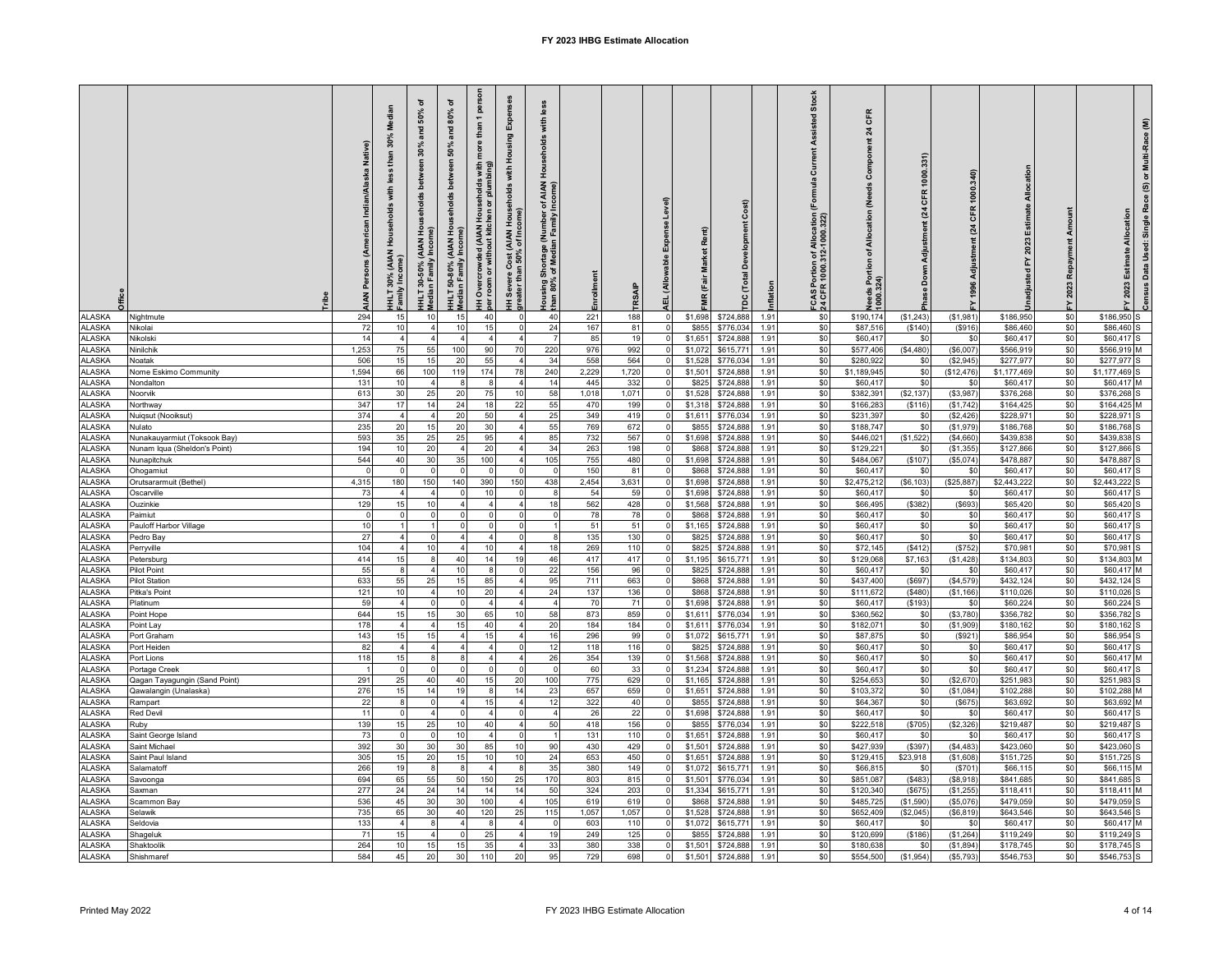|                                | e4i•                                 | AIAN Persons (American Indian/Alaska Native) | Median<br>than $30\%$<br>less<br>with<br>nolds<br><b>House</b><br><b>AIAN</b><br>HHLT 30% (<br>Family Inco | ৳<br>50%<br>and<br>30%<br>ತಿ<br>운<br>၉<br>Incon<br><b>AIAN</b><br>HHLT 30-50% ( <i>J</i><br>Median Family I | ৳<br>80%<br>and<br>50%<br>between<br>Households<br>ာ<br>AIAN)<br>Theom<br>HHLT 50-80% ( <i>i</i><br>Median Family I | person<br>than<br>more<br>with<br>৽<br>kitchen<br><del>I</del> H Overcrowded (AIAN<br>oer room or without kitc | 贝<br>Housing<br>with<br>Severe Cost (AIAN Households<br>ater than 50% of Income)<br>족 | less<br>with<br>Households<br><b>AIAN</b><br>호르<br>Housing Shortage (Number<br>han 80% of Median Family | Enrollmen    |              | Leve-<br>alle        | Rent)<br><b>Market</b><br>(Fair<br>g | Cost<br>DC (Tota       | nflation     | Assisted Stock<br>Current<br>[Formula<br>f Allocation (<br>2-1000.322)<br>흐읐<br>FCAS Portion<br>24 CFR 1000.3 | CFR<br>$\overline{24}$<br>Component<br>(Needs<br>of Allocation<br>tion<br>Needs Port<br>1000.324) | 1000                 | 1000<br>CFR<br>$^{24}$<br>1996 | Allocation<br>Estimate<br>2023<br>F۲.<br>ladjusted | 2023       | Census Data Used: Single Race (S) or Multi-Race (M)<br>2023 Estimate Allocation |
|--------------------------------|--------------------------------------|----------------------------------------------|------------------------------------------------------------------------------------------------------------|-------------------------------------------------------------------------------------------------------------|---------------------------------------------------------------------------------------------------------------------|----------------------------------------------------------------------------------------------------------------|---------------------------------------------------------------------------------------|---------------------------------------------------------------------------------------------------------|--------------|--------------|----------------------|--------------------------------------|------------------------|--------------|---------------------------------------------------------------------------------------------------------------|---------------------------------------------------------------------------------------------------|----------------------|--------------------------------|----------------------------------------------------|------------|---------------------------------------------------------------------------------|
| <b>ALASKA</b><br><b>ALASKA</b> | Nightmute<br>Nikolai                 | 294<br>72                                    | 15<br>10                                                                                                   | 10<br>$\overline{4}$                                                                                        | 15<br>10                                                                                                            | 40<br>15                                                                                                       | $\Omega$                                                                              | 40<br>24                                                                                                | 221<br>167   | 188<br>81    | $\Omega$<br>$\Omega$ | \$1,698<br>\$855                     | \$724,888<br>\$776.034 | 1.91<br>1.91 | \$0<br>\$0                                                                                                    | \$190,174<br>\$87,516                                                                             | (\$1,243)<br>(\$140) | (S1, 981)<br>(\$916)           | \$186,950<br>\$86,460                              | \$0<br>\$0 | \$186,950<br>\$86,460                                                           |
| <b>ALASKA</b>                  | Nikolski                             | 14                                           | $\overline{4}$                                                                                             | $\overline{4}$                                                                                              | $\boldsymbol{\Delta}$                                                                                               | $\overline{4}$                                                                                                 |                                                                                       | $\overline{7}$                                                                                          | 85           | 19           | $\Omega$             | \$1,651                              | \$724,888              | 1.91         | \$0                                                                                                           | \$60,417                                                                                          | \$0                  | \$0                            | \$60,417                                           | \$0        | \$60,417                                                                        |
| <b>ALASKA</b>                  | Ninilchik                            | 1,253                                        | 75                                                                                                         | 55                                                                                                          | 100                                                                                                                 | 90                                                                                                             | 70                                                                                    | 220                                                                                                     | 976          | 992          | $\Omega$             | \$1,072                              | \$615,771              | 1.91         | \$0                                                                                                           | \$577,406                                                                                         | (\$4,480)            | (\$6,007]                      | \$566,919                                          | \$0        | \$566,919<br>м                                                                  |
| <b>ALASKA</b>                  | Noatak                               | 506                                          | 15                                                                                                         | 15                                                                                                          | 20                                                                                                                  | 55                                                                                                             | $\overline{4}$                                                                        | 34                                                                                                      | 558          | 564          | $\Omega$             | \$1,528                              | \$776,034              | 1.91         | \$0                                                                                                           | \$280,92                                                                                          | \$0                  | (\$2,945)                      | \$277,97                                           | \$0        | \$277,97                                                                        |
| <b>ALASKA</b><br><b>ALASKA</b> | Nome Eskimo Community                | 1,594<br>131                                 | 66<br>10                                                                                                   | 100                                                                                                         | 119<br>8                                                                                                            | 174                                                                                                            | 78                                                                                    | 240<br>14                                                                                               | 2,229<br>445 | 1,720<br>332 |                      | \$1,501<br>\$825                     | \$724,888<br>\$724,888 | 1.91         | \$0<br>\$0                                                                                                    | \$1,189,945<br>\$60,417                                                                           | \$0<br>\$0           | (\$12,476                      | \$1,177,469<br>\$60,417                            | \$0        | \$1,177,469<br>\$60,41                                                          |
| <b>ALASKA</b>                  | Nondalton<br>Noorvik                 | 613                                          | 30                                                                                                         | 25                                                                                                          | 20                                                                                                                  | 75                                                                                                             | 10                                                                                    | 58                                                                                                      | 1,018        | 1,071        | $\overline{0}$       | \$1,528                              | \$724,888              | 1.91<br>1.91 | \$0                                                                                                           | \$382,391                                                                                         | (\$2,137)            | \$0<br>(\$3,987                | \$376,268                                          | \$0<br>\$0 | \$376,268                                                                       |
| <b>ALASKA</b>                  | Northway                             | 347                                          | 17                                                                                                         | 14                                                                                                          | 24                                                                                                                  | 18                                                                                                             | 22                                                                                    | 55                                                                                                      | 470          | 199          |                      | \$1,31                               | \$724,88               | 1.91         | \$0                                                                                                           | \$166,283                                                                                         | (\$116)              | (\$1,742                       | \$164,42                                           | \$0        | \$164,42                                                                        |
| <b>ALASKA</b>                  | Nuigsut (Nooiksut)                   | 374                                          |                                                                                                            |                                                                                                             | 20                                                                                                                  | 50                                                                                                             |                                                                                       | 25                                                                                                      | 349          | 419          | $\Omega$             | \$1,611                              | \$776,034              | 1.91         | \$0                                                                                                           | \$231,397                                                                                         | \$0                  | (\$2,426                       | \$228,971                                          | \$0        | \$228,97                                                                        |
| <b>ALASKA</b>                  | Nulato                               | 235                                          | 20                                                                                                         | 15                                                                                                          | 20                                                                                                                  | 30                                                                                                             |                                                                                       | 55                                                                                                      | 769          | 672          |                      | \$855                                | \$724,888              | 1.91         | \$0                                                                                                           | \$188,747                                                                                         | \$0                  | (\$1,979                       | \$186,768                                          | \$0        | \$186,768                                                                       |
| <b>ALASKA</b>                  | Nunakauyarmiut (Toksook Bay)         | 593                                          | 35                                                                                                         | 25                                                                                                          | 25                                                                                                                  | 95                                                                                                             |                                                                                       | 85                                                                                                      | 732          | 567          | $\Omega$             | \$1,698                              | \$724,888              | 1.91         | \$0                                                                                                           | \$446,021                                                                                         | (\$1,522)            | (\$4,660                       | \$439,838                                          | \$0        | \$439,838                                                                       |
| <b>ALASKA</b>                  | Nunam Iqua (Sheldon's Point)         | 194                                          | 10                                                                                                         | 20                                                                                                          | $\overline{4}$                                                                                                      | 20                                                                                                             |                                                                                       | 34                                                                                                      | 263          | 198          | $\Omega$             | \$868                                | \$724,888              | 1.91         | \$0                                                                                                           | \$129,22                                                                                          | \$0                  | (\$1,355                       | \$127,86                                           | \$0        | \$127,866                                                                       |
| <b>ALASKA</b>                  | Nunapitchuk                          | 544                                          | 40                                                                                                         | 30                                                                                                          | 35                                                                                                                  | 100                                                                                                            |                                                                                       | 105                                                                                                     | 755          | 480          | $\Omega$             | \$1,698                              | \$724,88               | 1.91         | \$0                                                                                                           | \$484,067                                                                                         | (\$107)              | (\$5,074)                      | \$478,88                                           | \$0        | \$478,887                                                                       |
| <b>ALASKA</b>                  | Ohogamiut                            | 4,315                                        | $\Omega$                                                                                                   | 150                                                                                                         | 140                                                                                                                 | 390                                                                                                            | 150                                                                                   | 438                                                                                                     | 150          | 81<br>3,631  |                      | \$868<br>\$1,698                     | \$724,888              | 1.91         | \$0<br>\$0                                                                                                    | \$60,417                                                                                          | \$0                  | \$0                            | \$60,41                                            | \$0        | \$60,41                                                                         |
| ALASKA<br><b>ALASKA</b>        | Orutsararmuit (Bethel)<br>Oscarville | 73                                           | 180                                                                                                        |                                                                                                             |                                                                                                                     | 10                                                                                                             |                                                                                       |                                                                                                         | 2,454<br>54  | 59           | $\Omega$             | \$1,698                              | \$724,888<br>\$724,888 | 1.91<br>1.91 | \$0                                                                                                           | \$2,475,21<br>\$60,417                                                                            | ( \$6, 103)<br>\$0   | (\$25,887)<br>\$0              | \$2,443,22<br>\$60,417                             | \$0<br>\$0 | \$2,443,222<br>\$60,417                                                         |
| <b>ALASKA</b>                  | Ouzinkie                             | 129                                          | 15                                                                                                         | 10                                                                                                          |                                                                                                                     |                                                                                                                |                                                                                       | 18                                                                                                      | 562          | 428          | $\mathbf 0$          | \$1,568                              | \$724,888              | 1.91         | \$0                                                                                                           | \$66,495                                                                                          | (\$382               | $($ \$693)                     | \$65,420                                           | \$0        | \$65,420                                                                        |
| <b>ALASKA</b>                  | Paimiut                              | $\mathbf 0$                                  |                                                                                                            | $\Omega$                                                                                                    |                                                                                                                     |                                                                                                                |                                                                                       | $\Omega$                                                                                                | 78           | 78           | $\circ$              | \$868                                | \$724,888              | 1.91         | \$0                                                                                                           | \$60,417                                                                                          | \$0                  | \$0                            | \$60,417                                           | \$0        | \$60,417                                                                        |
| <b>ALASKA</b>                  | Pauloff Harbor Village               | 10                                           |                                                                                                            |                                                                                                             | $\Omega$                                                                                                            | $\Omega$                                                                                                       |                                                                                       |                                                                                                         | 51           | 51           | $\Omega$             | \$1,165                              | \$724,888              | 1.91         | \$0                                                                                                           | \$60,417                                                                                          | \$0                  | \$0                            | \$60,417                                           | \$0        | \$60,417                                                                        |
| <b>ALASKA</b>                  | Pedro Bay                            | 27                                           | $\mathbf{A}$                                                                                               | $\Omega$                                                                                                    | $\boldsymbol{\Delta}$                                                                                               | $\boldsymbol{\Delta}$                                                                                          |                                                                                       | 8                                                                                                       | 135          | 130          | $\Omega$             | \$825                                | \$724,888              | 1.91         | \$0                                                                                                           | \$60,417                                                                                          | \$0                  | \$0                            | \$60,417                                           | \$0        | \$60,417                                                                        |
| <b>ALASKA</b>                  | Perryville                           | 104                                          | $\overline{4}$                                                                                             | 10                                                                                                          | $\boldsymbol{\Lambda}$                                                                                              | 10                                                                                                             | $\mathbf{A}$                                                                          | 18                                                                                                      | 269          | 110          | $\Omega$             | \$825                                | \$724,888              | 1.91         | \$0                                                                                                           | \$72,145                                                                                          | (\$412)              | (\$752)                        | \$70,981                                           | \$0        | \$70,981                                                                        |
| <b>ALASKA</b>                  | Petersburg                           | 414                                          | 15                                                                                                         |                                                                                                             | 40                                                                                                                  | 14                                                                                                             | 19                                                                                    | 46                                                                                                      | 417          | 417          | $\Omega$             | \$1,195                              | \$615,771              | 1.91         | \$0                                                                                                           | \$129,068                                                                                         | \$7,163              | (\$1,428)                      | \$134,803                                          | \$0        | \$134.80                                                                        |
| ALASKA                         | Pilot Point                          | 55                                           | $\mathbf{a}$<br>55                                                                                         |                                                                                                             | 10<br>15                                                                                                            |                                                                                                                |                                                                                       | 22                                                                                                      | 156<br>711   | 96           | $\Omega$<br>$\Omega$ | \$825                                | \$724,888              | 1.91         | \$0<br>\$0                                                                                                    | \$60,417                                                                                          | \$0                  | \$0                            | \$60,417                                           | \$0        | \$60,41<br>\$432.124                                                            |
| ALASKA<br><b>ALASKA</b>        | Pilot Station<br>Pitka's Point       | 633<br>121                                   | 10                                                                                                         | 25                                                                                                          | 10                                                                                                                  | 85<br>20                                                                                                       |                                                                                       | 95<br>24                                                                                                | 137          | 663<br>136   | $\Omega$             | \$868<br>\$868                       | \$724,888<br>\$724,888 | 1.91<br>1.91 | \$0                                                                                                           | \$437,400<br>\$111,672                                                                            | $($ \$697<br>(\$480) | (\$4,579)<br>(\$1, 166)        | \$432,124<br>\$110,026                             | \$0<br>\$0 | \$110,026                                                                       |
| <b>ALASKA</b>                  | Platinum                             | 59                                           |                                                                                                            |                                                                                                             |                                                                                                                     |                                                                                                                |                                                                                       |                                                                                                         | 70           | 71           |                      | \$1,698                              | \$724,88               | 1.91         | \$0                                                                                                           | \$60,417                                                                                          | (\$193)              | \$0                            | \$60,22                                            | \$0        | \$60,224                                                                        |
| <b>ALASKA</b>                  | Point Hope                           | 644                                          | 15                                                                                                         | 15                                                                                                          | 30                                                                                                                  | 65                                                                                                             | 10                                                                                    | 58                                                                                                      | 873          | 859          | $\Omega$             | \$1.611                              | \$776,034              | 1.91         | \$0                                                                                                           | \$360,562                                                                                         | \$0                  | (\$3,780)                      | \$356,782                                          | \$0        | \$356,782                                                                       |
| <b>ALASKA</b>                  | Point Lay                            | 178                                          | $\overline{4}$                                                                                             | $\overline{4}$                                                                                              | 15                                                                                                                  | 40                                                                                                             | $\overline{4}$                                                                        | $20\,$                                                                                                  | 184          | 184          | $\Omega$             | \$1,611                              | \$776,034              | 1.91         | \$0                                                                                                           | \$182,071                                                                                         | \$0                  | (\$1,909)                      | \$180,162                                          | \$0        | \$180,162                                                                       |
| <b>ALASKA</b>                  | Port Graham                          | 143                                          | 15                                                                                                         | 15                                                                                                          | $\boldsymbol{\Lambda}$                                                                                              | 15                                                                                                             |                                                                                       | 16                                                                                                      | 296          | 99           | $\Omega$             | \$1,072                              | \$615,771              | 1.91         | \$0                                                                                                           | \$87,875                                                                                          | \$0                  | (\$921                         | \$86,954                                           | \$0        | \$86,954                                                                        |
| <b>ALASKA</b>                  | Port Heiden                          | 82                                           | $\overline{4}$                                                                                             |                                                                                                             |                                                                                                                     |                                                                                                                |                                                                                       | 12                                                                                                      | 118          | 116          | $\Omega$             | \$825                                | \$724,888              | 1.91         | \$0                                                                                                           | \$60,417                                                                                          | \$0                  | \$0                            | \$60,417                                           | \$0        | \$60,417                                                                        |
| <b>ALASKA</b>                  | Port Lions                           | 118                                          | 15                                                                                                         |                                                                                                             |                                                                                                                     |                                                                                                                |                                                                                       | 26                                                                                                      | 354          | 139          |                      | \$1,568                              | \$724,888              | 1.91         | \$0                                                                                                           | \$60,417                                                                                          | \$0                  | \$0                            | \$60,41                                            | \$0        | \$60,41                                                                         |
| <b>ALASKA</b><br>ALASKA        | Portage Creek                        | 291                                          | 25                                                                                                         | 40                                                                                                          | 40                                                                                                                  | 15                                                                                                             | 20                                                                                    | 100                                                                                                     | 60<br>775    | 33<br>629    |                      | \$1,234<br>\$1,165                   | \$724,888<br>\$724,888 | 1.91<br>1.91 | \$0<br>\$0                                                                                                    | \$60,417<br>\$254,653                                                                             | \$0<br>\$0           | \$0<br>(\$2,670                | \$60,41<br>\$251,98                                | \$0<br>\$0 | \$60,41<br>\$251,983                                                            |
| <b>ALASKA</b>                  | Qawalangin (Unalaska)                | 276                                          | 15                                                                                                         | 14                                                                                                          | 19                                                                                                                  | 8                                                                                                              | 14                                                                                    | 23                                                                                                      | 657          | 659          | $\Omega$             | \$1,651                              | \$724,888              | 1.91         | \$0                                                                                                           | \$103,372                                                                                         | \$0                  | (\$1,084)                      | \$102,288                                          | \$0        | \$102,288                                                                       |
| <b>ALASKA</b>                  | Rampart                              | 22                                           |                                                                                                            | $\Omega$                                                                                                    |                                                                                                                     | 15                                                                                                             |                                                                                       | 12                                                                                                      | 322          | 40           | $\Omega$             | \$855                                | \$724,888              | 1.91         | \$0                                                                                                           | \$64,367                                                                                          | \$0                  | (\$675                         | \$63,692                                           | \$0        | \$63,692                                                                        |
| <b>ALASKA</b>                  | <b>Red Devil</b>                     | 11                                           | $\Omega$                                                                                                   |                                                                                                             | $\Omega$                                                                                                            |                                                                                                                |                                                                                       | $\overline{4}$                                                                                          | 26           | 22           | $\overline{0}$       | \$1,698                              | \$724,888              | 1.91         | \$0                                                                                                           | \$60,417                                                                                          | \$0                  | \$0                            | \$60,417                                           | \$0        | \$60.417                                                                        |
| <b>ALASKA</b>                  | Ruby                                 | 139                                          | 15                                                                                                         | 25                                                                                                          | 10                                                                                                                  | 40                                                                                                             |                                                                                       | 50                                                                                                      | 418          | 156          | $\Omega$             | \$855                                | \$776,034              | 1.91         | \$0                                                                                                           | \$222,518                                                                                         | (\$705)              | (\$2,326)                      | \$219,487                                          | \$0        | \$219,487                                                                       |
| <b>ALASKA</b>                  | Saint George Island                  | 73                                           | $\Omega$                                                                                                   | $\Omega$                                                                                                    | 10                                                                                                                  | $\boldsymbol{\Lambda}$                                                                                         | $\Omega$                                                                              |                                                                                                         | 131          | 110          | $\Omega$             | \$1,651                              | \$724,888              | 1.91         | \$0                                                                                                           | \$60,417                                                                                          | \$0                  | \$0                            | \$60,417                                           | \$0        | \$60,417                                                                        |
| <b>ALASKA</b>                  | Saint Michael                        | 392                                          | 30                                                                                                         | 30                                                                                                          | 30                                                                                                                  | 85                                                                                                             | 10                                                                                    | 90                                                                                                      | 430          | 429          | $\Omega$             | \$1,501                              | \$724,888              | 1.91         | \$0                                                                                                           | \$427,939                                                                                         | (\$397)              | (\$4,483)                      | \$423,06                                           | \$0        | \$423,06                                                                        |
| <b>ALASKA</b><br><b>ALASKA</b> | Saint Paul Island<br>Salamatof       | 305<br>266                                   | 15<br>19                                                                                                   | 20<br>-8                                                                                                    | 15                                                                                                                  | 10                                                                                                             | 10<br>8                                                                               | 24<br>35                                                                                                | 653<br>380   | 450<br>149   |                      | \$1,651<br>\$1,072                   | \$724,88<br>\$615,771  | 1.91<br>1.91 | \$0<br>\$0                                                                                                    | \$129,415<br>\$66,815                                                                             | \$23,918<br>\$C      | (\$1,608<br>(\$701             | \$151,72<br>\$66,11                                | \$0<br>\$0 | \$151,72<br>\$66,11                                                             |
| ALASKA                         | Savoonga                             | 694                                          | 65                                                                                                         | 55                                                                                                          | 50                                                                                                                  | 150                                                                                                            | 25                                                                                    | 170                                                                                                     | 803          | 815          |                      | \$1,501                              | \$776,034              | 1.91         | \$0                                                                                                           | \$851,087                                                                                         | (\$483)              | (\$8,918                       | \$841,685                                          | \$0        | \$841,685                                                                       |
| <b>ALASKA</b>                  | Saxman                               | 277                                          | 24                                                                                                         | 24                                                                                                          | 14                                                                                                                  | 14                                                                                                             | 14                                                                                    | 50                                                                                                      | 324          | 203          |                      | \$1,334                              | \$615,771              | 1.91         | \$0                                                                                                           | \$120,340                                                                                         | (\$675]              | (\$1,255                       | \$118,411                                          | \$0        | \$118,411                                                                       |
| <b>ALASKA</b>                  | Scammon Bay                          | 536                                          | 45                                                                                                         | 30                                                                                                          | 30                                                                                                                  | 100                                                                                                            |                                                                                       | 105                                                                                                     | 619          | 619          | $\Omega$             | \$868                                | \$724,888              | 1.91         | \$0                                                                                                           | \$485,725                                                                                         | (\$1,590)            | (\$5,076                       | \$479,059                                          | \$0        | \$479,059                                                                       |
| ALASKA                         | Selawik                              | 735                                          | 65                                                                                                         | 30                                                                                                          | 40                                                                                                                  | 120                                                                                                            | 25                                                                                    | 115                                                                                                     | 1,057        | 1,057        | $\Omega$             | \$1,528                              | \$724,888              | 1.91         | \$0                                                                                                           | \$652,409                                                                                         | (\$2,045)            | (\$6, 819                      | \$643,546                                          | \$0        | \$643,546                                                                       |
| <b>ALASKA</b>                  | Seldovia                             | 133                                          | $\overline{4}$                                                                                             | 8                                                                                                           | $\overline{4}$                                                                                                      | -8                                                                                                             |                                                                                       | $\Omega$                                                                                                | 603          | 110          | $\Omega$             | \$1,072                              | \$615,771              | 1.91         | \$0                                                                                                           | \$60,417                                                                                          | \$ <sub>0</sub>      | \$0                            | \$60,417                                           | \$0        | \$60,417                                                                        |
| <b>ALASKA</b>                  | Shageluk                             | 71                                           | 15                                                                                                         |                                                                                                             | $\cap$                                                                                                              | 25                                                                                                             | $\boldsymbol{\Lambda}$                                                                | 19                                                                                                      | 249          | 125          | $\Omega$             | \$855                                | \$724,888              | 1.91         | \$0                                                                                                           | \$120,699                                                                                         | (\$186)              | (\$1,264)                      | \$119,249                                          | \$0        | \$119,249                                                                       |
| <b>ALASKA</b>                  | Shaktoolik                           | 264                                          | 10                                                                                                         | 15                                                                                                          | 15                                                                                                                  | 35                                                                                                             |                                                                                       | 33                                                                                                      | 380          | 338          | $\Omega$             | \$1,50'                              | \$724,888              | 1.91         | \$0                                                                                                           | \$180,638                                                                                         | \$0                  | (S1,894)                       | \$178,745                                          | \$0        | \$178,745                                                                       |
| <b>ALASKA</b>                  | Shishmaret                           | 584                                          | 45                                                                                                         | 20                                                                                                          | 30                                                                                                                  | 110                                                                                                            | 20                                                                                    | 95                                                                                                      | 729          | 698          |                      | \$1,501                              | \$724,88               | 1.91         | \$0                                                                                                           | \$554,500                                                                                         | \$1,954              | (\$5,793                       | \$546,75                                           | \$0        | \$546,753                                                                       |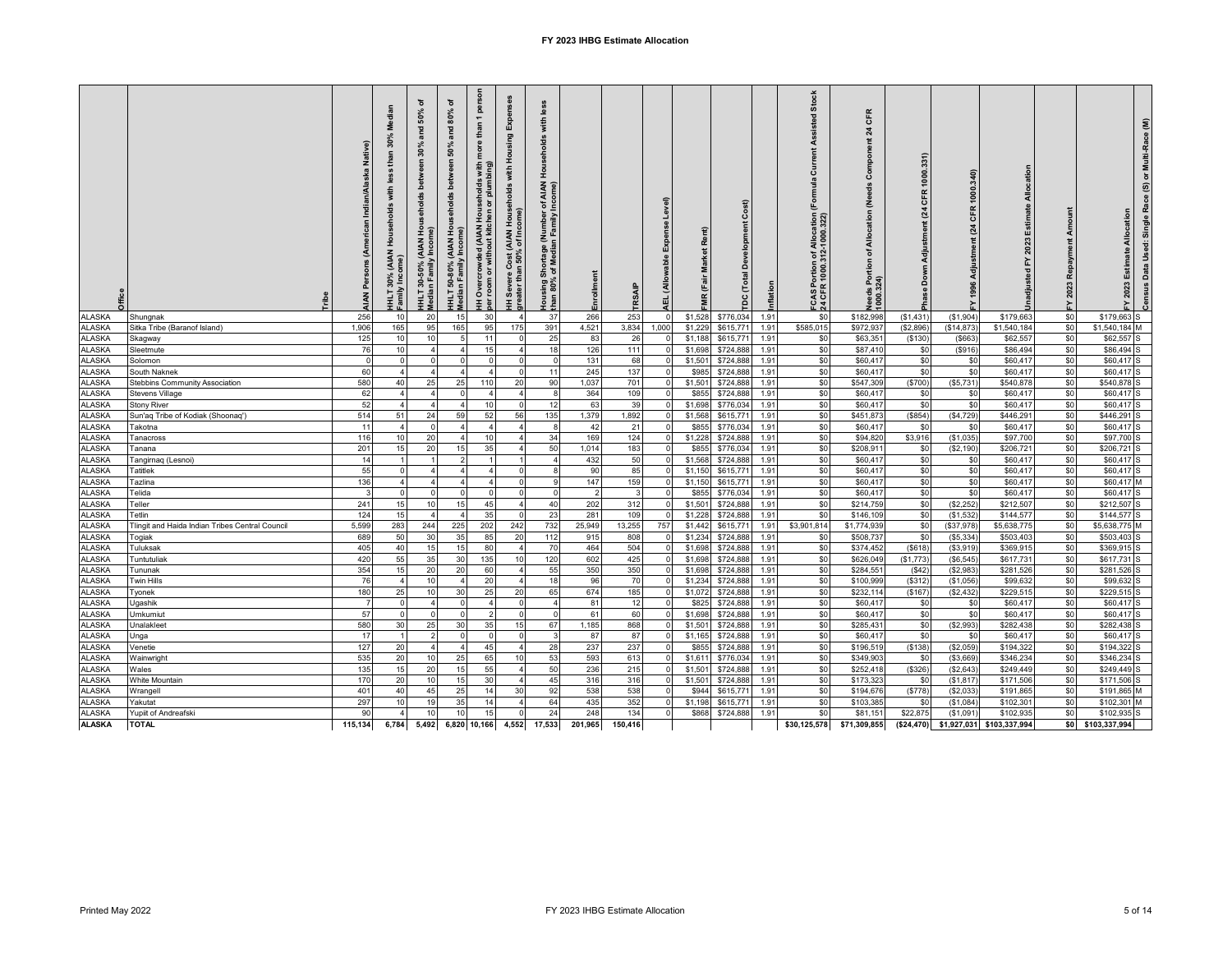| ္မီ                            |                                                  | Native)<br>Indian/Alaska<br>rican<br>(Ame<br>Persons<br>Š | an<br>ž<br>30%<br>than<br>less<br>with<br>(AIAN Households<br>HHLT 30%<br>Family Inco | ৽<br>50%<br>and<br>30%<br>betwe<br>seholds<br>H <sub>ou</sub><br>(AIAN<br><b>Incor</b><br>HHLT 30-50% ( <i>i</i><br>Median Family I | ৳<br>80%<br>and<br>50%<br>bety<br>seholds<br>HHLT 50-80% (AIAN Ho<br>Median Family Income) | <b>B</b><br>g<br><del>1</del> H Overcrowded (AIAN Households with<br>oer room or without kitchen or plumbing) | Expenses<br>Housing<br>with<br><del>I</del> H Severe Cost (AIAN Households<br>jreater than 50% of Income) | less<br>with<br>Households<br>of AIAN<br>Income)<br>Housing Shortage (Number<br>han 80% of Median Family |              |            | Level) | Rent)<br>Market<br>(Fair<br>χ | velopment<br>DC (Total | nflation     | Assisted Stock<br>ā<br>(Formula<br>FCAS Portion of Allocation<br>24 CFR 1000.312-1000.322) | CFR<br>শ্ৰ<br>Component<br>(Needs<br>Allocation<br>৳<br>Needs Portion<br>1000.324) | <b>CFR</b><br>$\overline{a}$ | $\dot{a}$<br>1000.<br>CFR<br>$\mathbb{Z}$<br>1996 | Allocation<br>Estimate<br>2023<br>adj | Amoun<br>Repayment<br>2023 | Estimate Allocation<br>2023 | Census Data Used: Single Race (S) or Multi-Race (M) |
|--------------------------------|--------------------------------------------------|-----------------------------------------------------------|---------------------------------------------------------------------------------------|-------------------------------------------------------------------------------------------------------------------------------------|--------------------------------------------------------------------------------------------|---------------------------------------------------------------------------------------------------------------|-----------------------------------------------------------------------------------------------------------|----------------------------------------------------------------------------------------------------------|--------------|------------|--------|-------------------------------|------------------------|--------------|--------------------------------------------------------------------------------------------|------------------------------------------------------------------------------------|------------------------------|---------------------------------------------------|---------------------------------------|----------------------------|-----------------------------|-----------------------------------------------------|
| <b>ALASKA</b>                  | Shungnak                                         | 256                                                       | 10                                                                                    | 20                                                                                                                                  | 15                                                                                         | 30                                                                                                            |                                                                                                           | 37                                                                                                       | 266          | 253        |        | \$1,528                       | \$776,03               | 1.91         | \$0                                                                                        | \$182,998                                                                          | (\$1,431)                    | (S1,904)                                          | \$179,663                             | \$0                        | \$179,663 S                 |                                                     |
| <b>ALASKA</b>                  | Sitka Tribe (Baranof Island)                     | 1,906                                                     | 165                                                                                   | 95                                                                                                                                  | 165                                                                                        | 95                                                                                                            | 175                                                                                                       | 391                                                                                                      | 4,521        | 3,834      | 1,000  | \$1,229                       | \$615,77               | 1.91         | \$585,015                                                                                  | \$972,937                                                                          | (\$2,896                     | (\$14, 873                                        | \$1,540,184                           | \$0                        | \$1,540,184 M               |                                                     |
| ALASKA<br>ALASKA               | Skagway                                          | 125                                                       | 10                                                                                    | 10                                                                                                                                  |                                                                                            | 11                                                                                                            |                                                                                                           | 25                                                                                                       | 83           | 26         |        | \$1,188                       | \$615,77               | 1.91         | \$0                                                                                        | \$63,351                                                                           | (\$130                       | ( \$663]                                          | \$62,55                               | \$0                        | \$62,557                    |                                                     |
|                                | Sleetmute                                        | 76                                                        | 10                                                                                    | $\overline{4}$                                                                                                                      | $\overline{4}$                                                                             | 15                                                                                                            | $\overline{4}$                                                                                            | 18                                                                                                       | 126          | 111        |        | \$1,698                       | \$724,888              | 1.91         | \$0                                                                                        | \$87,410                                                                           | \$0                          | (S916)                                            | \$86,494                              | \$0                        | \$86,494 S                  |                                                     |
| <b>ALASKA</b>                  | Solomon                                          |                                                           |                                                                                       |                                                                                                                                     | $\Omega$                                                                                   | $\Omega$                                                                                                      |                                                                                                           | $\Omega$                                                                                                 | 131          | 68         |        | \$1,501                       | \$724,888              | 1.91         | \$0                                                                                        | \$60,417                                                                           | \$0                          | \$0                                               | \$60,417                              | \$0                        | \$60,417 S                  |                                                     |
| <b>ALASKA</b><br><b>ALASKA</b> | South Naknek                                     | 60                                                        |                                                                                       |                                                                                                                                     |                                                                                            | $\overline{4}$                                                                                                | $\Omega$                                                                                                  | 11                                                                                                       | 245          | 137        |        | \$985                         | \$724,888              | 1.91         | \$0                                                                                        | \$60,417                                                                           | \$0                          | \$0                                               | \$60,417                              | \$0                        | \$60,417 S                  |                                                     |
| <b>ALASKA</b>                  | Stebbins Community Association                   | 580<br>62                                                 | 40<br>$\overline{4}$                                                                  | $25\,$                                                                                                                              | $25\,$<br>$\Omega$                                                                         | 110<br>$\overline{4}$                                                                                         | 20<br>$\overline{4}$                                                                                      | 90                                                                                                       | 1,037<br>364 | 701<br>109 |        | \$1,501                       | \$724,888<br>\$724,888 | 1.91<br>1.91 | \$0<br>\$0                                                                                 | \$547,309                                                                          | (\$700)                      | (\$5,731)                                         | \$540,87                              | \$0<br>\$0                 | \$540,878 S<br>\$60,417 S   |                                                     |
| <b>ALASKA</b>                  | Stevens Village                                  | 52                                                        |                                                                                       | $\overline{4}$<br>$\mathbf{A}$                                                                                                      | $\mathbf{A}$                                                                               | 10                                                                                                            | $\Omega$                                                                                                  | 12                                                                                                       | 63           | 39         |        | \$855<br>\$1,698              | \$776,034              | 1.91         | \$0                                                                                        | \$60,417<br>\$60,417                                                               | \$0<br>\$0                   | \$0<br>\$0                                        | \$60,417<br>\$60,417                  | \$0                        | \$60,417 S                  |                                                     |
| <b>ALASKA</b>                  | Stony River<br>Sun'aq Tribe of Kodiak (Shoonaq') | 514                                                       | 51                                                                                    | 24                                                                                                                                  | 59                                                                                         | 52                                                                                                            | 56                                                                                                        | 135                                                                                                      | 1,379        | 1,892      |        | \$1,568                       | \$615,77               | 1.91         | \$0                                                                                        | \$451,873                                                                          | (\$854)                      | (S4, 729)                                         | \$446,29                              | \$0                        | \$446,291 S                 |                                                     |
| <b>ALASKA</b>                  | Takotna                                          | 11                                                        |                                                                                       | $\overline{0}$                                                                                                                      | $\mathbf{A}$                                                                               | $\overline{4}$                                                                                                |                                                                                                           |                                                                                                          | 42           | 21         |        | \$855                         | \$776,034              | 1.91         | \$0                                                                                        | \$60,417                                                                           | \$0                          | \$0                                               | \$60,41                               | \$0                        | \$60,417 S                  |                                                     |
| <b>ALASKA</b>                  | Tanacross                                        | 116                                                       | 10                                                                                    | 20                                                                                                                                  |                                                                                            | 10                                                                                                            |                                                                                                           | 34                                                                                                       | 169          | 124        |        | \$1,228                       | \$724,88               | 1.91         | \$0                                                                                        | \$94,820                                                                           | \$3,916                      | (\$1,035)                                         | \$97,700                              | \$0                        | \$97,700                    |                                                     |
| <b>ALASKA</b>                  | "anana                                           | 201                                                       | 15                                                                                    | 20                                                                                                                                  | 15                                                                                         | 35                                                                                                            |                                                                                                           | 50                                                                                                       | 1,014        | 183        |        | \$855                         | \$776,034              | 1.91         | \$0                                                                                        | \$208,911                                                                          | \$0                          | (\$2,190)                                         | \$206,72                              | \$0                        | \$206,721                   |                                                     |
|                                | Tangirnaq (Lesnoi)                               | 14                                                        |                                                                                       |                                                                                                                                     |                                                                                            |                                                                                                               |                                                                                                           |                                                                                                          | 432          | 50         |        | \$1,568                       | \$724,888              | 1.91         | \$0                                                                                        | \$60,417                                                                           | \$0                          | \$0                                               | \$60,41                               | \$0                        | \$60,417 S                  |                                                     |
| ALASKA<br>ALASKA               | Tatitlek                                         | 55                                                        | $\Omega$                                                                              | $\overline{4}$                                                                                                                      | $\overline{4}$                                                                             | $\overline{4}$                                                                                                | $\Omega$                                                                                                  |                                                                                                          | 90           | 85         |        | \$1,150                       | \$615,771              | 1.91         | \$0                                                                                        | \$60,417                                                                           | \$0                          | \$0                                               | \$60,41                               | \$0                        | \$60,417 S                  |                                                     |
| <b>ALASKA</b>                  | Tazlina                                          | 136                                                       |                                                                                       |                                                                                                                                     |                                                                                            | $\overline{4}$                                                                                                |                                                                                                           |                                                                                                          | 147          | 159        |        | \$1,150                       | \$615,77               | 1.91         | \$0                                                                                        | \$60,417                                                                           | \$0                          | \$0                                               | \$60,417                              | \$0                        | \$60,417 M                  |                                                     |
| <b>ALASKA</b>                  | Telida                                           |                                                           |                                                                                       |                                                                                                                                     |                                                                                            | $\Omega$                                                                                                      |                                                                                                           |                                                                                                          |              |            |        | \$855                         | \$776,034              | 1.91         | \$0                                                                                        | \$60,417                                                                           | \$0                          | \$0                                               | \$60,41                               | \$0                        | \$60,417 S                  |                                                     |
| <b>ALASKA</b>                  | Teller                                           | 241                                                       | 15                                                                                    | 10                                                                                                                                  | 15                                                                                         | 45                                                                                                            |                                                                                                           | 40                                                                                                       | 202          | 312        |        | \$1,501                       | \$724,888              | 1.91         | \$0                                                                                        | \$214,759                                                                          | \$0                          | (\$2,252)                                         | \$212,507                             | \$0                        | \$212,507 S                 |                                                     |
| <b>ALASKA</b>                  | Tetlin                                           | 124                                                       | 15                                                                                    | $\overline{a}$                                                                                                                      | $\overline{a}$                                                                             | 35                                                                                                            | $\Omega$                                                                                                  | 23                                                                                                       | 281          | 109        |        | \$1,228                       | \$724,888              | 1.91         | \$0                                                                                        | \$146,109                                                                          | \$0                          | (\$1,532                                          | \$144,57                              | \$0                        | \$144,577 S                 |                                                     |
| <b>ALASKA</b>                  | Tlingit and Haida Indian Tribes Central Council  | 5,599                                                     | 283                                                                                   | 244                                                                                                                                 | 225                                                                                        | 202                                                                                                           | 242                                                                                                       | 732                                                                                                      | 25,949       | 13,255     | 757    | \$1,442                       | \$615,771              | 1.91         | \$3,901,814                                                                                | \$1,774,939                                                                        | \$0                          | (\$37,978                                         | \$5,638,775                           | \$0                        | \$5,638,775 M               |                                                     |
| <b>ALASKA</b>                  | Togiak                                           | 689                                                       | 50                                                                                    | 30                                                                                                                                  | 35                                                                                         | 85                                                                                                            | 20                                                                                                        | 112                                                                                                      | 915          | 808        |        | \$1,234                       | \$724,888              | 1.91         | \$0                                                                                        | \$508,737                                                                          | \$0                          | (\$5,334)                                         | \$503,40                              | \$0                        | \$503,403 S                 |                                                     |
| <b>ALASKA</b>                  | Tuluksak                                         | 405                                                       | 40                                                                                    | 15                                                                                                                                  | 15                                                                                         | 80                                                                                                            | 4                                                                                                         | 70                                                                                                       | 464          | 504        |        | \$1,698                       | \$724,888              | 1.91         | \$0                                                                                        | \$374,452                                                                          | (\$618)                      | (\$3,919                                          | \$369,91                              | \$0                        | \$369,915 S                 |                                                     |
| <b>ALASKA</b>                  | Tuntutuliak                                      | 420                                                       | 55                                                                                    | 35                                                                                                                                  | 30                                                                                         | 135                                                                                                           | 10                                                                                                        | 120                                                                                                      | 602          | 425        |        | \$1,698                       | \$724,888              | 1.91         | \$0                                                                                        | \$626,049                                                                          | (\$1,773                     | (S6, 545)                                         | \$617,73                              | \$0                        | \$617,731                   |                                                     |
| <b>ALASKA</b>                  | <sup>-</sup> ununak                              | 354                                                       | 15                                                                                    | 20                                                                                                                                  | 20                                                                                         | 60                                                                                                            |                                                                                                           | 55                                                                                                       | 350          | 350        |        | \$1,698                       | \$724,888              | 1.91         | \$0                                                                                        | \$284,551                                                                          | (\$42                        | (\$2,983                                          | \$281,526                             | \$0                        | \$281,526 S                 |                                                     |
| <b>ALASKA</b>                  | Twin Hills                                       | 76                                                        |                                                                                       | 10                                                                                                                                  |                                                                                            | 20                                                                                                            |                                                                                                           | 18                                                                                                       | 96           | 70         |        | \$1,234                       | \$724,888              | 1.91         | \$0                                                                                        | \$100,999                                                                          | (\$312                       | (S1,056)                                          | \$99,632                              | \$0                        | \$99,632                    |                                                     |
| <b>ALASKA</b>                  | vonek                                            | 180                                                       | 25                                                                                    | 10                                                                                                                                  | 30                                                                                         | 25                                                                                                            | 20                                                                                                        | 65                                                                                                       | 674          | 185        |        | \$1,072                       | \$724,888              | 1.91         | \$0                                                                                        | \$232,114                                                                          | (\$167                       | (S2, 432)                                         | \$229,51                              | \$0                        | \$229,515 S                 |                                                     |
| <b>ALASKA</b><br><b>ALASKA</b> | Jgashik                                          |                                                           | $\Omega$                                                                              |                                                                                                                                     | $\Omega$                                                                                   | $\overline{4}$<br>$\overline{2}$                                                                              | $\Omega$                                                                                                  |                                                                                                          | 81           | 12         |        | \$825                         | \$724,888              | 1.91         | \$0                                                                                        | \$60,417                                                                           | \$0                          | \$0                                               | \$60,417                              | \$0                        | \$60,417 S                  |                                                     |
| <b>ALASKA</b>                  | Jmkumiut<br>Unalakleet                           | 57<br>580                                                 | 30 <sup>1</sup>                                                                       | $\overline{0}$<br>25                                                                                                                | $\Omega$<br>30                                                                             | 35                                                                                                            | 15                                                                                                        | 67                                                                                                       | 61<br>1,185  | 60<br>868  |        | \$1,698<br>\$1,501            | \$724,888<br>\$724,888 | 1.91<br>1.91 | \$0<br>\$0                                                                                 | \$60,417<br>\$285,431                                                              | \$0<br>\$0                   | \$0<br>(S2,993)                                   | \$60,417<br>\$282,438                 | \$0<br>\$0                 | \$60,417 S<br>\$282,438 S   |                                                     |
| <b>ALASKA</b>                  |                                                  | 17                                                        |                                                                                       | $\overline{2}$                                                                                                                      | $\Omega$                                                                                   | $\Omega$                                                                                                      | $\Omega$                                                                                                  |                                                                                                          | 87           | 87         |        |                               |                        | 1.91         | \$0                                                                                        |                                                                                    | \$0                          |                                                   |                                       | \$0                        | \$60,417 S                  |                                                     |
| <b>ALASKA</b>                  | Jnga<br>/enetie                                  | 127                                                       | 20                                                                                    | $\overline{4}$                                                                                                                      | $\overline{4}$                                                                             | 45                                                                                                            |                                                                                                           | 28                                                                                                       | 237          | 237        |        | \$1,165<br>\$855              | \$724,888<br>\$724,888 | 1.91         | \$0                                                                                        | \$60,417<br>\$196,519                                                              | (\$138                       | \$0<br>(\$2,059)                                  | \$60,41<br>\$194,322                  | \$0                        | \$194,322 S                 |                                                     |
| <b>ALASKA</b>                  | Wainwright                                       | 535                                                       | 20                                                                                    | 10                                                                                                                                  | 25                                                                                         | 65                                                                                                            | 10                                                                                                        | 53                                                                                                       | 593          | 613        |        | \$1,61                        | \$776,03               | 1.91         | \$0                                                                                        | \$349,90                                                                           | \$0                          | (\$3,669                                          | \$346,234                             | \$0                        | \$346,234 S                 |                                                     |
| <b>ALASKA</b>                  | Wales                                            | 135                                                       | 15                                                                                    | 20                                                                                                                                  | 15                                                                                         | 55                                                                                                            | $\Delta$                                                                                                  | 50                                                                                                       | 236          | 215        |        | \$1,501                       | \$724,888              | 1.91         | \$0                                                                                        | \$252,418                                                                          | \$326                        | (\$2,643                                          | \$249,449                             | \$0                        | \$249,449 S                 |                                                     |
| <b>ALASKA</b>                  | White Mountain                                   | 170                                                       | 20                                                                                    | 10                                                                                                                                  | 15                                                                                         | 30                                                                                                            |                                                                                                           | 45                                                                                                       | 316          | 316        |        | \$1,501                       | \$724,888              | 1.91         | \$0                                                                                        | \$173,323                                                                          | \$0                          | (S1, 817)                                         | \$171,506                             | \$0                        | \$171,506 S                 |                                                     |
| <b>ALASKA</b>                  | Wrangell                                         | 401                                                       | 40                                                                                    | 45                                                                                                                                  | 25                                                                                         | 14                                                                                                            | 30                                                                                                        | 92                                                                                                       | 538          | 538        |        | \$944                         | \$615,77               | 1.91         | \$0                                                                                        | \$194,676                                                                          | (\$778                       | (\$2,033                                          | \$191,865                             | \$0                        | \$191,865 M                 |                                                     |
| <b>ALASKA</b>                  | Yakutat                                          | 297                                                       | 10                                                                                    | 19                                                                                                                                  | 35                                                                                         | 14                                                                                                            |                                                                                                           | 64                                                                                                       | 435          | 352        |        | \$1,198                       | \$615,77               | 1.91         | \$0                                                                                        | \$103,385                                                                          | \$0                          | (\$1,084)                                         | \$102,30                              | \$0                        | \$102,301 M                 |                                                     |
| <b>ALASKA</b>                  | Yupiit of Andreafski                             | 90                                                        |                                                                                       | 10                                                                                                                                  | 10                                                                                         | 15                                                                                                            |                                                                                                           | 24                                                                                                       | 248          | 134        |        | \$868                         | \$724,888              | 1.91         | \$0                                                                                        | \$81,151                                                                           | \$22,875                     | (\$1,091                                          | \$102,935                             | \$0                        | \$102,935 S                 |                                                     |
| <b>ALASKA</b>                  | TOTAL                                            | 115,134                                                   | 6,784                                                                                 | 5,492                                                                                                                               |                                                                                            | 6,820 10,166                                                                                                  | 4,552                                                                                                     | 17,533                                                                                                   | 201,965      | 150,416    |        |                               |                        |              | \$30,125,578                                                                               | \$71,309,855                                                                       | (\$24,470)                   | \$1,927,031                                       | \$103,337,994                         | \$0                        | \$103,337,994               |                                                     |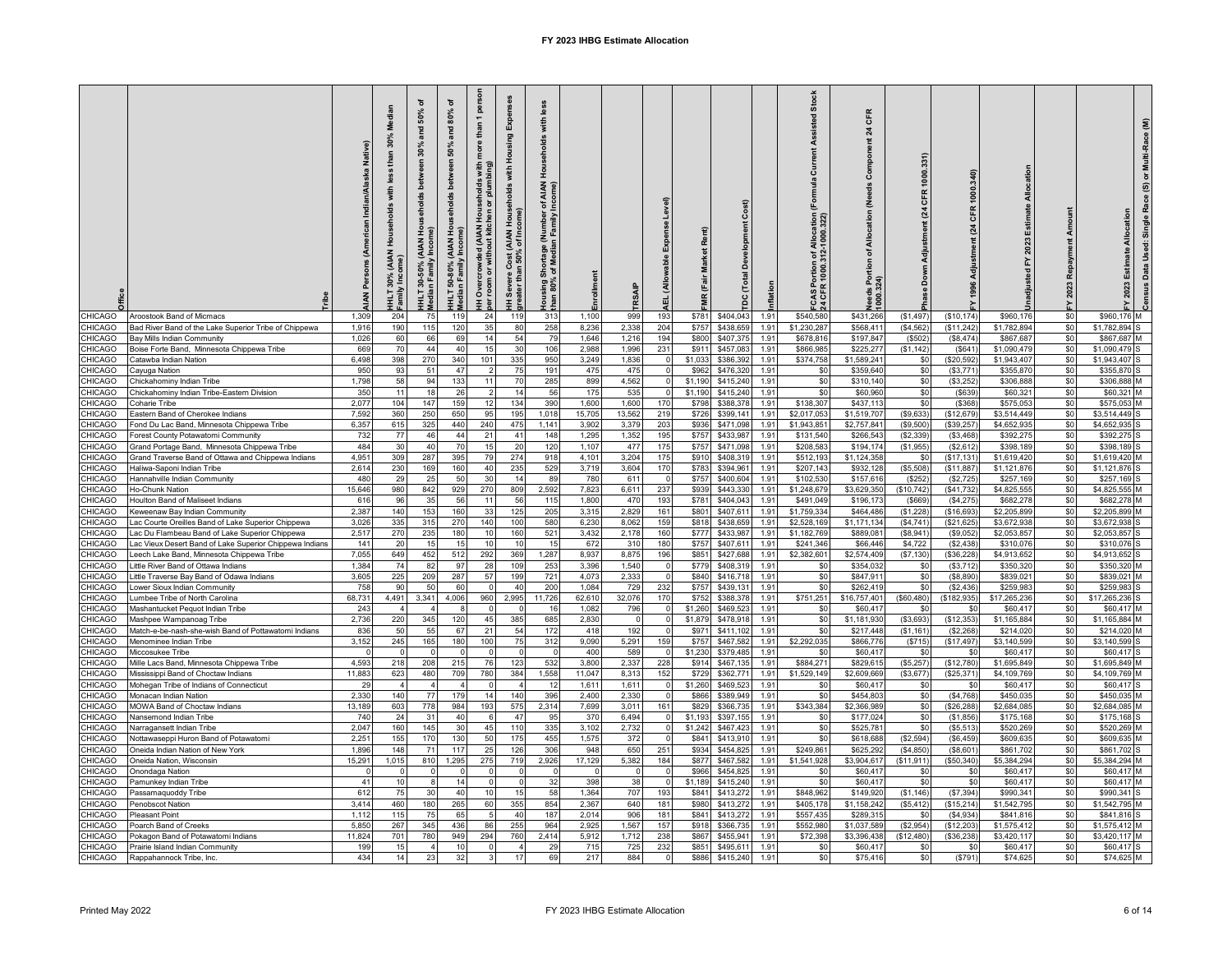| ငိ<br>CHICAGO                  | Aroostook Band of Micmacs                                                      | Native)<br>laska<br>Indian/Al<br>(Ame<br>Pers<br>¥ | Med<br>£<br>sith<br><b>AIAN</b><br>30%<br>204 | ৳<br>50%<br>꼳<br>30%<br>3<br>로<br>Incor<br>Aedian Family<br>HLT30-50%<br>75 | ৢ<br>80%<br>몯<br>-8<br>오<br>ଢ<br>lncon<br><b>AIAN</b><br><b>Median Family</b><br>50-80%<br>보<br>119 | 8<br>with<br>ŏ<br>kitch<br><b>AIAN</b><br>ŏ<br>Overcr<br>room<br>24 | 홍<br>呗<br><b>g</b><br>Hous<br>with<br>holds<br>Househ<br>AIAN)<br>Severe Cost (<br>ater than 50%<br>119 | less<br>with<br>holds<br>ठ<br>Family<br>৳<br>᠊ᅘ<br>80%<br>g<br>han<br>313 |                 | 999             |            | <u>ଝ</u><br>Market<br>(Fair<br>¥<br>\$781 | Cost)<br>\$404.043     | flation<br>1.91 | Assisted Stock<br>Current<br>호호<br>FCAS Portion<br>\$540,580 | CFR<br>$\frac{24}{2}$<br><b>Com</b><br>(Needs<br>Allocation<br>৳<br>tion<br><b>Jeeds Port</b><br>000.324)<br>\$431,266 | (\$1,497)            | CFR<br>$^{124}$<br>1996<br>(\$10, 174) | Estimate<br>2023<br>≿<br>ਵੰ<br>\$960,176 | 2023<br>\$0 | $\tilde{\mathbf{z}}$<br>Multi-Race<br>ā<br>ම<br>Single Race<br>Allocation<br>Used:<br>Estimate<br>Data<br>2023<br>Census<br>\$960,176 M |
|--------------------------------|--------------------------------------------------------------------------------|----------------------------------------------------|-----------------------------------------------|-----------------------------------------------------------------------------|-----------------------------------------------------------------------------------------------------|---------------------------------------------------------------------|---------------------------------------------------------------------------------------------------------|---------------------------------------------------------------------------|-----------------|-----------------|------------|-------------------------------------------|------------------------|-----------------|--------------------------------------------------------------|------------------------------------------------------------------------------------------------------------------------|----------------------|----------------------------------------|------------------------------------------|-------------|-----------------------------------------------------------------------------------------------------------------------------------------|
| CHICAGO                        | Bad River Band of the Lake Superior Tribe of Chippewa                          | 1,309<br>1,916                                     | 190                                           | 115                                                                         | 120                                                                                                 | 35                                                                  | 80                                                                                                      | 258                                                                       | 1,100<br>8,236  | 2,338           | 193<br>204 | \$757                                     | \$438,659              | 1.91            | \$1,230,287                                                  | \$568,411                                                                                                              | (\$4,562             | (\$11,242)                             | \$1,782,894                              | \$0         | \$1.782.894                                                                                                                             |
| <b>HICAGO</b>                  | <b>Bay Mills Indian Community</b>                                              | 1,026                                              | 60                                            | 66                                                                          | 69                                                                                                  | 14                                                                  | 54                                                                                                      | 79                                                                        | 1,646           | 1,216           | 194        | \$800                                     | \$407,375              | 1.91            | \$678,816                                                    | \$197,847                                                                                                              | (\$502"              | (S8, 474)                              | \$867,687                                | \$0         | \$867,687                                                                                                                               |
| <b>HICAGO</b>                  | Boise Forte Band, Minnesota Chippewa Tribe                                     | 669                                                | 70                                            | 44                                                                          | 40                                                                                                  | 15                                                                  | 30                                                                                                      | 106                                                                       | 2,988           | 1,996           | 231        | \$911                                     | \$457,083              | 1.91            | \$866,985                                                    | \$225,277                                                                                                              | (\$1, 142)           | (S641)                                 | \$1,090,479                              | \$0         | \$1,090,479                                                                                                                             |
| <b>HICAGO</b>                  | Catawba Indian Nation                                                          | 6,498                                              | 398                                           | 270                                                                         | 340                                                                                                 | 101                                                                 | 335                                                                                                     | 950                                                                       | 3,249           | 1,836           | $\Omega$   | \$1,033                                   | \$386,392              | 1.91            | \$374,758                                                    | \$1,589,241                                                                                                            | \$0                  | (\$20,592                              | \$1,943,407                              | \$0         | \$1,943,407                                                                                                                             |
| <b>HICAGO</b>                  | Cayuga Nation                                                                  | 950                                                | 93                                            | 51                                                                          | 47                                                                                                  | $\overline{2}$                                                      | 75                                                                                                      | 191                                                                       | 475             | 475             | $\Omega$   | \$962                                     | \$476,320              | 1.91            | -90                                                          | \$359,640                                                                                                              | \$0                  | (\$3,771                               | \$355,870                                | \$0         | \$355,870                                                                                                                               |
| <b>HICAGO</b>                  | Chickahominy Indian Tribe                                                      | 1,798                                              | 58                                            | 94                                                                          | 133                                                                                                 | 11                                                                  | 70                                                                                                      | 285                                                                       | 899             | 4,562           | $\Omega$   | \$1,190                                   | \$415,240              | 1.91            | \$0                                                          | \$310,140                                                                                                              | \$0                  | (\$3,252                               | \$306,888                                | \$0         | \$306,888                                                                                                                               |
| <b>HICAGO</b>                  | Chickahominy Indian Tribe-Eastern Division                                     | 350                                                | 11                                            | 18                                                                          | 26                                                                                                  | $\overline{2}$                                                      | 14                                                                                                      | 56                                                                        | 175             | 535             |            | \$1,190                                   | \$415,240              | 1.91            | \$0                                                          | \$60,960                                                                                                               | \$0                  | (\$639                                 | \$60,32                                  | \$0         | \$60,321<br>м                                                                                                                           |
| <b>HICAGO</b>                  | Coharie Tribe                                                                  | 2,077<br>7.59                                      | 104                                           | 147                                                                         | 159                                                                                                 | 12                                                                  | 134                                                                                                     | 390                                                                       | 1,600           | 1,600           | 170        | \$798                                     | \$388,378              | 1.91<br>191     | \$138,307                                                    | \$437,113                                                                                                              | \$0                  | (\$368                                 | \$575,05                                 | \$0         | \$575,053<br>\$3,514,449                                                                                                                |
| <b>HICAGO</b><br><b>HICAGO</b> | Eastern Band of Cherokee Indians<br>ond Du Lac Band, Minnesota Chippewa Tribe  | 6,357                                              | 360<br>615                                    | 250<br>325                                                                  | 650<br>440                                                                                          | 95<br>240                                                           | 195<br>475                                                                                              | 1,018<br>1,141                                                            | 15,705<br>3,902 | 13,562<br>3,379 | 219<br>203 | \$726<br>\$936                            | \$399,141<br>\$471,098 | 1.91            | \$2,017,053<br>\$1,943,851                                   | \$1,519,707<br>\$2,757,84                                                                                              | (\$9,633<br>(\$9,500 | (\$12,679<br>(\$39,257                 | \$3,514,449<br>\$4,652,935               | \$0<br>\$0  | \$4,652,93                                                                                                                              |
| <b>HICAGO</b>                  | Forest County Potawatomi Community                                             | 732                                                | 77                                            | 46                                                                          | 44                                                                                                  | 21                                                                  | 41                                                                                                      | 148                                                                       | 1,295           | 1,352           | 195        | \$757                                     | \$433,987              | 1.91            | \$131,540                                                    | \$266,543                                                                                                              | (\$2,339)            | (S3, 468)                              | \$392,275                                | \$0         | \$392,275                                                                                                                               |
| <b>HICAGO</b>                  | Grand Portage Band, Minnesota Chippewa Tribe                                   | 484                                                | 30                                            | 40                                                                          | 70                                                                                                  | 15                                                                  | 20                                                                                                      | 120                                                                       | 1,107           | 477             | 175        | \$757                                     | \$471,098              | 1.91            | \$208,583                                                    | \$194,174                                                                                                              | (\$1,955]            | (\$2,612                               | \$398,189                                | \$0         | \$398,189                                                                                                                               |
| <b>HICAGO</b>                  | Grand Traverse Band of Ottawa and Chippewa Indians                             | 4,951                                              | 309                                           | 287                                                                         | 395                                                                                                 | 79                                                                  | 274                                                                                                     | 918                                                                       | 4,101           | 3,204           | 175        | \$910                                     | \$408,319              | 1.91            | \$512,193                                                    | \$1,124,358                                                                                                            | \$0                  | (\$17, 131                             | \$1,619,420                              | \$0         | \$1,619,420                                                                                                                             |
| <b>HICAGO</b>                  | Haliwa-Saponi Indian Tribe                                                     | 2,614                                              | 230                                           | 169                                                                         | 160                                                                                                 | 40                                                                  | 235                                                                                                     | 529                                                                       | 3,719           | 3,604           | 170        | \$783                                     | \$394,961              | 1.91            | \$207,143                                                    | \$932,128                                                                                                              | (\$5,508)            | (\$11,887                              | \$1,121,876                              | \$0         | \$1,121,876                                                                                                                             |
| <b>HICAGO</b>                  | Hannahville Indian Community                                                   | 480                                                | 29                                            | 25                                                                          | 50                                                                                                  | 30                                                                  | 14                                                                                                      | 89                                                                        | 780             | 611             |            | \$757                                     | \$400,604              | 1.91            | \$102,53                                                     | \$157,616                                                                                                              | (\$252               | (S2, 725)                              | \$257,169                                | \$0         | \$257,169                                                                                                                               |
| <b>HICAGO</b>                  | <b>Ho-Chunk Nation</b>                                                         | 15,646                                             | 980                                           | 842                                                                         | 929                                                                                                 | 270                                                                 | 809                                                                                                     | 2,592                                                                     | 7,823           | 6,611           | 237        | \$939                                     | \$443,330              | 1.91            | \$1,248,679                                                  | \$3,629,350                                                                                                            | (\$10,742            | (\$41,732                              | \$4.825.55                               | \$0         | \$4,825.55                                                                                                                              |
| <b>HICAGO</b>                  | Houlton Band of Maliseet Indians                                               | 616                                                | 96                                            | 35                                                                          | 56                                                                                                  | 11                                                                  | 56                                                                                                      | 115                                                                       | 1,800           | 470             | 193        | \$781                                     | \$404,043              | 1.91            | \$491,049                                                    | \$196,173                                                                                                              | (\$669               | (\$4,275                               | \$682,278                                | \$0         | \$682,278                                                                                                                               |
| <b>HICAGO</b>                  | Geweenaw Bay Indian Community                                                  | 2,387                                              | 140                                           | 153                                                                         | 160                                                                                                 | 33                                                                  | 125                                                                                                     | 205                                                                       | 3,315           | 2,829           | 161        | \$801                                     | \$407,611              | 1.91            | \$1,759,334                                                  | \$464,486                                                                                                              | (\$1,228)            | (\$16,693                              | \$2,205,899                              | \$0         | \$2,205,899<br>м                                                                                                                        |
| <b>HICAGO</b>                  | ac Courte Oreilles Band of Lake Superior Chippewa                              | 3,026                                              | 335                                           | 315                                                                         | 270                                                                                                 | 140                                                                 | 100                                                                                                     | 580                                                                       | 6,230           | 8,062           | 159        | \$818                                     | \$438,659              | 1.91            | \$2,528,169                                                  | \$1,171,134                                                                                                            | (\$4,741             | (\$21,625                              | \$3,672,938                              | \$0         | \$3,672,938                                                                                                                             |
| <b>HICAGO</b>                  | ac Du Flambeau Band of Lake Superior Chippewa                                  | 2,517                                              | 270                                           | 235                                                                         | 180                                                                                                 | 10                                                                  | 160                                                                                                     | 521                                                                       | 3,432           | 2,178           | 160        | \$777                                     | \$433,987              | 1.91            | \$1,182,769                                                  | \$889,08                                                                                                               | (\$8,941             | (\$9,052                               | \$2,053,85                               | \$0         | \$2,053,857                                                                                                                             |
| <b>HICAGO</b><br><b>HICAGO</b> | ac Vieux Desert Band of Lake Superior Chippewa Indians                         | 141<br>7,055                                       | 20<br>649                                     | 15<br>452                                                                   | 15<br>512                                                                                           | 10<br>292                                                           | 10<br>369                                                                                               | 15<br>1,287                                                               | 672<br>8,937    | 310             | 180<br>196 | \$757<br>\$851                            | \$407,611<br>\$427,688 | 1.91<br>1.91    | \$241,346<br>\$2,382,601                                     | \$66,446<br>\$2,574,409                                                                                                | \$4,722<br>(\$7,130) | (\$2,438)                              | \$310,07<br>\$4,913,65                   | \$0<br>\$0  | \$310,076<br>\$4.913.652                                                                                                                |
| <b>HICAGO</b>                  | eech Lake Band, Minnesota Chippewa Tribe<br>ittle River Band of Ottawa Indians | 1.38                                               | 74                                            | 82                                                                          | 97                                                                                                  | 28                                                                  | 10 <sub>5</sub>                                                                                         | 25                                                                        | 3,396           | 8,875<br>1,540  |            | \$779                                     | \$408,319              | 1.91            | \$ <sub>6</sub>                                              | \$354,032                                                                                                              | \$0                  | (\$36,228<br>(\$3,712                  | \$350,32                                 | \$0         | \$350,320                                                                                                                               |
| <b>HICAGO</b>                  | ittle Traverse Bay Band of Odawa Indians                                       | 3,60                                               | 225                                           | 209                                                                         | 287                                                                                                 | 57                                                                  | 199                                                                                                     | 72                                                                        | 4,07            | 2,333           |            | \$840                                     | \$416,718              | 1.91            | \$0                                                          | \$847,91                                                                                                               | \$0                  | (\$8,890                               | \$839,02                                 | \$0         | \$839,02                                                                                                                                |
| <b>HICAGO</b>                  | ower Sioux Indian Community                                                    | 758                                                | 90                                            | 50                                                                          | 60                                                                                                  |                                                                     | $\Delta f$                                                                                              | 200                                                                       | 1,084           | 729             | 232        | \$757                                     | \$439,131              | 1.91            | $\mathbf{s}$                                                 | \$262,419                                                                                                              | \$0                  | (\$2,436                               | \$259,98                                 | \$0         | \$259,983                                                                                                                               |
| <b>HICAGO</b>                  | umbee Tribe of North Carolina.                                                 | 68,731                                             | 4,491                                         | 3,341                                                                       | 4,006                                                                                               | 960                                                                 | 2,995                                                                                                   | 11,726                                                                    | 62,610          | 32,076          | 170        | \$752                                     | \$388,378              | 1.91            | \$751,251                                                    | \$16,757,401                                                                                                           | ( \$60,480)          | (\$182,935)                            | \$17,265,23                              | \$0         | \$17,265,236                                                                                                                            |
| <b>HICAGO</b>                  | Mashantucket Pequot Indian Tribe                                               | 24:                                                |                                               |                                                                             |                                                                                                     |                                                                     |                                                                                                         | 16                                                                        | 1,082           | 796             |            | \$1,260                                   | \$469,523              | 1.91            | \$0                                                          | \$60,41                                                                                                                | \$ <sub>6</sub>      | \$ <sub>6</sub>                        | \$60,41                                  | \$0         | \$60,417                                                                                                                                |
| <b>HICAGO</b>                  | Mashpee Wampanoag Tribe                                                        | 2,736                                              | 220                                           | 345                                                                         | 120                                                                                                 | 45                                                                  | 385                                                                                                     | 685                                                                       | 2,830           | $\sqrt{ }$      |            | \$1,879                                   | \$478,918              | 1.91            | \$0                                                          | \$1,181,930                                                                                                            | (\$3,693)            | (\$12,353)                             | \$1,165,884                              | \$0         | \$1,165,884                                                                                                                             |
| <b>HICAGO</b>                  | Match-e-be-nash-she-wish Band of Pottawatomi Indians                           | 83                                                 | 50                                            | 55                                                                          | 67                                                                                                  | 21                                                                  | 54                                                                                                      | 172                                                                       | 418             | 192             |            | \$971                                     | \$411,102              | 1.91            | \$ <sub>6</sub>                                              | \$217,448                                                                                                              | (\$1,161             | (\$2,268                               | \$214.02                                 | \$0         | \$214,020                                                                                                                               |
| CHICAGO                        | Menominee Indian Tribe                                                         | 3,152                                              | 245                                           | 165                                                                         | 180                                                                                                 | 100                                                                 | 75                                                                                                      | 312                                                                       | 9,090           | 5,291           | 159        | \$757                                     | \$467,582              | 1.91            | \$2,292,035                                                  | \$866,776                                                                                                              | (\$715               | (\$17,497                              | \$3.140.599                              | \$0         | \$3,140,599                                                                                                                             |
| <b>HICAGO</b><br><b>HICAGO</b> | Aiccosukee Tribe<br>Ville Lacs Band, Minnesota Chippewa Tribe                  | 4,593                                              | 218                                           | 208                                                                         | - 0<br>215                                                                                          | - 0<br>76                                                           | 123                                                                                                     | 532                                                                       | 400<br>3,800    | 589<br>2,337    | 228        | \$1,230<br>\$914                          | \$379,485<br>\$467,135 | 1.91<br>1.91    | .sn<br>\$884,271                                             | \$60,417<br>\$829,615                                                                                                  | \$C<br>(\$5,257      | \$0<br>(\$12,780)                      | \$60,417<br>\$1,695,849                  | \$0<br>\$0  | \$60,417<br>\$1,695,849                                                                                                                 |
| <b>HICAGO</b>                  | Mississippi Band of Choctaw Indians                                            | 11,883                                             | 623                                           | 480                                                                         | 709                                                                                                 | 780                                                                 | 384                                                                                                     | 1,558                                                                     | 11,047          | 8,313           | 152        | \$729                                     | \$362,771              | 1.91            | \$1,529,149                                                  | \$2,609,669                                                                                                            | (\$3,677)            | (\$25,371)                             | \$4,109,769                              | \$0         | \$4,109,769<br>м                                                                                                                        |
| <b>HICAGO</b>                  | Mohegan Tribe of Indians of Connecticut                                        | 29                                                 | $\Delta$                                      |                                                                             | $\overline{a}$                                                                                      | - 0                                                                 | $\overline{A}$                                                                                          | 12                                                                        | 1,611           | 1,611           | $\Omega$   | \$1,260                                   | \$469,523              | 1.91            | \$0                                                          | \$60,417                                                                                                               | \$0                  | \$0                                    | \$60,417                                 | \$0         | \$60,417                                                                                                                                |
| <b>HICAGO</b>                  | Monacan Indian Nation                                                          | 2,330                                              | 140                                           | 77                                                                          | 179                                                                                                 | 14                                                                  | 140                                                                                                     | 396                                                                       | 2,400           | 2,330           | $\Omega$   | \$866                                     | \$389,949              | 1.91            | \$0                                                          | \$454,803                                                                                                              | \$0                  | (\$4,768)                              | \$450,035                                | \$0         | \$450,035<br>м                                                                                                                          |
| <b>HICAGO</b>                  | MOWA Band of Choctaw Indians                                                   | 13,189                                             | 603                                           | 778                                                                         | 984                                                                                                 | 193                                                                 | 575                                                                                                     | 2.314                                                                     | 7,699           | 3,011           | 161        | \$829                                     | \$366,73               | 1.91            | \$343,384                                                    | \$2,366,989                                                                                                            | \$0                  | (\$26, 288)                            | \$2,684,08                               | \$0         | \$2,684,085                                                                                                                             |
| <b>HICAGO</b>                  | Nansemond Indian Tribe                                                         | 74                                                 | 24                                            | 31                                                                          | 40                                                                                                  |                                                                     | 47                                                                                                      | 95                                                                        | 37(             | 6.494           |            | \$1.193                                   | \$397,15               | 1.91            | \$0                                                          | \$177.024                                                                                                              | \$0                  | (\$1,856                               | \$175,168                                | \$0         | \$175.168                                                                                                                               |
| <b>HICAGO</b>                  | <b>Narragansett Indian Tribe</b>                                               | 2,04                                               | 160                                           | 145                                                                         | 30                                                                                                  | 45                                                                  | 11f                                                                                                     | 33!                                                                       | 3,102           | 2,732           |            | \$1,242                                   | \$467,42               | 191             | $\mathsf{S}$                                                 | \$525,78                                                                                                               | \$0                  | (\$5,513                               | \$520,26                                 | \$0         | \$520.26                                                                                                                                |
| <b>HICAGO</b>                  | Nottawaseppi Huron Band of Potawatomi                                          | 2,25                                               | 155                                           | 170                                                                         | 130                                                                                                 | 50                                                                  | 175                                                                                                     | 455                                                                       | 1,575           | 372             |            | \$841                                     | \$413,910              | 1.91            | \$0                                                          | \$618,688                                                                                                              | (\$2,594)            | (\$6,459                               | \$609,635                                | \$0         | \$609,635                                                                                                                               |
| <b>HICAGO</b><br><b>HICAGO</b> | Oneida Indian Nation of New York                                               | 1,896                                              | 148                                           | 71                                                                          | $117$                                                                                               | 25                                                                  | 126                                                                                                     | 306                                                                       | 948             | 650             | 251        | \$934                                     | \$454,825              | 1.91            | \$249,861                                                    | \$625,292                                                                                                              | (\$4,850)            | (\$8,601                               | \$861,702                                | \$0         | \$861,702<br>\$5,384,294                                                                                                                |
| <b>HICAGO</b>                  | Oneida Nation, Wisconsin<br>Onondaga Natior                                    | 15,291                                             | 1,015                                         | 810                                                                         | 1,295<br>$\Omega$                                                                                   | 275<br>$\Omega$                                                     | 719                                                                                                     | 2,926                                                                     | 17,129          | 5,382           | 184        | \$877<br>\$966                            | \$467,582<br>\$454,825 | 1.91<br>1.91    | \$1,541,928<br>\$0                                           | \$3,904,617<br>\$60,417                                                                                                | (\$11,911]<br>\$0    | (\$50,340)<br>\$0                      | \$5,384,294<br>\$60,41                   | \$0<br>\$0  | \$60,417                                                                                                                                |
| <b>HICAGO</b>                  | 'amunkev Indian Tribe                                                          | 41                                                 | 10                                            |                                                                             | 14                                                                                                  |                                                                     |                                                                                                         | 32                                                                        | 398             | 38              |            | \$1.189                                   | \$415,240              | 1.91            | \$ <sub>6</sub>                                              | \$60,417                                                                                                               | \$C                  | \$C                                    | \$60,417                                 | \$0         | \$60,417                                                                                                                                |
| <b>HICAGO</b>                  | assamaquoddy Tribe                                                             | 61                                                 | 75                                            | 30                                                                          | 40                                                                                                  | 10                                                                  | 15                                                                                                      | 58                                                                        | 1,364           | 707             | 193        | \$841                                     | \$413,27               | 1.91            | \$848,962                                                    | \$149,92                                                                                                               | (\$1,146)            | (S7, 394)                              | \$990,341                                | \$0         | \$990,341                                                                                                                               |
| <b>HICAGO</b>                  | Penobscot Nation                                                               | 3,414                                              | 460                                           | 180                                                                         | 265                                                                                                 | 60                                                                  | 355                                                                                                     | 854                                                                       | 2,367           | 640             | 181        | \$980                                     | \$413,27               | 1.91            | \$405,178                                                    | \$1,158,24                                                                                                             | (\$5,412             | (\$15,214                              | \$1,542,795                              | \$0         | \$1,542,795                                                                                                                             |
| <b>HICAGO</b>                  | Pleasant Point                                                                 | 1,112                                              | 115                                           | 75                                                                          | 65                                                                                                  | -5                                                                  | 40                                                                                                      | 187                                                                       | 2.014           | 906             | 181        | \$841                                     | \$413,272              | 1.91            | \$557,435                                                    | \$289,315                                                                                                              | \$0                  | (S4, 934)                              | \$841,816                                | \$0         | \$841,816                                                                                                                               |
| <b>HICAGO</b>                  | Poarch Band of Creeks                                                          | 5,850                                              | 267                                           | 345                                                                         | 436                                                                                                 | 86                                                                  | 255                                                                                                     | 964                                                                       | 2,925           | 1,567           | 157        | \$918                                     | \$366,735              | 1.91            | \$552,980                                                    | \$1,037,589                                                                                                            | (\$2,954)            | (\$12,203                              | \$1,575,412                              | \$0         | \$1,575,412<br>м                                                                                                                        |
| <b>HICAGO</b>                  | Pokagon Band of Potawatomi Indians                                             | 11,824                                             | 701                                           | 780                                                                         | 949                                                                                                 | 294                                                                 | 760                                                                                                     | 2,414                                                                     | 5,912           | 1,712           | 238        | \$867                                     | \$455,941              | 1.91            | \$72,398                                                     | \$3,396,438                                                                                                            | (\$12,480)           | (\$36,238)                             | \$3,420,117                              | \$0         | \$3.420.117<br>м                                                                                                                        |
| <b>HICAGO</b>                  | Prairie Island Indian Community                                                | 199                                                | 15                                            |                                                                             | 10                                                                                                  |                                                                     |                                                                                                         | 29                                                                        | 715             | 725             | 232        | \$851                                     | \$495,611              | 1.91            | <b>S</b>                                                     | \$60,417                                                                                                               | \$0                  | \$0                                    | \$60,417                                 | \$0         | \$60.417                                                                                                                                |
| CHICAGO                        | Rappahannock Tribe, Inc.                                                       | 434                                                | 14                                            | 23                                                                          | 32                                                                                                  |                                                                     | 17                                                                                                      | 69                                                                        | 217             | 884             |            | \$886                                     | \$415,240              | 1.91            | \$0                                                          | \$75,416                                                                                                               | \$0                  | (S791)                                 | \$74,625                                 | \$0         | \$74,625 M                                                                                                                              |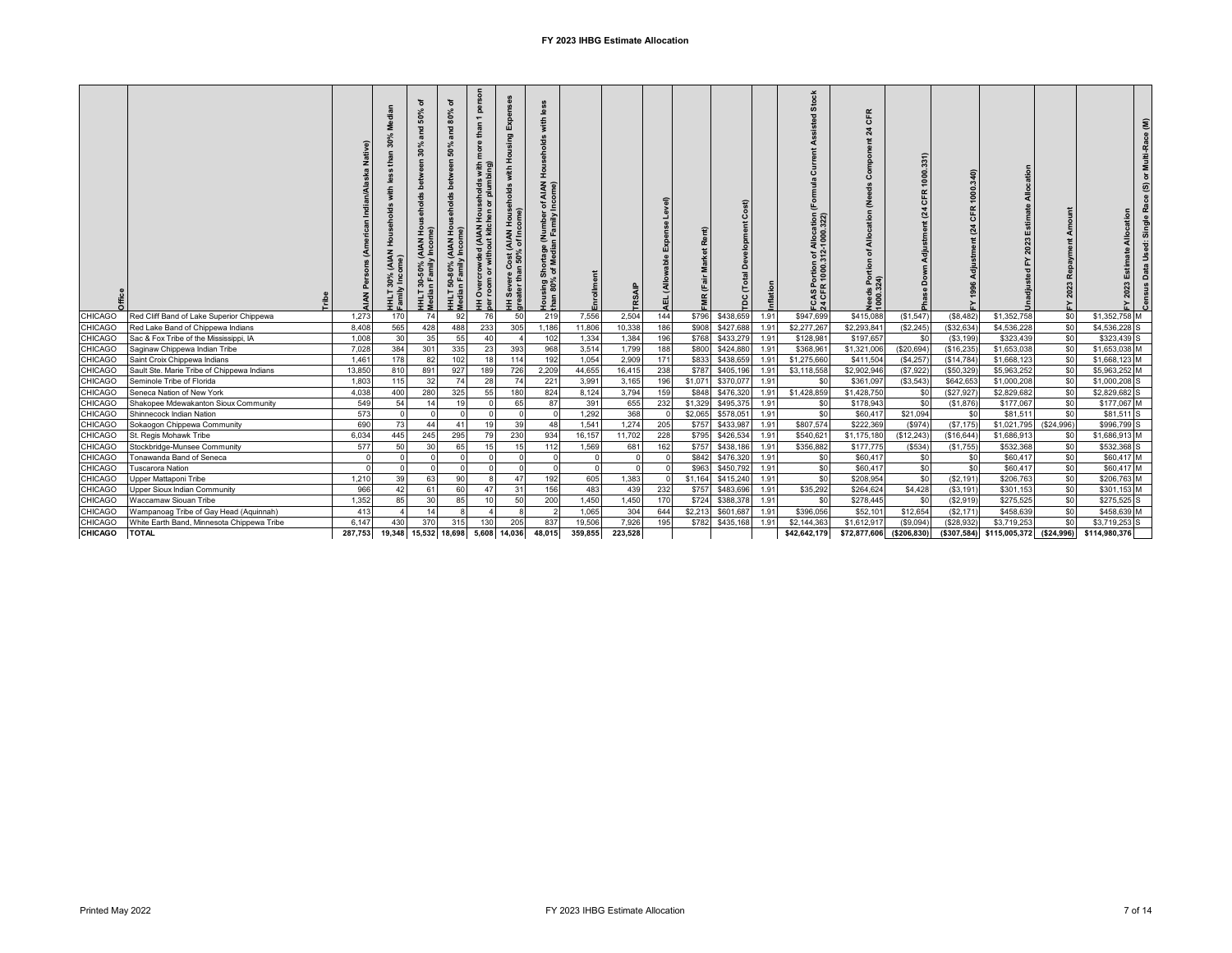|                           |                                                         |            | $\overline{30}$<br>$F_{\overline{a}}$ | ৽<br>50%<br>ಾ<br>္က<br>å<br>£<br>n Family<br>30-50%<br>E<br>THET | ৳<br>80%<br>ъ<br>និ<br>r 50-80% (AIAN Hou<br>an Family Income)<br>HHLT<br>Media | ō<br>holds with<br>plumbing)<br>৯<br><b>Dvercrowded (AIAN Hou</b><br>room or without kitchen<br>ò<br>$\equiv$ $\frac{1}{2}$ | g<br>sehold<br>Cost (AIAN Hous<br>n 50% of Income)<br>ere<br>thai<br>ທີ∺<br>ΞÅ | with<br>holds<br>운<br>AIAN<br>ome)<br>(Number<br>n Family<br>ortage<br>Media<br>통호<br>$\frac{3}{6}$ |              |            |            |                    |                       |              | ह<br>衁<br>25<br>਼ੇ ਤ | CFR<br>Ñ<br>Need<br>1000. |                 | $\tilde{a}$<br><b>z</b><br>1000.<br>$\circ$ | Allocation<br>Estimate<br>ន          |                   | Multi-Ra<br>ិ<br>ග<br>$\alpha$<br>Allocation<br>Single<br>Data Used:<br>Estimate<br>2023 |
|---------------------------|---------------------------------------------------------|------------|---------------------------------------|------------------------------------------------------------------|---------------------------------------------------------------------------------|-----------------------------------------------------------------------------------------------------------------------------|--------------------------------------------------------------------------------|-----------------------------------------------------------------------------------------------------|--------------|------------|------------|--------------------|-----------------------|--------------|----------------------|---------------------------|-----------------|---------------------------------------------|--------------------------------------|-------------------|------------------------------------------------------------------------------------------|
| <b>CHICAGO</b>            | Red Cliff Band of Lake Superior Chippewa                | 1.273      | 170                                   | 74                                                               | 92                                                                              | 76                                                                                                                          | 50                                                                             | 219                                                                                                 | 7,556        | 2,504      | 144        | \$796              | \$438,659             | 1.91         | \$947,699            | \$415,088                 | (\$1,547        | (S8, 482)                                   | \$1,352,758                          | \$0               | \$1,352,758 M                                                                            |
| <b>CHICAGO</b>            | Red Lake Band of Chippewa Indians                       | 8,408      | 565                                   | 428                                                              | 488                                                                             | 233                                                                                                                         | 305                                                                            | 1,186                                                                                               | 11,806       | 10,338     | 186        | \$908              | \$427,688             | 1.91         | \$2,277,267          | \$2,293,841               | (\$2,245)       | (\$32,634)                                  | \$4,536,228                          | \$0               | \$4,536,228                                                                              |
| <b>CHICAGO</b>            | Sac & Fox Tribe of the Mississippi, IA                  | 1,008      | 30                                    | 35                                                               | 55                                                                              | 40                                                                                                                          |                                                                                | 102                                                                                                 | 1,334        | 1,384      | 196        | \$768              | \$433,279             | 1.91         | \$128,981            | \$197,657                 | \$0             | (S3, 199)                                   | \$323,439                            | \$0               | \$323,439 S                                                                              |
| <b>CHICAGO</b>            | Saginaw Chippewa Indian Tribe                           | 7,028      | 384                                   | 301                                                              | 335                                                                             | 23                                                                                                                          | 393                                                                            | 968                                                                                                 | 3,514        | 1,799      | 188        | \$800              | \$424,880             | 1.91         | \$368,96             | \$1,321,006               | (\$20,694       | (\$16,235                                   | \$1,653,038                          | \$0               | \$1,653,038                                                                              |
| <b>CHICAGO</b>            | Saint Croix Chippewa Indians                            | 1,461      | 178                                   | 82                                                               | 102                                                                             | 18                                                                                                                          | 114                                                                            | 192                                                                                                 | 1,054        | 2,909      | 171        | \$833              | \$438,659             | 1.91         | \$1,275,660          | \$411,504                 | (\$4,257        | (\$14,784)                                  | \$1,668,123                          | \$0               | \$1,668,123 M                                                                            |
| <b>CHICAGO</b>            | Sault Ste. Marie Tribe of Chippewa Indians              | 13,850     | 810                                   | 891                                                              | 927                                                                             | 189                                                                                                                         | 726                                                                            | 2,209                                                                                               | 44,655       | 16,415     | 238        | \$787              | \$405,196             | 1.91         | \$3,118,558          | \$2,902,946               | (\$7,922        | (\$50,329                                   | \$5,963,252                          | \$0               | \$5,963,252                                                                              |
| <b>CHICAGO</b>            | Seminole Tribe of Florida                               | 1,803      | 115                                   | 32                                                               | 74                                                                              | 28                                                                                                                          | 74                                                                             | 221                                                                                                 | 3,991        | 3,165      | 196        | \$1,071            | \$370,077             | 1.91         | \$0                  | \$361,097                 | ( \$3,543)      | \$642,653                                   | \$1,000,208                          | \$0               | \$1,000,208                                                                              |
| <b>CHICAGO</b>            | Seneca Nation of New York                               | 4,038      | 400                                   | 280                                                              | 325                                                                             | 55                                                                                                                          | 180                                                                            | 824                                                                                                 | 8,124        | 3,794      | 159        | \$848              | \$476,320             | 1.91         | \$1,428,859          | \$1,428,750               | \$0             | (\$27,927                                   | \$2,829,682                          | \$0               | \$2,829,682                                                                              |
| <b>CHICAGO</b>            | Shakopee Mdewakanton Sioux Community                    | 549        | 54                                    | 14                                                               | 19<br>$\Omega$                                                                  | $\Omega$<br>$\Omega$                                                                                                        | 65                                                                             | 87                                                                                                  | 391<br>1,292 | 655<br>368 | 232        | \$1,329<br>\$2,065 | \$495,375<br>\$578,05 | 1.91<br>1.91 | \$0<br>\$0           | \$178,943<br>\$60,417     | \$0<br>\$21,094 | (S1, 876)<br>\$0                            | \$177,067<br>\$81,511                | \$0               | \$177,067<br>\$81,511                                                                    |
| CHICAGO<br><b>CHICAGO</b> | Shinnecock Indian Nation<br>Sokaogon Chippewa Community | 573<br>690 | 73                                    | 44                                                               | 41                                                                              | 19                                                                                                                          | 39                                                                             | 48                                                                                                  | 1,541        | 1,274      | 205        | \$757              | \$433,987             | 1.91         | \$807,574            | \$222,369                 | (\$974          | (\$7,175                                    | \$1,021,795                          | \$0<br>(\$24,996) | \$996,799 S                                                                              |
| <b>CHICAGO</b>            |                                                         | 6,034      | 445                                   | 245                                                              | 295                                                                             | 79                                                                                                                          | 230                                                                            | 934                                                                                                 | 16,157       | 11,702     |            | \$795              | \$426,534             | 1.91         | \$540,621            | \$1,175,180               | (\$12,243       | (\$16,644)                                  | \$1,686,913                          |                   | \$1,686,913 M                                                                            |
| CHICAGO                   | St. Regis Mohawk Tribe<br>Stockbridge-Munsee Community  | 577        | 50                                    | 30                                                               | 65                                                                              | 15                                                                                                                          | 15                                                                             | 112                                                                                                 | 1,569        | 681        | 228<br>162 | \$757              | \$438,186             | 1.91         | \$356,882            | \$177,775                 | (\$534          | (\$1,755)                                   | \$532,368                            | \$0<br>\$0        | \$532,368 S                                                                              |
| <b>CHICAGO</b>            | Tonawanda Band of Seneca                                |            |                                       |                                                                  | $\Omega$                                                                        | $\Omega$                                                                                                                    | $\Omega$                                                                       |                                                                                                     |              |            |            | \$842              | \$476,320             | 1.91         | \$0                  | \$60,417                  | \$0             | \$0                                         | \$60,417                             | \$0               | \$60,417 M                                                                               |
| <b>CHICAGO</b>            | <b>Tuscarora Nation</b>                                 |            |                                       |                                                                  | $\Omega$                                                                        | $\Omega$                                                                                                                    |                                                                                |                                                                                                     |              |            |            | \$963              | \$450,792             | 1.91         | \$0                  | \$60,417                  | \$0             | \$0                                         | \$60,417                             | \$0               | \$60,417                                                                                 |
| <b>CHICAGO</b>            | Upper Mattaponi Tribe                                   | 1,210      | 39                                    | 63                                                               | 90                                                                              | $\mathbf{R}$                                                                                                                | 47                                                                             | 192                                                                                                 | 605          | 1,383      |            | \$1,164            | \$415,240             | 1.91         | \$0                  | \$208,954                 | \$0             | (S2, 191)                                   | \$206,763                            | \$0               | \$206,763                                                                                |
| <b>CHICAGO</b>            | Upper Sioux Indian Community                            | 966        | 42                                    | 61                                                               | 60                                                                              | 47                                                                                                                          | 31                                                                             | 156                                                                                                 | 483          | 439        | 232        | \$757              | \$483,696             | 1.91         | \$35,292             | \$264,624                 | \$4,428         | (\$3,191                                    | \$301,153                            | \$0               | \$301,153                                                                                |
| <b>CHICAGO</b>            | Waccamaw Siouan Tribe                                   | 1,352      | 85                                    | 30                                                               | 85                                                                              | 10                                                                                                                          | 50                                                                             | 200                                                                                                 | 1,450        | 1,450      | 17(        | \$724              | \$388,378             | 1.91         | \$0                  | \$278,445                 | \$0             | (\$2,919)                                   | \$275,525                            | \$0               | \$275,525 S                                                                              |
| <b>CHICAGO</b>            | Wampanoag Tribe of Gay Head (Aquinnah)                  | 413        |                                       | 14                                                               | -я                                                                              |                                                                                                                             |                                                                                |                                                                                                     | 1,065        | 304        | 644        | \$2,213            | \$601,687             | 1.91         | \$396,056            | \$52,101                  | \$12,654        | (S2, 171)                                   | \$458,639                            | \$0               | \$458,639 M                                                                              |
| CHICAGO                   | White Earth Band, Minnesota Chippewa Tribe              | 6,14       | 430                                   | 370                                                              | 315                                                                             | 130                                                                                                                         | 205                                                                            | 837                                                                                                 | 19,506       | 7,926      | 19         | \$782              | \$435,168             | 1.91         | \$2,144,363          | \$1,612,917               | (\$9,094        | (\$28,932                                   | \$3,719,253                          | \$0               | \$3,719,253 S                                                                            |
| <b>CHICAGO</b>            | <b>TOTAL</b>                                            | 287,753    | 19,348 15,532 18,698                  |                                                                  |                                                                                 |                                                                                                                             | 5,608 14,036                                                                   | 48,015                                                                                              | 359,855      | 223,528    |            |                    |                       |              | \$42,642,179         | \$72,877,606              | (\$206, 830)    |                                             | (\$307,584) \$115,005,372 (\$24,996) |                   | \$114.980.376                                                                            |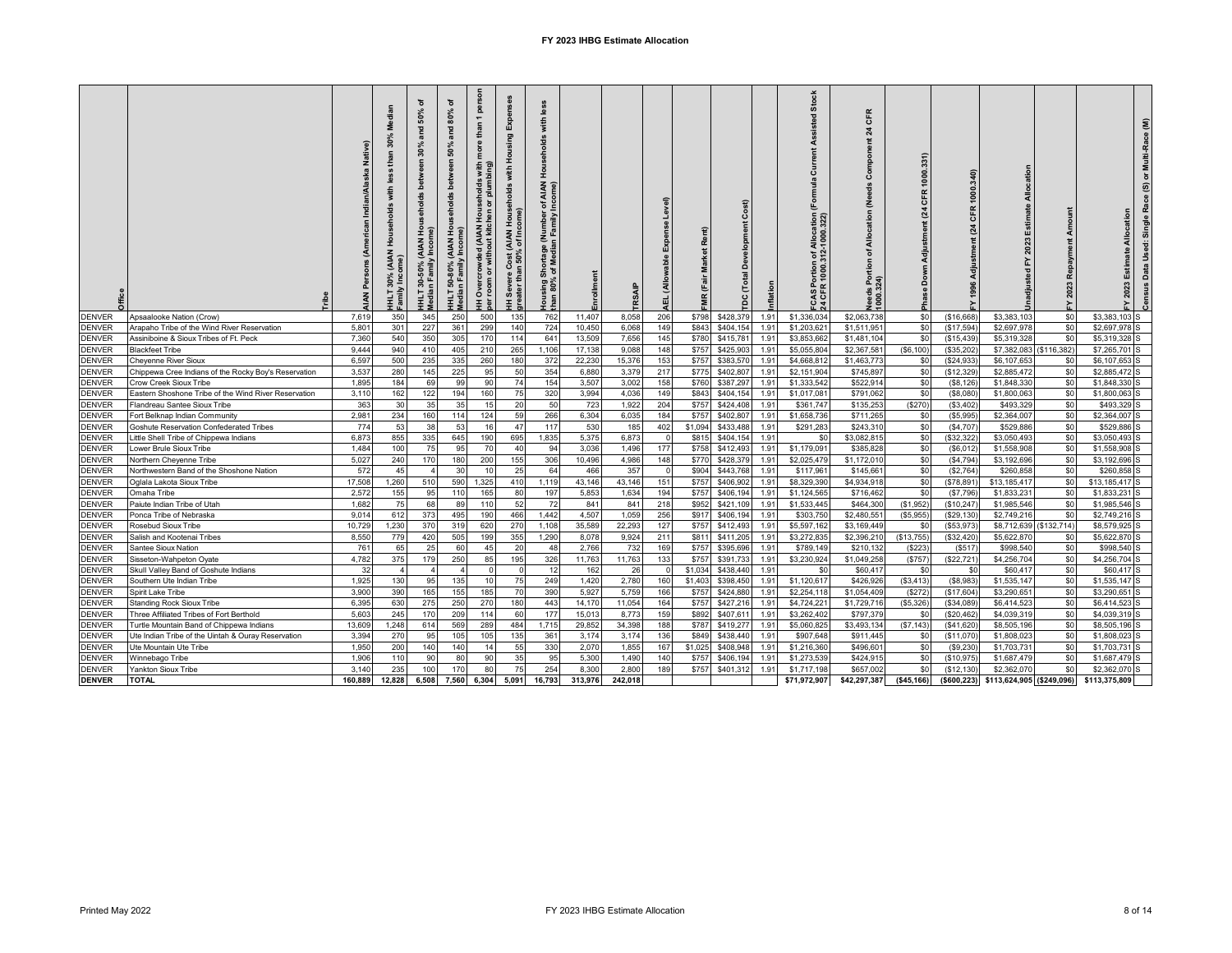|               |                                                      |         | amily<br>보 | ৽<br>50%<br>na<br>ana<br>£<br><b>Incor</b><br>-<br>HLT 30-50% (ال<br>Median Family | ৳<br>80%<br>오<br>Income)<br>HHLT 50-80% ( <i>J</i><br>Median Family I | g<br>$\widehat{\mathbf{e}}$<br>ŏ<br>or without kitchen<br>Overci<br>er room | with<br>Households<br>come)<br>:ost (AIAN I<br>50% of Inco<br>ere<br>tha<br><b>H</b> Sevier | less<br>with<br>seholds<br>Ĩ.<br>'চ ≧<br>ੇ<br><b>P</b><br>ξ Σ<br>৳<br>눎<br>$\frac{36}{10}$<br>nan |         |         | $\widehat{\mathbf{a}}$ |         |           |      | Stoch<br>g<br>ō<br>of Allocation<br>312-1000.322)<br>ECAS<br>24 CFF | CFR<br>24<br>⋷<br>৳ |              | ă<br>1000<br>ت | Estimate                  |             | $\widehat{\epsilon}$<br>Multi-Race<br>ិ<br>ø<br>Race<br>Estimate Allocation<br>Single<br>Data Used:<br>2023 |
|---------------|------------------------------------------------------|---------|------------|------------------------------------------------------------------------------------|-----------------------------------------------------------------------|-----------------------------------------------------------------------------|---------------------------------------------------------------------------------------------|---------------------------------------------------------------------------------------------------|---------|---------|------------------------|---------|-----------|------|---------------------------------------------------------------------|---------------------|--------------|----------------|---------------------------|-------------|-------------------------------------------------------------------------------------------------------------|
| <b>DENVER</b> | Apsaalooke Nation (Crow)                             | 7,619   | 350        | 345                                                                                | 250                                                                   | 500                                                                         | 135                                                                                         | 762                                                                                               | 11,407  | 8,058   | 206                    | \$798   | \$428.37  | 1.91 | \$1,336,034                                                         | \$2,063,738         | \$0          | (\$16,668      | \$3,383,103               | \$0         | \$3,383,103                                                                                                 |
| <b>DENVER</b> | Arapaho Tribe of the Wind River Reservation          | 5,80    | 301        | 227                                                                                | 361                                                                   | 299                                                                         | 140                                                                                         | 724                                                                                               | 10,450  | 6,068   | 149                    | \$843   | \$404,154 | 1.91 | \$1,203,62                                                          | \$1,511,951         | \$0          | (\$17,594      | \$2,697,978               | \$0         | \$2,697,978                                                                                                 |
| <b>DENVER</b> | Assiniboine & Sioux Tribes of Ft. Peck               | 7,360   | 540        | 350                                                                                | 305                                                                   | 170                                                                         | 114                                                                                         | 641                                                                                               | 13,509  | 7,656   | 145                    | \$780   | \$415,78  | 1.91 | \$3,853,662                                                         | \$1,481,104         | \$0          | (\$15,439)     | \$5,319,328               | \$0         | \$5,319,328                                                                                                 |
| <b>DENVER</b> | <b>Blackfeet Tribe</b>                               | 9,444   | 940        | 410                                                                                | 405                                                                   | 210                                                                         | 265                                                                                         | 1,106                                                                                             | 17,138  | 9,088   | 148                    | \$757   | \$425,903 | 1.91 | \$5,055,804                                                         | \$2,367,581         | (\$6,100)    | (\$35,202      | \$7,382,083 (\$116,382    |             | \$7,265,701                                                                                                 |
| <b>DENVER</b> | Cheyenne River Sioux                                 | 6,597   | 500        | 235                                                                                | 335                                                                   | 260                                                                         | 180                                                                                         | 372                                                                                               | 22,230  | 15,376  | 153                    | \$757   | \$383,570 | 1.91 | \$4,668,812                                                         | \$1,463,773         | \$0          | (\$24,933      | \$6,107,653               | \$0         | \$6,107,653                                                                                                 |
| <b>DENVER</b> | Chippewa Cree Indians of the Rocky Boy's Reservation | 3,537   | 280        | 145                                                                                | 225                                                                   | 95                                                                          | 50                                                                                          | 354                                                                                               | 6,880   | 3,379   | 217                    | \$775   | \$402,807 | 1.91 | \$2,151,904                                                         | \$745,897           | \$0          | (\$12,329      | \$2,885,472               | \$0         | \$2,885,472                                                                                                 |
| <b>DENVER</b> | Crow Creek Sioux Tribe                               | 1,895   | 184        | 69                                                                                 | 99                                                                    | 90                                                                          | 74                                                                                          | 154                                                                                               | 3,507   | 3,002   | 158                    | \$760   | \$387,297 | 1.91 | \$1,333,542                                                         | \$522,914           | \$0          | (\$8, 126      | \$1,848,330               | \$0         | \$1,848,330                                                                                                 |
| <b>DENVER</b> | Eastern Shoshone Tribe of the Wind River Reservation | 3,110   | 162        | 122                                                                                | 194                                                                   | 160                                                                         | 75                                                                                          | 320                                                                                               | 3,994   | 4,036   | 149                    | \$843   | \$404,154 | 1.91 | \$1,017,081                                                         | \$791,062           | \$0          | (S8,080)       | \$1,800,063               | \$0         | \$1,800,063                                                                                                 |
| <b>DENVER</b> | Flandreau Santee Sioux Tribe                         | 363     | 30         | 35                                                                                 | 35                                                                    | 15                                                                          | 20                                                                                          | 50                                                                                                | 723     | 1,922   | 204                    | \$757   | \$424,408 | 1.91 | \$361,747                                                           | \$135,253           | (\$270)      | (\$3,402       | \$493,329                 | \$0         | \$493,329                                                                                                   |
| <b>DENVER</b> | Fort Belknap Indian Community                        | 2,981   | 234        | 160                                                                                | 114                                                                   | 124                                                                         | 59                                                                                          | 266                                                                                               | 6,304   | 6,035   | 184                    | \$757   | \$402,807 | 1.91 | \$1,658,736                                                         | \$711,265           | \$0          | (\$5,995       | \$2,364,007               | \$0         | \$2,364,007                                                                                                 |
| <b>DENVER</b> | <b>Goshute Reservation Confederated Tribes</b>       | 774     | 53         | 38                                                                                 | 53                                                                    | 16                                                                          | 47                                                                                          | 117                                                                                               | 530     | 185     | 402                    | \$1,094 | \$433,488 | 1.91 | \$291,283                                                           | \$243,310           | \$0          | (\$4,707       | \$529,886                 | \$0         | \$529,886                                                                                                   |
| <b>DENVER</b> | ittle Shell Tribe of Chippewa Indians                | 6,873   | 855        | 335                                                                                | 645                                                                   | 190                                                                         | 695                                                                                         | 1,835                                                                                             | 5,375   | 6,873   |                        | \$815   | \$404,154 | 1.91 | \$0                                                                 | \$3,082,815         | \$0          | (\$32,322      | \$3,050,493               | \$0         | \$3,050,493                                                                                                 |
| <b>DENVER</b> | Lower Brule Sioux Tribe                              | 1,484   | 100        | 75                                                                                 | 95                                                                    | 70                                                                          | 40                                                                                          | 94                                                                                                | 3,036   | 1,496   | 177                    | \$758   | \$412,493 | 1.91 | \$1,179,091                                                         | \$385,828           | \$0          | (S6, 012)      | \$1,558,908               | \$0         | \$1,558,908                                                                                                 |
| <b>DENVER</b> | Northern Cheyenne Tribe                              | 5,027   | 240        | 170                                                                                | 180                                                                   | 200                                                                         | 155                                                                                         | 306                                                                                               | 10,496  | 4,986   | 148                    | \$770   | \$428,379 | 1.91 | \$2,025,479                                                         | \$1,172,010         | \$0          | (S4, 794)      | \$3,192,696               | \$0         | \$3,192,696                                                                                                 |
| <b>DENVER</b> | Northwestern Band of the Shoshone Nation             | 572     | 45         |                                                                                    | 30                                                                    | 10                                                                          | 25                                                                                          | 64                                                                                                | 466     | 357     |                        | \$904   | \$443,768 | 1.91 | \$117,961                                                           | \$145,661           | \$0          | (S2, 764)      | \$260,858                 | \$0         | \$260,858                                                                                                   |
| <b>DENVER</b> | Oglala Lakota Sioux Tribe                            | 17,508  | 1,260      | 510                                                                                | 590                                                                   | 1,325                                                                       | 410                                                                                         | 1.119                                                                                             | 43,146  | 43.146  | 151                    | \$757   | \$406,902 | 1.91 | \$8,329,390                                                         | \$4.934.918         | \$0          | (\$78,891      | \$13,185,417              | \$0         | \$13,185,417                                                                                                |
| <b>DENVER</b> | Omaha Tribe                                          | 2,572   | 155        | 95                                                                                 | 110                                                                   | 165                                                                         | 80                                                                                          | 197                                                                                               | 5,853   | 1,634   | 194                    | \$757   | \$406,194 | 1.91 | \$1,124,565                                                         | \$716,462           | \$0          | (S7,796)       | \$1,833,231               | \$0         | \$1,833,23                                                                                                  |
| <b>DENVER</b> | Paiute Indian Tribe of Utah                          | 1,682   | 75         | 68                                                                                 | 89                                                                    | 110                                                                         | 52                                                                                          | - 72                                                                                              | 841     | 841     | 218                    | \$952   | \$421,109 | 1.91 | \$1,533,445                                                         | \$464,300           | (\$1,952     | (\$10,247      | \$1,985,546               | \$0         | \$1,985,546                                                                                                 |
| <b>DENVER</b> | Ponca Tribe of Nebraska                              | 9.014   | 612        | 373                                                                                | 495                                                                   | 190                                                                         | 466                                                                                         | 1,442                                                                                             | 4,507   | 1,059   | 256                    | \$917   | \$406,194 | 1.91 | \$303,750                                                           | \$2,480,551         | (\$5,955     | (\$29,130      | \$2,749,216               | \$0         | \$2,749,216                                                                                                 |
| <b>DENVER</b> | Rosebud Sioux Tribe                                  | 10,729  | 1,230      | 370                                                                                | 319                                                                   | 620                                                                         | 270                                                                                         | 1.108                                                                                             | 35,589  | 22,293  | 127                    | \$757   | \$412,493 | 1.91 | \$5,597,162                                                         | \$3,169,449         | \$0          | (\$53,973      | \$8,712,639               | (\$132,714) | \$8,579,925                                                                                                 |
| <b>DENVER</b> | Salish and Kootenai Tribes                           | 8,550   | 779        | 420                                                                                | 505                                                                   | 199                                                                         | 355                                                                                         | 1,290                                                                                             | 8,078   | 9,924   | 211                    | \$811   | \$411,205 | 1.91 | \$3,272,835                                                         | \$2,396,210         | (\$13,755)   | (\$32,420      | \$5,622,870               | \$0         | \$5,622,870                                                                                                 |
| <b>DENVER</b> | Santee Sioux Nation                                  | 761     | 65         | 25                                                                                 | 60                                                                    | 45                                                                          | 20                                                                                          | 48                                                                                                | 2,766   | 732     | 169                    | \$757   | \$395,696 | 1.91 | \$789,149                                                           | \$210,132           | (\$223       | (S517)         | \$998,540                 | \$0         | \$998,540                                                                                                   |
| <b>DENVER</b> | Sisseton-Wahpeton Oyate                              | 4.782   | 375        | 179                                                                                | 250                                                                   | 85                                                                          | 195                                                                                         | 326                                                                                               | 11,763  | 11,763  | 133                    | \$757   | \$391,733 | 1.91 | \$3,230,924                                                         | \$1,049,258         | (\$757)      | (\$22,721      | \$4,256,704               | \$0         | \$4,256,704                                                                                                 |
| <b>DENVER</b> | Skull Valley Band of Goshute Indians                 | 32      |            |                                                                                    |                                                                       |                                                                             |                                                                                             |                                                                                                   | 162     | 26      |                        | \$1,034 | \$438,440 | 1.91 | \$0                                                                 | \$60,417            | \$0          | \$0            | \$60,417                  | \$0         | \$60,417                                                                                                    |
| <b>DENVER</b> | Southern Ute Indian Tribe                            | 1,925   | 130        | 95                                                                                 | 135                                                                   | 10                                                                          | 75                                                                                          | 249                                                                                               | 1,420   | 2,780   | 16                     | \$1,403 | \$398,450 | 1.91 | \$1,120,617                                                         | \$426,926           | (\$3,413     | (S8,983)       | \$1,535,147               | \$0         | \$1,535,147                                                                                                 |
| <b>DENVER</b> | Spirit Lake Tribe                                    | 3.900   | 390        | 165                                                                                | 155                                                                   | 185                                                                         | 70                                                                                          | 390                                                                                               | 5,927   | 5,759   | 166                    | \$757   | \$424,880 | 1.91 | \$2,254,118                                                         | \$1,054,409         | (\$272       | (\$17,604      | \$3,290,651               | \$0         | \$3,290,651                                                                                                 |
| <b>DENVER</b> | Standing Rock Sioux Tribe                            | 6.395   | 630        | 275                                                                                | 250                                                                   | 270                                                                         | 180                                                                                         | 443                                                                                               | 14,170  | 11,054  | 164                    | \$757   | \$427,216 | 1.91 | \$4,724,22'                                                         | \$1,729,716         | (\$5,326     | (\$34,089      | \$6,414,523               | \$0         | \$6,414,523                                                                                                 |
| <b>DENVER</b> | Three Affiliated Tribes of Fort Berthold             | 5,603   | 245        | 170                                                                                | 209                                                                   | 114                                                                         | 60                                                                                          | 177                                                                                               | 15,013  | 8,773   | 159                    | \$892   | \$407,61  | 1.91 | \$3,262,402                                                         | \$797,379           | - \$0        | (\$20,462      | \$4,039,319               | \$0         | \$4,039,319                                                                                                 |
| <b>DENVER</b> | Turtle Mountain Band of Chippewa Indians             | 13,609  | 1,248      | 614                                                                                | 569                                                                   | 289                                                                         | 484                                                                                         | 1,715                                                                                             | 29,852  | 34,398  | 188                    | \$787   | \$419,277 | 1.91 | \$5,060,825                                                         | \$3,493,134         | (\$7, 143)   | (\$41,620      | \$8,505,196               | \$0         | \$8,505,196                                                                                                 |
| <b>DENVER</b> | Ute Indian Tribe of the Uintah & Ouray Reservation   | 3,394   | 270        | 95                                                                                 | 105                                                                   | 105                                                                         | 135                                                                                         | 361                                                                                               | 3,174   | 3,174   | 136                    | \$849   | \$438,440 | 1.91 | \$907,648                                                           | \$911,445           | \$0          | (\$11,070      | \$1,808,023               | \$0         | \$1,808,023                                                                                                 |
| <b>DENVER</b> | Ute Mountain Ute Tribe                               | 1,950   | 200        | 140                                                                                | 140                                                                   | 14                                                                          | 55                                                                                          | 330                                                                                               | 2,070   | 1,855   | 167                    | \$1,025 | \$408,948 | 1.91 | \$1,216,360                                                         | \$496,601           | \$0          | (\$9,230       | \$1,703,731               | \$0         | \$1,703,731                                                                                                 |
| <b>DENVER</b> | Winnebago Tribe                                      | 1.906   | 110        | 90                                                                                 | 80                                                                    | 90                                                                          | 35                                                                                          | 95                                                                                                | 5,300   | 1.490   | 140                    | \$757   | \$406,194 | 1.91 | \$1,273,539                                                         | \$424,915           | \$0          | (\$10.975      | \$1,687,479               | \$0         | \$1,687,479                                                                                                 |
| <b>DENVER</b> | Yankton Sioux Tribe                                  | 3.140   | 235        | 100                                                                                | 170                                                                   | 80                                                                          | 75                                                                                          | 254                                                                                               | 8,300   | 2,800   | 189                    | \$757   | \$401.312 | 1.91 | \$1,717,198                                                         | \$657,002           | \$0          | (\$12.130      | \$2,362,070               | \$0         | \$2,362,070                                                                                                 |
| <b>DENVER</b> | <b>TOTAL</b>                                         | 160.889 | 12,828     | 6,508                                                                              | 7,560                                                                 | 6,304                                                                       | 5,091                                                                                       | 16,793                                                                                            | 313,976 | 242.018 |                        |         |           |      | \$71,972,907                                                        | \$42,297,387        | ( \$45, 166) | (\$600, 223)   | \$113,624,905 (\$249,096) |             | \$113,375,809                                                                                               |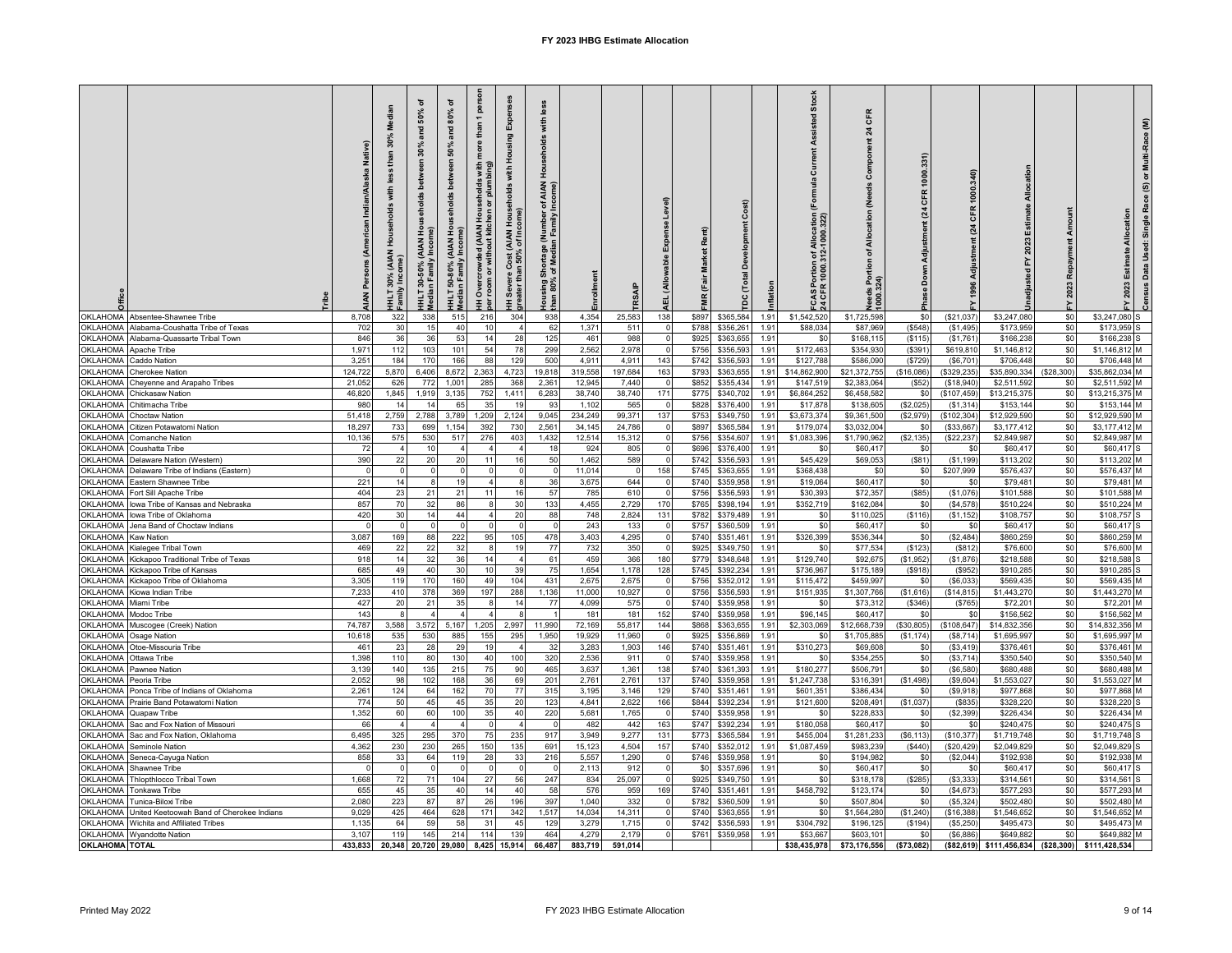|                             |                                                        | Native)<br>Indian/Alaska<br><b>American</b><br>Persons | Medi<br>than $30\%$<br>less<br>with<br><b>AIAN</b><br>Ь | ৳<br>50%<br>몯<br>$\bar{a}$<br>30%<br>betwe<br>훋<br><b>IAIAN</b><br>Incor<br>HHLT 30-50% (,<br>Median Family | ৳<br>80%<br>꼳<br>50%<br>betw<br>holds<br>훞<br>Income)<br>(AIAN<br><b>Median Family</b><br>$80 - 80%$<br>₩, | person<br>€<br>plumbing)<br>₹<br>rowded (AIAN House<br>or without kitchen or<br>Overcr<br>room<br>Ξ | 핏<br>Hous<br>with<br>(AIAN Households<br>6 of Income)<br>Cost (<br>I Severe (<br>eater than<br>Ŧ | less<br>with<br>seholds<br>윤<br><b>AIAN</b><br>호<br>Short<br>of Me<br>%08 ustra<br>han |                |                | evel)<br>able<br>₹ | Rent)<br><b>Market</b><br>(Fair |                        | lation       | Assisted Stock<br>Current<br>Formula<br>FCAS Portion of Allocation<br>24 CFR 1000.312-1000.322) | CFR<br>$\overline{a}$<br>Compon<br>(Needs<br>Allocation<br>৳<br>tion<br>Needs Port<br>1000.324) | 뜡                    | CFR<br>24            | Allocation<br>Estimate<br>2023<br>노<br>ā | ۴ž           | $\widehat{\mathbf{g}}$<br>(S) or Multi-Race<br>Race<br>2023 Estimate Allocation<br>Data Used: Single<br><b>Census</b> |
|-----------------------------|--------------------------------------------------------|--------------------------------------------------------|---------------------------------------------------------|-------------------------------------------------------------------------------------------------------------|------------------------------------------------------------------------------------------------------------|-----------------------------------------------------------------------------------------------------|--------------------------------------------------------------------------------------------------|----------------------------------------------------------------------------------------|----------------|----------------|--------------------|---------------------------------|------------------------|--------------|-------------------------------------------------------------------------------------------------|-------------------------------------------------------------------------------------------------|----------------------|----------------------|------------------------------------------|--------------|-----------------------------------------------------------------------------------------------------------------------|
|                             | OKLAHOMA Absentee-Shawnee Tribe                        | 8.708                                                  | 322                                                     | 338                                                                                                         | 515                                                                                                        | 216                                                                                                 | 304                                                                                              | 938                                                                                    | 4.354          | 25.583         | 138                | \$897                           | \$365.584              | 1.91         | \$1,542,520                                                                                     | \$1,725,598                                                                                     | \$0                  | (\$21,037            | \$3,247,080                              | \$0          | \$3.247.080                                                                                                           |
|                             | OKLAHOMA Alabama-Coushatta Tribe of Texas              | 702                                                    | 30                                                      | 15                                                                                                          | 40                                                                                                         | 10                                                                                                  |                                                                                                  | 62                                                                                     | 1,371          | 511            |                    | \$788                           | \$356,261              | 1.91         | \$88,034                                                                                        | \$87,969                                                                                        | (\$548)              | (\$1,495             | \$173,959                                | \$0          | \$173,959                                                                                                             |
|                             | OKLAHOMA Alabama-Quassarte Tribal Town                 | 846                                                    | 36                                                      | 36                                                                                                          | 53                                                                                                         | 14                                                                                                  | 28                                                                                               | 125                                                                                    | 461            | 988            |                    | \$925                           | \$363,655              | 1.91         | \$0                                                                                             | \$168,115                                                                                       | (\$115)              | (S1,761)             | \$166,238                                | \$0          | \$166,238                                                                                                             |
| OKLAHOMA<br><b>OKLAHOMA</b> | Apache Tribe<br>Caddo Nation                           | 1,971<br>3,25                                          | 112<br>184                                              | 103<br>170                                                                                                  | 101<br>166                                                                                                 | 54                                                                                                  | 78<br>129                                                                                        | 299<br>500                                                                             | 2,562<br>4.911 | 2,978<br>4.91  | 143                | \$756<br>\$742                  | \$356,59<br>\$356,593  | 1.91<br>1.91 | \$172,463<br>\$127,788                                                                          | \$354,93<br>\$586,090                                                                           | (\$391<br>(\$729     | \$619,810<br>(S6.701 | \$1,146,812<br>\$706,448                 | \$0<br>\$0   | \$1,146,812<br>\$706.448                                                                                              |
| <b>OKLAHOMA</b>             | <b>Cherokee Nation</b>                                 | 124,722                                                | 5,870                                                   | 6,406                                                                                                       | 8,672                                                                                                      | 88<br>2,363                                                                                         | 4,723                                                                                            | 19,818                                                                                 | 319,558        | 197,684        | 163                | \$793                           | \$363,655              | 1.91         | \$14,862,900                                                                                    | \$21,372,755                                                                                    | (\$16,086)           | (\$329,235           | \$35,890,334                             | (\$28,300)   | \$35,862,034<br>м                                                                                                     |
| <b>OKLAHOMA</b>             | Cheyenne and Arapaho Tribes                            | 21,052                                                 | 626                                                     | 772                                                                                                         | 1,001                                                                                                      | 285                                                                                                 | 368                                                                                              | 2,361                                                                                  | 12,945         | 7,440          |                    | \$852                           | \$355,434              | 1.91         | \$147,519                                                                                       | \$2,383,064                                                                                     | (\$52                | (\$18,940            | \$2,511,59                               | \$0          | \$2,511,592<br>м                                                                                                      |
| OKLAHOMA                    | Chickasaw Natior                                       | 46,82                                                  | 1,845                                                   | 1,919                                                                                                       | 3,135                                                                                                      | 752                                                                                                 | 1,411                                                                                            | 6,283                                                                                  | 38,740         | 38,740         | 171                | \$775                           | \$340,702              | 1.91         | \$6,864,252                                                                                     | \$6,458,582                                                                                     | \$0                  | (\$107, 459          | \$13,215,37                              | \$0          | \$13,215,375                                                                                                          |
| OKLAHOMA                    | :hitimacha Tribe                                       | 980                                                    | 14                                                      | 14                                                                                                          | 65                                                                                                         | 35                                                                                                  | 19                                                                                               |                                                                                        | 1,10           | 565            |                    | \$828                           | \$376,400              | 1.91         | \$17,878                                                                                        | \$138,605                                                                                       | (\$2,025             | (\$1,314             | \$153,144                                | \$0          | \$153,144                                                                                                             |
| OKLAHOMA                    | <b>Choctaw Nation</b>                                  | 51,418                                                 | 2,759                                                   | 2,788                                                                                                       | 3,789                                                                                                      | 1,209                                                                                               | 2,124                                                                                            | 9,045                                                                                  | 234,249        | 99,371         | 137                | \$753                           | \$349,750              | 1.91         | \$3,673,374                                                                                     | \$9,361,500                                                                                     | (\$2,979)            | (\$102,304           | \$12,929,590                             | \$0          | \$12,929,590<br>м                                                                                                     |
| <b>OKLAHOMA</b>             | Citizen Potawatomi Nation                              | 18,297                                                 | 733                                                     | 699                                                                                                         | 1,154                                                                                                      | 392                                                                                                 | 730                                                                                              | 2,561                                                                                  | 34,145         | 24,786         |                    | \$897                           | \$365,584              | 1.91         | \$179,074                                                                                       | \$3,032,004                                                                                     | \$0                  | (\$33,667            | \$3,177,412                              | \$0          | \$3,177,412 M                                                                                                         |
| OKLAHOMA                    | Comanche Nation                                        | 10,136                                                 | 575                                                     | 530                                                                                                         | 517                                                                                                        | 276                                                                                                 | 403                                                                                              | 1,432                                                                                  | 12,514         | 15,312         |                    | \$756                           | \$354,607              | 1.91         | \$1,083,396                                                                                     | \$1,790,962                                                                                     | (\$2, 135)           | (\$22, 237           | \$2,849,987                              | \$0          | \$2,849,987                                                                                                           |
| <b>OKLAHOMA</b>             | Coushatta Tribe                                        | 72                                                     | 4                                                       | 10                                                                                                          | $\overline{\bf{4}}$                                                                                        | -4                                                                                                  | $\Delta$                                                                                         | -18                                                                                    | 924            | 805            |                    | \$696                           | \$376,400              | 1.91         | -90                                                                                             | \$60,417                                                                                        | \$0                  | -SO                  | \$60,417                                 | \$0          | \$60,417                                                                                                              |
| <b>OKLAHOMA</b>             | Delaware Nation (Western)                              | 390                                                    | 22                                                      | 20                                                                                                          | 20                                                                                                         | 11                                                                                                  | 16                                                                                               | 50                                                                                     | 1,462          | 589            |                    | \$742                           | \$356,593              | 1.91         | \$45,429                                                                                        | \$69,05                                                                                         | (\$81)               | (\$1,199)            | \$113,202                                | \$0          | \$113,202                                                                                                             |
| OKLAHOMA                    | Delaware Tribe of Indians (Eastern)                    |                                                        |                                                         |                                                                                                             |                                                                                                            |                                                                                                     |                                                                                                  |                                                                                        | 11,014         |                | 158                | \$745                           | \$363,655              | 1.91         | \$368,438                                                                                       | \$C                                                                                             | \$0                  | \$207,999            | \$576,437                                | \$0          | \$576,437                                                                                                             |
| <b>OKLAHOMA</b>             | Eastern Shawnee Tribe                                  | 221                                                    | 14                                                      | 8                                                                                                           | 19                                                                                                         |                                                                                                     |                                                                                                  | 36                                                                                     | 3,675          | 644            |                    | \$740                           | \$359,958              | 1.91         | \$19,064                                                                                        | \$60,417                                                                                        | \$0                  | \$0                  | \$79,481                                 | \$0          | \$79,481                                                                                                              |
| <b>OKLAHOMA</b>             | Fort Sill Apache Tribe                                 | 404                                                    | 23                                                      | 21                                                                                                          | 21                                                                                                         | 11                                                                                                  | 16                                                                                               | 57                                                                                     | 785            | 610            |                    | \$756                           | \$356,593              | 1.91         | \$30,393                                                                                        | \$72,357                                                                                        | (\$85)               | (\$1,076)            | \$101,588                                | \$0          | \$101,588                                                                                                             |
| OKLAHOMA                    | owa Tribe of Kansas and Nebraska                       | 857                                                    | 70                                                      | 32                                                                                                          | 86                                                                                                         |                                                                                                     | 30                                                                                               | 133                                                                                    | 4,455          | 2,729          | 170                | \$765                           | \$398,194              | 1.91         | \$352,719                                                                                       | \$162,084                                                                                       | \$0                  | (S4, 578)            | \$510,224                                | \$0          | \$510,224                                                                                                             |
| <b>OKLAHOMA</b>             | lowa Tribe of Oklahoma                                 | 420                                                    | 30                                                      | 14                                                                                                          | 44                                                                                                         |                                                                                                     | 20                                                                                               | 88                                                                                     | 748            | 2,824          | 131                | \$782                           | \$379,489              | 1.91         | \$0                                                                                             | \$110,025                                                                                       | (\$116)              | (\$1, 152            | \$108,757                                | \$0          | \$108,757                                                                                                             |
| <b>OKLAHOMA</b>             | Jena Band of Choctaw Indians                           |                                                        | $\Omega$                                                | $\Omega$                                                                                                    | $\Omega$                                                                                                   |                                                                                                     | $\Omega$                                                                                         |                                                                                        | 243            | 133            |                    | \$757                           | \$360,509              | 1.91         | \$0                                                                                             | \$60,417                                                                                        | \$0                  | \$0                  | \$60,417                                 | \$0          | \$60,417                                                                                                              |
| OKLAHOMA                    | Kaw Nation                                             | 3,087                                                  | 169                                                     | 88                                                                                                          | 222                                                                                                        | 95                                                                                                  | 105                                                                                              | 478                                                                                    | 3,403          | 4,295          |                    | \$740                           | \$351,46               | 1.91         | \$326,399                                                                                       | \$536,344                                                                                       | \$0                  | (\$2,484)            | \$860,259                                | \$0          | \$860,259<br>м                                                                                                        |
| OKLAHOMA                    | Kialegee Tribal Town                                   | 469                                                    | 22                                                      | 22                                                                                                          | 32                                                                                                         |                                                                                                     | 19                                                                                               | 77                                                                                     | 732            | 350            |                    | \$925                           | \$349,750              | 1.91         | \$0                                                                                             | \$77,534                                                                                        | (\$123               | (S812)               | \$76,600                                 | \$0          | \$76,600                                                                                                              |
| <b>OKLAHOMA</b>             | Kickapoo Traditional Tribe of Texas                    | 918<br>685                                             | 14<br>49                                                | 32<br>40                                                                                                    | 36                                                                                                         | 14<br>10                                                                                            | 39                                                                                               | 61<br>75                                                                               | 459            | 366            | 180                | \$779<br>\$745                  | \$348,648<br>\$392,234 | 1.91         | \$129,740                                                                                       | \$92,675                                                                                        | (\$1,952)<br>(\$918) | (\$1,876<br>(\$952)  | \$218,588                                | \$0<br>\$0   | \$218,588                                                                                                             |
| OKLAHOMA<br>OKLAHOMA        | Kickapoo Tribe of Kansas<br>Kickapoo Tribe of Oklahoma | 3,305                                                  | 119                                                     | 170                                                                                                         | 30<br>160                                                                                                  | 49                                                                                                  | 104                                                                                              | 431                                                                                    | 1,654<br>2,675 | 1,178<br>2,675 | 128                | \$756                           | \$352,012              | 1.91<br>1.91 | \$736,967<br>\$115,472                                                                          | \$175,189<br>\$459,997                                                                          | -90                  | (\$6,033             | \$910,285<br>\$569,43                    | \$0          | \$910,285<br>\$569,435                                                                                                |
| <b>OKLAHOMA</b>             | <b>Kiowa Indian Tribe</b>                              | 7.233                                                  | 410                                                     | 378                                                                                                         | 369                                                                                                        | 197                                                                                                 | 288                                                                                              | 1,136                                                                                  | 11.000         | 10.927         |                    | \$756                           | \$356,593              | 1.91         | \$151,935                                                                                       | \$1,307,766                                                                                     | (\$1,616)            | (S14.815)            | \$1,443,270                              | \$0          | \$1.443.270                                                                                                           |
| <b>OKLAHOMA</b>             | Miami Tribe                                            | 427                                                    | 20                                                      | 21                                                                                                          | 35                                                                                                         | -8                                                                                                  | 14                                                                                               | 77                                                                                     | 4,099          | 575            |                    | \$740                           | \$359,958              | 1.91         | \$0                                                                                             | \$73,312                                                                                        | (\$346)              | (S765)               | \$72,201                                 | \$0          | \$72,201                                                                                                              |
| OKLAHOMA Modoc Tribe        |                                                        | 143                                                    | -8                                                      | $\overline{4}$                                                                                              | $\overline{4}$                                                                                             | $\overline{4}$                                                                                      | - 8                                                                                              |                                                                                        | 181            | 181            | 152                | \$740                           | \$359,958              | 1.91         | \$96,145                                                                                        | \$60,417                                                                                        | \$0                  | -SC                  | \$156,562                                | \$0          | \$156,562<br>м                                                                                                        |
| OKLAHOMA                    | Muscogee (Creek) Nation                                | 74,787                                                 | 3,588                                                   | 3,572                                                                                                       | 5,167                                                                                                      | 1,205                                                                                               | 2,997                                                                                            | 11,990                                                                                 | 72,169         | 55,817         | 144                | \$868                           | \$363,655              | 1.91         | \$2,303,069                                                                                     | \$12,668,739                                                                                    | (\$30,805)           | (\$108, 647)         | \$14,832,356                             | \$0          | \$14,832,356                                                                                                          |
| <b>OKLAHOMA</b>             | Osage Nation                                           | 10,618                                                 | 535                                                     | 530                                                                                                         | 885                                                                                                        | 155                                                                                                 | 295                                                                                              | 1,950                                                                                  | 19,929         | 11,960         |                    | \$925                           | \$356,869              | 1.91         | \$0                                                                                             | \$1,705,885                                                                                     | (\$1, 174)           | (\$8,714             | \$1,695,997                              | \$0          | \$1,695,997                                                                                                           |
| OKLAHOMA                    | Otoe-Missouria Tribe                                   | 461                                                    | 23                                                      | 28                                                                                                          | 29                                                                                                         | 19                                                                                                  |                                                                                                  | 32                                                                                     | 3,283          | 1,903          | 146                | \$740                           | \$351,461              | 1.91         | \$310,273                                                                                       | \$69,608                                                                                        | \$0                  | (\$3,419             | \$376,461                                | \$0          | \$376,461<br>м                                                                                                        |
| <b>OKLAHOMA</b>             | )ttawa Tribe                                           | 1,398                                                  | 110                                                     | 80                                                                                                          | 130                                                                                                        | 40                                                                                                  | 100                                                                                              | 320                                                                                    | 2,536          | 91             |                    | \$740                           | \$359,958              | 1.91         | $$^{<}$                                                                                         | \$354,25                                                                                        | \$0                  | (\$3,714             | \$350,540                                | \$0          | \$350,540<br>м                                                                                                        |
| <b>OKLAHOMA</b>             | Pawnee Nation                                          | 3,139                                                  | 140                                                     | 135                                                                                                         | 215                                                                                                        | 75                                                                                                  | 90                                                                                               | 465                                                                                    | 3,637          | 1,36'          | 138                | \$740                           | \$361,393              | 1.91         | \$180,277                                                                                       | \$506,79                                                                                        | \$0                  | (S6, 580)            | \$680,488                                | \$0          | \$680,488                                                                                                             |
| OKLAHOMA                    | Peoria Tribe                                           | 2,052                                                  | 98                                                      | 102                                                                                                         | 168                                                                                                        | 36                                                                                                  | 69                                                                                               | 201                                                                                    | 2,761          | 2,761          | 137                | \$740                           | \$359,958              | 1.91         | \$1,247,738                                                                                     | \$316,391                                                                                       | (\$1,498)            | (\$9,604)            | \$1,553,027                              | \$0          | \$1,553,027<br>М                                                                                                      |
| <b>OKLAHOMA</b>             | Ponca Tribe of Indians of Oklahoma                     | 2,261<br>774                                           | 124                                                     | 64                                                                                                          | 162                                                                                                        | 70                                                                                                  | 77                                                                                               | 315                                                                                    | 3,195          | 3,146          | 129                | \$740                           | \$351,461              | 1.91<br>1.91 | \$601,351                                                                                       | \$386,434                                                                                       | \$0                  | (S9, 918)            | \$977,868                                | \$0          | \$977,868<br>м                                                                                                        |
| OKLAHOMA<br>OKLAHOMA        | Prairie Band Potawatomi Nation                         | 1,352                                                  | 50<br>60                                                | 45<br>60                                                                                                    | 45                                                                                                         | 35<br>35                                                                                            | 20<br>40                                                                                         | 123                                                                                    | 4,841<br>5,681 | 2,622          | 166                | \$844                           | \$392,234<br>\$359,958 | 1.91         | \$121,600<br>$$^{<}$                                                                            | \$208,491<br>\$228,83                                                                           | (\$1,037             | (\$835<br>(\$2,399   | \$328,220<br>\$226,434                   | \$0<br>\$0   | \$328,220<br>\$226,434                                                                                                |
| OKLAHOMA                    | Quapaw Tribe<br>Sac and Fox Nation of Missouri         | 66                                                     | $\overline{a}$                                          |                                                                                                             | 100                                                                                                        |                                                                                                     |                                                                                                  | 220                                                                                    | 482            | 1,76<br>442    | 163                | \$740<br>\$747                  | \$392,234              | 1.91         | \$180,058                                                                                       | \$60,417                                                                                        | \$0<br>\$0           | \$0                  | \$240,475                                | \$0          | \$240,475                                                                                                             |
| OKLAHOMA                    | Sac and Fox Nation, Oklahoma                           | 6,495                                                  | 325                                                     | 295                                                                                                         | 370                                                                                                        | 75                                                                                                  | 235                                                                                              | 917                                                                                    | 3,949          | 9,277          | 131                | \$773                           | \$365,584              | 1.91         | \$455,004                                                                                       | \$1,281,23                                                                                      | (\$6, 113)           | (\$10,377)           | \$1,719,748                              | \$0          | \$1,719,748                                                                                                           |
| <b>OKLAHOMA</b>             | Seminole Nation                                        | 4,362                                                  | 230                                                     | 230                                                                                                         | 265                                                                                                        | 150                                                                                                 | 135                                                                                              | 691                                                                                    | 15,123         | 4,504          | 157                | \$740                           | \$352,012              | 1.91         | \$1,087,459                                                                                     | \$983,239                                                                                       | ( \$440)             | (\$20,429)           | \$2,049,829                              | \$0          | \$2,049,829                                                                                                           |
| <b>OKLAHOMA</b>             | Seneca-Cayuga Nation                                   | 858                                                    | 33                                                      | 64                                                                                                          | 119                                                                                                        | 28                                                                                                  | 33                                                                                               | 216                                                                                    | 5,557          | 1,290          |                    | \$746                           | \$359,958              | 1.91         | -80                                                                                             | \$194,982                                                                                       | \$0                  | (\$2,044)            | \$192,938                                | \$0          | \$192,938                                                                                                             |
| <b>OKLAHOMA</b>             | Shawnee Tribe                                          |                                                        | $\Omega$                                                | $\Omega$                                                                                                    | $\Omega$                                                                                                   | $\Omega$                                                                                            | $\Omega$                                                                                         |                                                                                        | 2,113          | 912            |                    | \$0                             | \$357,696              | 1.91         | \$0                                                                                             | \$60,417                                                                                        | \$0                  | SC                   | \$60,417                                 | \$0          | \$60,417                                                                                                              |
| <b>OKLAHOMA</b>             | Thiopthiocco Tribal Town                               | 1,668                                                  | 72                                                      | 71                                                                                                          | 104                                                                                                        | 27                                                                                                  | 56                                                                                               | 247                                                                                    | 834            | 25,097         |                    | \$925                           | \$349,750              | 1.91         | \$0                                                                                             | \$318,178                                                                                       | (\$285)              | (S3, 333)            | \$314,56                                 | \$0          | \$314.561                                                                                                             |
| <b>OKLAHOMA</b>             | Tonkawa Tribe                                          | 655                                                    | 45                                                      | 35                                                                                                          | 40                                                                                                         | 14                                                                                                  | 40                                                                                               | 58                                                                                     | 576            | 959            | 169                | \$740                           | \$351,46               | 1.91         | \$458,792                                                                                       | \$123,174                                                                                       | \$0                  | (\$4,673             | \$577,293                                | \$0          | \$577.29                                                                                                              |
| OKLAHOMA                    | Funica-Biloxi Tribe                                    | 2,080                                                  | 223                                                     | 87                                                                                                          | 87                                                                                                         | 26                                                                                                  | 196                                                                                              | 397                                                                                    | 1,040          | 332            |                    | \$782                           | \$360,509              | 1.91         | \$0                                                                                             | \$507,804                                                                                       | \$0                  | (\$5,324             | \$502,480                                | \$0          | \$502,480                                                                                                             |
| OKLAHOMA                    | United Keetoowah Band of Cherokee Indians              | 9,029                                                  | 425                                                     | 464                                                                                                         | 628                                                                                                        | 171                                                                                                 | 342                                                                                              | 1,517                                                                                  | 14,034         | 14,311         |                    | \$740                           | \$363,65               | 1.91         | \$0                                                                                             | \$1,564,280                                                                                     | (\$1,240)            | (\$16,388)           | \$1,546,652                              | \$0          | \$1,546,652<br>м                                                                                                      |
| <b>OKLAHOMA</b>             | Wichita and Affiliated Tribes                          | 1,135                                                  | 64                                                      | 59                                                                                                          | 58                                                                                                         | 31                                                                                                  | 45                                                                                               | 129                                                                                    | 3,279          | 1,715          |                    | \$742                           | \$356,59               | 1.91         | \$304,792                                                                                       | \$196,125                                                                                       | (\$194               | (\$5,250             | \$495,473                                | \$0          | \$495.473                                                                                                             |
|                             | OKLAHOMA Wyandotte Nation                              | 3.107                                                  | 119                                                     | 145                                                                                                         | 214                                                                                                        | 114                                                                                                 | 139                                                                                              | 464                                                                                    | 4,279          | 2,179          |                    | \$761                           | \$359,958              | 1.91         | \$53,667                                                                                        | \$603,101                                                                                       | \$0                  | (S6, 886)            | \$649,882                                | \$0          | \$649.882<br>м                                                                                                        |
| OKLAHOMA TOTAL              |                                                        | 433,833                                                | 20,348                                                  | 20,720                                                                                                      | 29,080                                                                                                     | 8,425                                                                                               | 15,914                                                                                           | 66,487                                                                                 | 883,719        | 591,014        |                    |                                 |                        |              | \$38,435,978                                                                                    | \$73,176,556                                                                                    | ( \$73,082)          | (\$82,619)           | \$111,456,834                            | ( \$28, 300) | \$111,428,534                                                                                                         |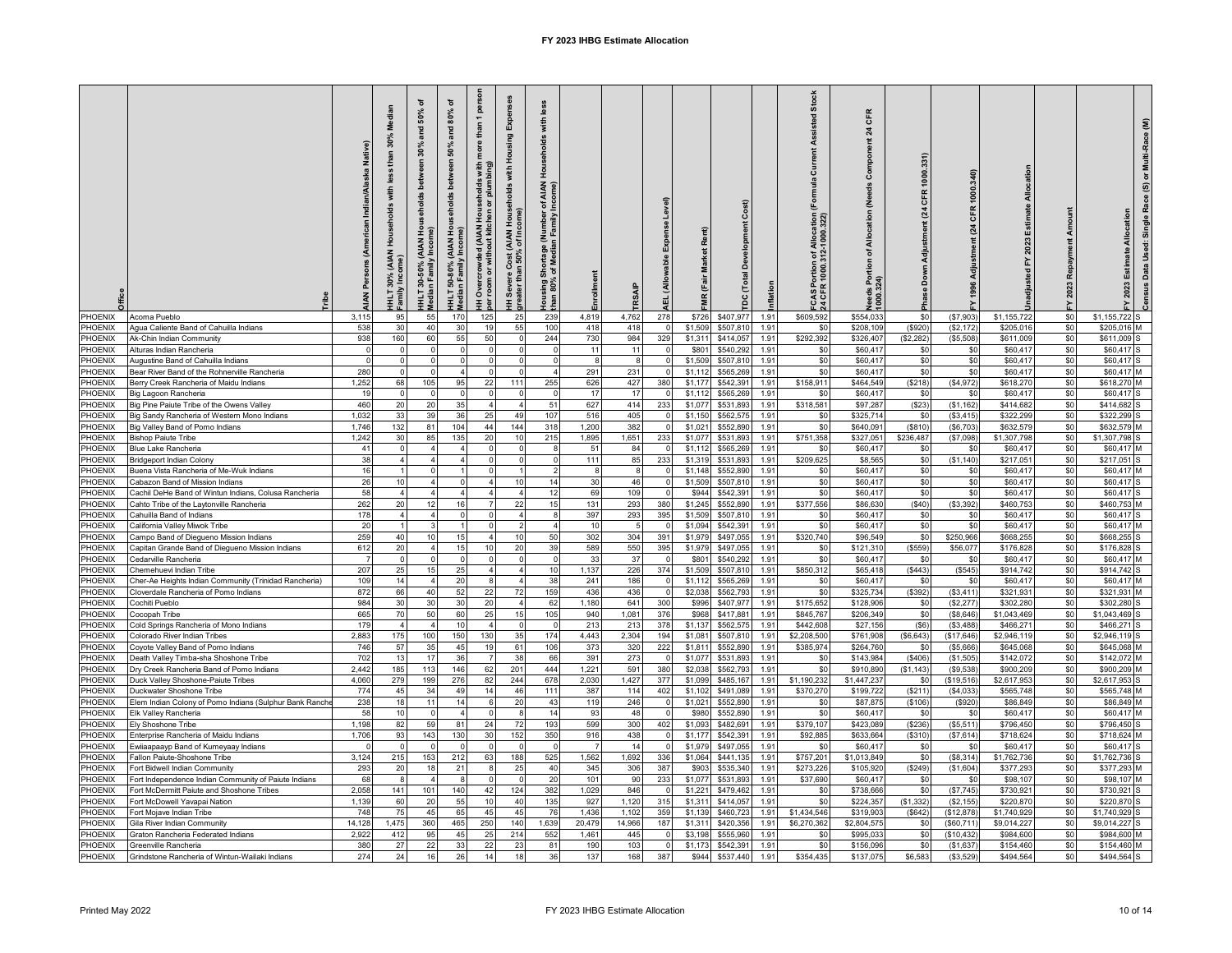| PHOENIX                        | Acoma Pueblo                                                     | Indian/Alaska Native)<br>₹<br>Pers<br>$\leq$<br>3,115 | Medi<br>than<br>₾<br>with<br>ᄛ<br><b>AIAN</b><br>30%<br>95 | ৳<br>50%<br>꼳<br>30%<br>ತಿ<br>£<br><b>AIAN</b><br>Median Family<br>HLT30-50%<br>55 | ৢ<br>80%<br>몯<br>-8<br>오<br>ଛ<br>Incor<br>Median Family<br>$50 - 80%$<br>Ë<br>170 | 8<br>₫<br>pluml<br>৯<br>kitcl<br><b>AIAN</b><br>ō<br>ŏ<br>Overcr<br>room<br>E<br>125 | ē<br>ă<br>gu<br>Housi<br>with<br>Households<br>(AIAN<br>% of Inc<br>Cost <sub>n</sub><br>Severe<br>ater than<br>25 | less<br>with<br>Households<br>ਨ<br>৳<br>あ<br>80%<br>han<br>239 | 4,819        | 4,762      | (leve<br>Expense<br>₹<br>面<br>278 | <b>Re</b><br>(Fair<br>g<br>\$726 | \$407,977              | 'latior<br>1.91 | Assisted Stock<br>ā<br>(Formula<br>$tion$<br>322)<br>ं हैं<br>CAS Portion<br>\$609,592 | CFR<br>$\overline{24}$<br>Com<br>(Needs<br>Allocation<br>৳<br>Por1<br>leeds<br>000.32<br>\$554,033 | $\tilde{q}$<br>\$0 | 1000<br>CFR<br>24<br>1996<br>(S7,903) | Allocation<br>Estimate<br>2023<br>ŗ,<br>adjust<br>\$1,155,722 | \$0        | $\tilde{\mathbf{z}}$<br>Multi-Race<br>ā<br>$\circledcirc$<br><b>Single Race</b><br>Allocation<br>Data Used:<br>Estimate<br>2023<br>Census<br>\$1,155,722 |
|--------------------------------|------------------------------------------------------------------|-------------------------------------------------------|------------------------------------------------------------|------------------------------------------------------------------------------------|-----------------------------------------------------------------------------------|--------------------------------------------------------------------------------------|--------------------------------------------------------------------------------------------------------------------|----------------------------------------------------------------|--------------|------------|-----------------------------------|----------------------------------|------------------------|-----------------|----------------------------------------------------------------------------------------|----------------------------------------------------------------------------------------------------|--------------------|---------------------------------------|---------------------------------------------------------------|------------|----------------------------------------------------------------------------------------------------------------------------------------------------------|
| PHOENIX                        | Agua Caliente Band of Cahuilla Indians                           | 538                                                   | 30                                                         | 40                                                                                 | 30                                                                                | 19                                                                                   | 55                                                                                                                 | 100                                                            | 418          | 418        | $\Omega$                          | \$1,509                          | \$507,810              | 1.91            | -90                                                                                    | \$208,109                                                                                          | (\$920)            | (\$2,172)                             | \$205,016                                                     | \$0        | \$205,016<br>м                                                                                                                                           |
| HOENIX                         | Ak-Chin Indian Community                                         | 938                                                   | 160                                                        | 60                                                                                 | 55                                                                                | 50                                                                                   | <b>C</b>                                                                                                           | 244                                                            | 730          | 984        | 329                               | \$1,311                          | \$414,057              | 1.91            | \$292,392                                                                              | \$326,407                                                                                          | (\$2,282)          | (\$5,508)                             | \$611,009                                                     | \$0        | \$611,009                                                                                                                                                |
| HOENIX                         | Alturas Indian Rancheria                                         |                                                       | $\Omega$                                                   | $\cap$                                                                             |                                                                                   | - 0                                                                                  | $\Omega$                                                                                                           | $\cap$                                                         | 11           | 11         | $\Omega$                          | \$801                            | \$540,292              | 1.91            | \$0                                                                                    | \$60,417                                                                                           | \$0                | \$0                                   | \$60,417                                                      | \$0        | \$60,417                                                                                                                                                 |
| <b>HOENIX</b>                  | Augustine Band of Cahuilla Indians                               |                                                       | $\Omega$                                                   |                                                                                    |                                                                                   |                                                                                      |                                                                                                                    |                                                                | 8            |            |                                   | \$1,509                          | \$507,810              | 1.91            | \$0                                                                                    | \$60,417                                                                                           | \$0                | \$0                                   | \$60,417                                                      | \$0        | \$60,417                                                                                                                                                 |
| HOENIX                         | Bear River Band of the Rohnerville Rancheria                     | 280                                                   |                                                            |                                                                                    |                                                                                   |                                                                                      |                                                                                                                    |                                                                | 291          | 231        |                                   | \$1,112                          | \$565,269              | 1.91            | \$0                                                                                    | \$60,41                                                                                            | \$0                | \$0                                   | \$60,41                                                       | \$0        | \$60,41                                                                                                                                                  |
| HOENIX                         | Berry Creek Rancheria of Maidu Indians                           | 1,252                                                 | 68                                                         | 105                                                                                | 95                                                                                | 22                                                                                   | 111                                                                                                                | 255                                                            | 626          | 427        | 380                               | \$1,177                          | \$542,391              | 1.91            | \$158,911                                                                              | \$464,549                                                                                          | (\$218)            | (\$4,972)                             | \$618,270                                                     | \$0        | \$618,270                                                                                                                                                |
| <b>HOENIX</b>                  | Big Lagoon Rancheria                                             | 19                                                    |                                                            |                                                                                    | $\Omega$                                                                          | $\Omega$                                                                             |                                                                                                                    |                                                                | 17           | 17         |                                   | \$1,112                          | \$565,269              | 1.91            | \$0                                                                                    | \$60,417                                                                                           | \$0                | <b>SC</b>                             | \$60,417                                                      | \$0        | \$60,417                                                                                                                                                 |
| <b>HOENIX</b>                  | Big Pine Paiute Tribe of the Owens Valley                        | 460                                                   | 20<br>33                                                   | 20<br>39                                                                           | 35<br>36                                                                          |                                                                                      |                                                                                                                    | 51                                                             | 627          | 414<br>405 | 233                               | \$1,077                          | \$531,893              | 1.91            | \$318,581                                                                              | \$97,287                                                                                           | (\$23)             | (\$1,162                              | \$414,68                                                      | \$0<br>\$0 | \$414,682<br>\$322,299                                                                                                                                   |
| <b>HOENIX</b><br><b>HOENIX</b> | Big Sandy Rancheria of Western Mono Indians                      | 1,032<br>1,746                                        | 132                                                        | 81                                                                                 |                                                                                   | 25<br>44                                                                             | 49<br>144                                                                                                          | 107<br>318                                                     | 516<br>1,200 | 382        |                                   | \$1,150<br>\$1,021               | \$562,57<br>\$552,890  | 1.91<br>1.91    | \$0<br>\$0                                                                             | \$325,714<br>\$640,091                                                                             | \$0<br>(\$810)     | (\$3,415<br>(\$6,703                  | \$322,299<br>\$632,579                                        | \$0        | \$632,579                                                                                                                                                |
| HOENIX                         | 3ig Valley Band of Pomo Indians<br>Bishop Paiute Tribe           | 1,242                                                 | 30                                                         | 85                                                                                 | 104<br>135                                                                        | 20                                                                                   | 10                                                                                                                 | 215                                                            | 1,895        | 1,651      | 233                               | \$1,077                          | \$531,893              | 1.91            | \$751,358                                                                              | \$327,051                                                                                          | \$236,487          | (\$7,098)                             | \$1,307,798                                                   | \$0        | \$1,307,798                                                                                                                                              |
| <b>HOENIX</b>                  | Blue Lake Rancheria                                              | 41                                                    | $\Omega$                                                   |                                                                                    |                                                                                   | $\Omega$                                                                             | $\Omega$                                                                                                           |                                                                | 51           | 84         |                                   | \$1,112                          | \$565,269              | 1.91            | - \$0                                                                                  | \$60,417                                                                                           | \$0                | \$0                                   | \$60,417                                                      | \$0        | \$60,417<br>м                                                                                                                                            |
| <b>HOENIX</b>                  | <b>Bridgeport Indian Colony</b>                                  | 38                                                    |                                                            |                                                                                    |                                                                                   |                                                                                      |                                                                                                                    |                                                                | 111          | 85         | 233                               | \$1,319                          | \$531,893              | 1.91            | \$209,625                                                                              | \$8,565                                                                                            | \$0                | (S1, 140)                             | \$217,05                                                      | \$0        | \$217,051                                                                                                                                                |
| <b>HOENIX</b>                  | Buena Vista Rancheria of Me-Wuk Indians                          | 16                                                    |                                                            |                                                                                    |                                                                                   |                                                                                      |                                                                                                                    |                                                                |              |            |                                   | \$1,148                          | \$552,89               | 1.91            | \$0                                                                                    | \$60,417                                                                                           | \$0                | \$0                                   | \$60,41                                                       | \$0        | \$60,417                                                                                                                                                 |
| HOENIX                         | Cabazon Band of Mission Indians                                  | 26                                                    | 10                                                         |                                                                                    |                                                                                   |                                                                                      | 10                                                                                                                 | 14                                                             | 30           | 46         |                                   | \$1,509                          | \$507,81               | 1.91            | \$0                                                                                    | \$60,417                                                                                           | \$0                | \$0                                   | \$60,41                                                       | \$0        | \$60,417                                                                                                                                                 |
| HOENIX                         | Cachil DeHe Band of Wintun Indians, Colusa Rancheria             | 58                                                    |                                                            |                                                                                    |                                                                                   |                                                                                      |                                                                                                                    | 12                                                             | 69           | 109        |                                   | \$944                            | \$542,391              | 1.91            | \$0                                                                                    | \$60,417                                                                                           | \$0                | \$0                                   | \$60,41                                                       | \$0        | \$60,417                                                                                                                                                 |
| HOENIX                         | Cahto Tribe of the Laytonville Rancheria                         | 262                                                   | 20                                                         | 12                                                                                 | 16                                                                                |                                                                                      | 22                                                                                                                 | 15                                                             | 131          | 293        | 380                               | \$1,245                          | \$552,890              | 1.91            | \$377,556                                                                              | \$86,63                                                                                            | (\$40)             | ( \$3,392)                            | \$460,753                                                     | \$0        | \$460,753                                                                                                                                                |
| <b>HOENIX</b>                  | Cahuilla Band of Indians                                         | 178                                                   |                                                            |                                                                                    | $\Omega$                                                                          | $\Omega$                                                                             |                                                                                                                    |                                                                | 397          | 293        | 395                               | \$1,509                          | \$507,810              | 1.91            | \$0                                                                                    | \$60,417                                                                                           | \$0                | \$0                                   | \$60,417                                                      | \$0        | \$60,417                                                                                                                                                 |
| <b>HOENIX</b>                  | California Valley Miwok Tribe                                    | 20                                                    |                                                            |                                                                                    |                                                                                   |                                                                                      |                                                                                                                    | $\overline{4}$                                                 | 10           |            | $\Omega$                          | \$1,094                          | \$542,391              | 1.91            | \$0                                                                                    | \$60,417                                                                                           | \$0                | \$0                                   | \$60,417                                                      | \$0        | \$60,417                                                                                                                                                 |
| <b>HOENIX</b>                  | Campo Band of Diegueno Mission Indians                           | 259                                                   | 40                                                         | 10                                                                                 | 15                                                                                |                                                                                      | 10                                                                                                                 | 50                                                             | 302          | 304        | 391                               | \$1,979                          | \$497,055              | 1.91            | \$320,740                                                                              | \$96,549                                                                                           | \$0                | \$250,966                             | \$668,255                                                     | \$0        | \$668,255                                                                                                                                                |
| HOENIX                         | Capitan Grande Band of Diegueno Mission Indians                  | 612                                                   | 20                                                         |                                                                                    | 15                                                                                | 10                                                                                   | 20                                                                                                                 | 39                                                             | 589          | 550        | 395                               | \$1,979                          | \$497,055              | 1.91            | \$0                                                                                    | \$121,310                                                                                          | (\$559)            | \$56,077                              | \$176,828                                                     | \$0        | \$176,828                                                                                                                                                |
| HOENIX                         | Cedarville Rancheria                                             |                                                       | $\Omega$                                                   |                                                                                    |                                                                                   |                                                                                      |                                                                                                                    |                                                                | 33           | 37         |                                   | \$801                            | \$540,292              | 1.91            | \$0                                                                                    | \$60,417                                                                                           | - \$0              | - \$0                                 | \$60,417                                                      | \$0        | \$60,417                                                                                                                                                 |
| <b>HOENIX</b>                  | Chemehuevi Indian Tribe                                          | 207                                                   | 25                                                         | 15                                                                                 | 25                                                                                |                                                                                      |                                                                                                                    | 10                                                             | 1,137        | 226        | 374                               | \$1,509                          | \$507,81               | 1.91            | \$850,312                                                                              | \$65,418                                                                                           | (\$443             | (\$545)                               | \$914,742                                                     | \$0        | \$914,742                                                                                                                                                |
| HOENIX                         | Cher-Ae Heights Indian Community (Trinidad Rancheria)            | 109                                                   | 14<br>66                                                   | 40                                                                                 | 20<br>52                                                                          | 22                                                                                   | 72                                                                                                                 | 38                                                             | 241<br>436   | 186<br>436 |                                   | \$1,112<br>\$2,038               | \$565,269<br>\$562,793 | 1.91            | \$0<br>\$0                                                                             | \$60,417<br>\$325,734                                                                              | $\mathbb{R}^6$     | <b>SC</b>                             | \$60,417                                                      | \$0<br>\$0 | \$60,417<br>\$321,931                                                                                                                                    |
| HOENIX<br><b>HOENIX</b>        | Cloverdale Rancheria of Pomo Indians<br>Cochiti Pueblo           | 872<br>984                                            |                                                            | 30                                                                                 | 30                                                                                | 20                                                                                   |                                                                                                                    | 159<br>62                                                      | 1,180        | 641        | 300                               | \$996                            | \$407,97               | 1.91<br>1.91    | \$175,652                                                                              | \$128,906                                                                                          | (\$392)<br>\$0     | (\$3,411<br>(\$2,277                  | \$321,931<br>\$302,28                                         | \$0        | \$302,280                                                                                                                                                |
| HOENIX                         | Cocopah Tribe                                                    | 665                                                   | 70                                                         | 50                                                                                 | 60                                                                                | 25                                                                                   | 15                                                                                                                 | 105                                                            | 940          | 1,081      | 376                               | \$968                            | \$417,881              | 1.91            | \$845,767                                                                              | \$206,349                                                                                          | \$0                | (\$8,646)                             | \$1,043,469                                                   | \$0        | \$1,043,469                                                                                                                                              |
| HOENIX                         | Cold Springs Rancheria of Mono Indians                           | 179                                                   |                                                            |                                                                                    | 10                                                                                | $\overline{4}$                                                                       | $\mathsf{r}$                                                                                                       |                                                                | 213          | 213        | 378                               | \$1,137                          | \$562,57               | 1.91            | \$442,608                                                                              | \$27,156                                                                                           | (\$6)              | (\$3,488                              | \$466,271                                                     | \$0        | \$466,271                                                                                                                                                |
| <b>HOENIX</b>                  | Colorado River Indian Tribes                                     | 2,883                                                 | 175                                                        | 100                                                                                | 150                                                                               | 130                                                                                  | 35                                                                                                                 | 174                                                            | 4,443        | 2,304      | 194                               | \$1,081                          | \$507,810              | 1.91            | \$2,208,500                                                                            | \$761,908                                                                                          | ( \$6,643)         | (\$17,646)                            | \$2,946,119                                                   | \$0        | \$2,946,119                                                                                                                                              |
| <b>HOENIX</b>                  | Coyote Valley Band of Pomo Indians                               | 746                                                   | 57                                                         | 35                                                                                 | 45                                                                                | 19                                                                                   | 61                                                                                                                 | 106                                                            | 373          | 320        | 222                               | \$1,811                          | \$552,890              | 1.91            | \$385,974                                                                              | \$264,760                                                                                          | -\$0               | (\$5,666                              | \$645,06                                                      | \$0        | \$645,068<br>м                                                                                                                                           |
| <b>HOENIX</b>                  | Death Valley Timba-sha Shoshone Tribe                            | 702                                                   | 13                                                         | 17                                                                                 | 36                                                                                |                                                                                      | 38                                                                                                                 | 66                                                             | 391          | 273        |                                   | \$1,077                          | \$531,893              | 1.91            | - \$0                                                                                  | \$143,984                                                                                          | (\$406)            | (\$1,505                              | \$142,07                                                      | \$0        | \$142,072                                                                                                                                                |
| HOENIX                         | Dry Creek Rancheria Band of Pomo Indians                         | 244                                                   | 185                                                        | 113                                                                                | 146                                                                               | 62                                                                                   | 201                                                                                                                | 444                                                            | 1,221        | 591        | 380                               | \$2,038                          | \$562,79               | 191             | $\mathbf{s}$                                                                           | \$910,890                                                                                          | (\$1, 143          | (\$9,536                              | \$900,20                                                      | \$0        | \$900,20                                                                                                                                                 |
| <b>HOENIX</b>                  | Ouck Valley Shoshone-Paiute Tribes                               | 4,060                                                 | 279                                                        | 199                                                                                | 276                                                                               | 82                                                                                   | 244                                                                                                                | 678                                                            | 2,030        | 1,427      | 377                               | \$1,099                          | \$485,167              | 1.91            | \$1,190,232                                                                            | \$1,447,237                                                                                        | \$0                | (\$19,516                             | \$2,617,95                                                    | \$0        | \$2,617,953                                                                                                                                              |
| <b>HOENIX</b>                  | Duckwater Shoshone Tribe                                         | 774                                                   | 45                                                         | 34                                                                                 | 49                                                                                | 14                                                                                   | 46                                                                                                                 | 111                                                            | 387          | 114        | 402                               | \$1,102                          | \$491,089              | 1.91            | \$370,270                                                                              | \$199,722                                                                                          | (\$211)            | (\$4,033                              | \$565,748                                                     | \$0        | \$565,748                                                                                                                                                |
| <b>HOENIX</b>                  | Elem Indian Colony of Pomo Indians (Sulphur Bank Ranch           | 238                                                   | 18                                                         | 11                                                                                 | 14                                                                                |                                                                                      | 20                                                                                                                 | 43                                                             | 119          | 246        |                                   | \$1,021                          | \$552,890              | 1.91            | \$0                                                                                    | \$87,875                                                                                           | (\$106)            | (S920)                                | \$86,849                                                      | \$0        | \$86,849                                                                                                                                                 |
| <b>HOENIX</b><br>HOENIX        | Elk Valley Rancheria<br><b>Elv Shoshone Tribe</b>                | 58<br>1,198                                           | 10<br>82                                                   | 59                                                                                 | 81                                                                                | $\Omega$<br>24                                                                       | 72                                                                                                                 | 14<br>193                                                      | 93<br>599    | 48<br>300  | 402                               | \$980<br>\$1,093                 | \$552,890<br>\$482,691 | 1.91<br>1.91    | \$0<br>\$379,107                                                                       | \$60,417<br>\$423,089                                                                              | \$0<br>(\$236)     | \$0<br>(\$5,511)                      | \$60,417<br>\$796,450                                         | \$0<br>\$0 | \$60,417<br>\$796,450                                                                                                                                    |
| PHOENIX                        | Enterprise Rancheria of Maidu Indians                            | 1,706                                                 | 93                                                         | 143                                                                                | 130                                                                               | 30                                                                                   | 152                                                                                                                | 350                                                            | 916          | 438        | $\Omega$                          | \$1,177                          | \$542,391              | 1.91            | \$92,885                                                                               | \$633,664                                                                                          | (\$310)            | (\$7,614)                             | \$718,624                                                     | \$0        | \$718,624<br>м                                                                                                                                           |
| HOENIX                         | Ewiiaapaayp Band of Kumeyaay Indians                             |                                                       | $\overline{0}$                                             |                                                                                    | - 0                                                                               | - 0                                                                                  | - 0                                                                                                                | $\cap$                                                         |              | 14         | $\Omega$                          | \$1,979                          | \$497,055              | 1.91            | \$C                                                                                    | \$60,417                                                                                           | \$0                | \$0                                   | \$60,417                                                      | \$0        | \$60,417                                                                                                                                                 |
| <b>HOENIX</b>                  | allon Paiute-Shoshone Tribe <sup>-</sup>                         | 3,124                                                 | 215                                                        | 153                                                                                | 212                                                                               | 63                                                                                   | 188                                                                                                                | 525                                                            | 1,562        | 1,692      | 336                               | \$1,064                          | \$441,13               | 1.91            | \$757,201                                                                              | \$1,013,849                                                                                        | \$0                | (\$8,314)                             | \$1,762,73                                                    | \$0        | \$1,762,736                                                                                                                                              |
| HOENIX                         | ort Bidwell Indian Community                                     | 293                                                   | 20                                                         | 18                                                                                 | 21                                                                                |                                                                                      | 25                                                                                                                 | 40                                                             | 345          | 306        | 387                               | \$903                            | \$535,340              | 1.91            | \$273,226                                                                              | \$105,920                                                                                          | (\$249)            | (S1,604)                              | \$377,293                                                     | \$0        | \$377.29                                                                                                                                                 |
| <b>HOENIX</b>                  | ort Independence Indian Community of Paiute Indians <sup>:</sup> | 68                                                    | $\mathbf{a}$                                               |                                                                                    |                                                                                   |                                                                                      |                                                                                                                    | 20                                                             | 101          | 90         | 233                               | \$1,077                          | \$531,89               | 1.91            | \$37,690                                                                               | \$60,417                                                                                           | \$0                |                                       | \$98,107                                                      | \$0        | \$98,107                                                                                                                                                 |
| <b>HOENIX</b>                  | Fort McDermitt Paiute and Shoshone Tribes                        | 2,058                                                 | 141                                                        | 101                                                                                | 140                                                                               | 42                                                                                   | 124                                                                                                                | 382                                                            | 1,029        | 846        |                                   | \$1,221                          | \$479,462              | 1.91            | \$0                                                                                    | \$738,666                                                                                          | \$0                | (\$7,745                              | \$730,921                                                     | \$0        | \$730,921                                                                                                                                                |
| <b>HOENIX</b>                  | Fort McDowell Yavapai Nation                                     | 1,139                                                 | 60                                                         | 20                                                                                 | 55                                                                                | 10                                                                                   | 40                                                                                                                 | 135                                                            | 927          | 1,120      | 315                               | \$1,311                          | \$414,05               | 1.91            | \$0                                                                                    | \$224,357                                                                                          | (\$1,332           | (\$2, 155)                            | \$220,87                                                      | \$0        | \$220,870                                                                                                                                                |
| <b>HOENIX</b>                  | ort Mojave Indian Tribe                                          | 748                                                   | 75                                                         | 45                                                                                 | 65                                                                                | 45                                                                                   | 45                                                                                                                 | 76                                                             | 1,436        | 1,102      | 359                               | \$1,139                          | \$460,72               | 1.91            | \$1,434,546                                                                            | \$319,903                                                                                          | (\$642             | (\$12,878                             | \$1.740.92                                                    | \$0        | \$1,740.929                                                                                                                                              |
| HOENIX                         | <b>Gila River Indian Community</b>                               | 14,128                                                | 1,475                                                      | 360                                                                                | 465                                                                               | 250                                                                                  | 140                                                                                                                | 1,639                                                          | 20,479       | 14,966     | 187                               | \$1,311                          | \$420,356              | 1.91            | \$6,270,362                                                                            | \$2,804,575                                                                                        | \$0                | (\$60,711                             | \$9,014,227                                                   | \$0        | \$9,014,227                                                                                                                                              |
| <b>HOENIX</b>                  | Graton Rancheria Federated Indians                               | 2,922                                                 | 412                                                        | 95                                                                                 | 45                                                                                | 25                                                                                   | 214                                                                                                                | 552                                                            | 1,461        | 445        |                                   | \$3,198                          | \$555,960              | 1.91            | \$C                                                                                    | \$995,033                                                                                          | \$0                | (\$10,432                             | \$984,600                                                     | \$0        | \$984,600<br>м                                                                                                                                           |
| <b>HOENIX</b>                  | Greenville Rancheria                                             | 380                                                   | 27                                                         | 22                                                                                 | 33                                                                                | 22                                                                                   | 23                                                                                                                 | 81                                                             | 190          | 103        |                                   | \$1,173                          | \$542,391              | 1.91            | \$0                                                                                    | \$156,096                                                                                          | \$0                | (\$1,637                              | \$154,460                                                     | \$0        | \$154,460<br>м                                                                                                                                           |
| PHOENIX                        | Grindstone Rancheria of Wintun-Wailaki Indians                   | 274                                                   | 24                                                         | 16                                                                                 | 26                                                                                | 14                                                                                   | 18                                                                                                                 | 36                                                             | 137          | 168        | 387                               | \$944                            | \$537,440              | 1.91            | \$354,435                                                                              | \$137,075                                                                                          | \$6,583            | (\$3,529                              | \$494,564                                                     | \$0        | \$494,564                                                                                                                                                |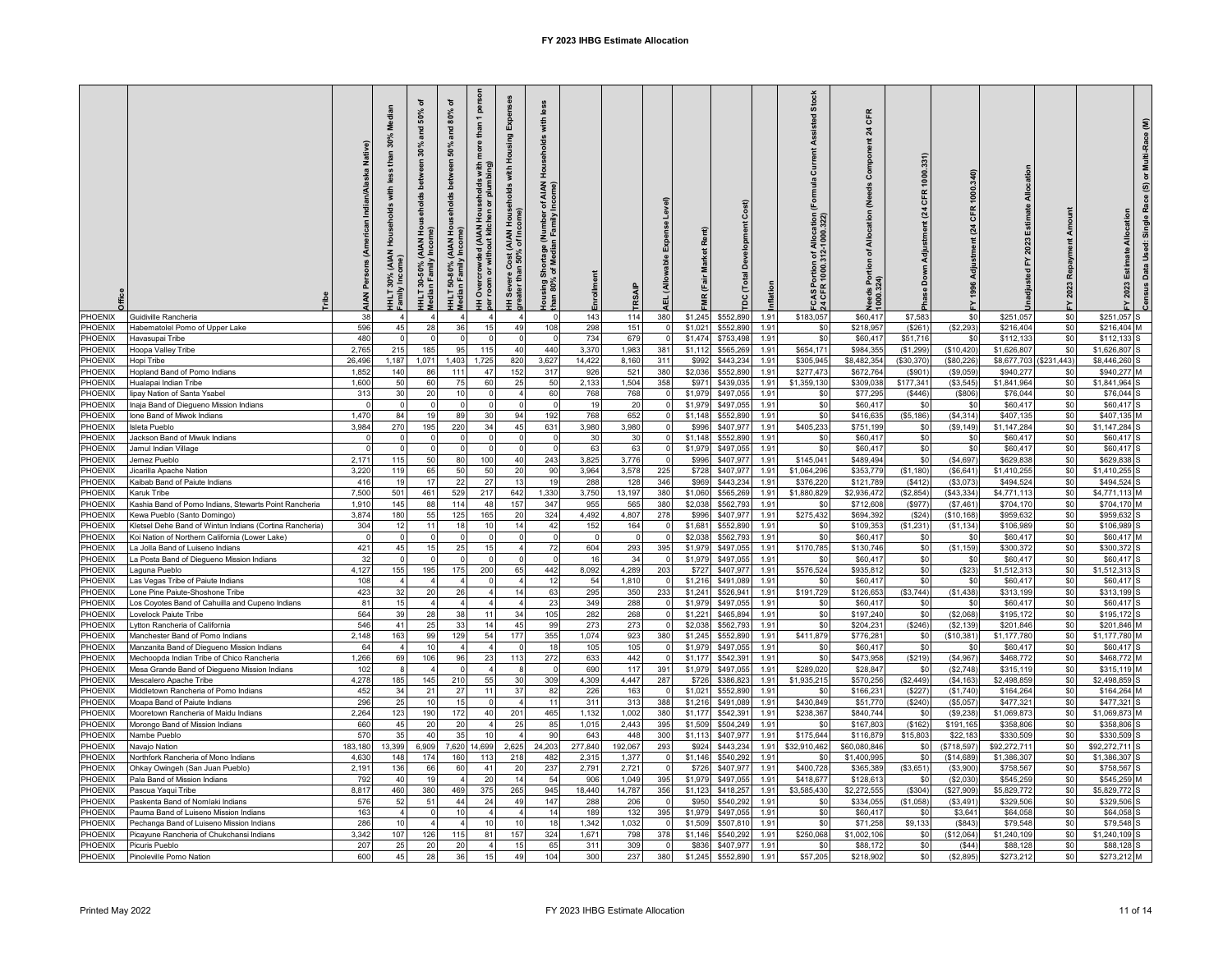| PHOENIX                        | Guidiville Rancheria                                                            | Indian/Alaska Native)<br><b>American</b><br>Pers<br><b>AIAN</b><br>38 | Medi<br>than<br>$\mathcal{Q}$<br>sith<br>P <sub>o</sub><br><b>AIAN</b><br>30%<br>Ë<br>4 | ৳<br>50%<br>]<br>30%<br>್ತಿ<br>운<br><b>AIAN</b><br>HHLT 30-50% (,<br>Median Family<br>$\overline{4}$ | ৳<br><b>80%</b><br>몯<br>-8<br>운<br>ଢ<br>Incor<br>HHLT 50-80% ( <i>.</i><br>Median Family<br>$\overline{4}$ | g<br>휻<br>nima<br>D<br>without kitchen or<br>ŏ<br>$\ddot{\mathbf{c}}$<br>Overci<br>room<br>E<br>$\overline{4}$ | <b>g</b><br>Δ<br>۵q<br>Housi<br>with<br>Households<br>AIAN<br>% of Inc<br>Cost (<br>Severe<br>sater than<br>Ŧ | <u>se</u><br>with<br>seholds<br>ᅙ<br>Family<br>orrage<br>Media<br>৳<br>あ<br>80%<br>nan<br>$\Omega$ | nrollment<br>143 | 114           | $\widehat{\mathbf{e}}$<br>্ব<br>380 | <b>Re</b><br>Market<br>(Fair<br>g<br>\$1,245 | ᄇ<br>\$552,890         | Inflation<br>1.91 | Assisted Stock<br>Current.<br>[Formula<br>: Allocation<br>2-1000.322)<br>৳়<br>Portion<br>R 1000.3<br>CASP<br>1 CFR<br>\$183,057 | CFR<br>$\overline{a}$<br>Component<br>Needs<br>Allocation<br>৳<br>Portion<br>24)<br>leeds<br>000.32<br>\$60,417 | \$7,583                  | 1000<br>CFR<br>$\mathbf{z}$<br>1996<br>\$0 | Estimate<br>2023<br>놊<br>adjusted<br>\$251,057 | 2023<br>\$0 | Allocation<br>Estimate<br>2023<br>\$251,057 S | ŝ<br>Multi-Race<br>ā<br>$\widehat{\boldsymbol{\omega}}$<br>$\ddot{\alpha}$<br>Single<br>Data Used: |
|--------------------------------|---------------------------------------------------------------------------------|-----------------------------------------------------------------------|-----------------------------------------------------------------------------------------|------------------------------------------------------------------------------------------------------|------------------------------------------------------------------------------------------------------------|----------------------------------------------------------------------------------------------------------------|---------------------------------------------------------------------------------------------------------------|----------------------------------------------------------------------------------------------------|------------------|---------------|-------------------------------------|----------------------------------------------|------------------------|-------------------|----------------------------------------------------------------------------------------------------------------------------------|-----------------------------------------------------------------------------------------------------------------|--------------------------|--------------------------------------------|------------------------------------------------|-------------|-----------------------------------------------|----------------------------------------------------------------------------------------------------|
| PHOFNIX                        | Habematolel Pomo of Upper Lake                                                  | 596                                                                   | 45                                                                                      | 28                                                                                                   | 36                                                                                                         | 15                                                                                                             | 49                                                                                                            | 108                                                                                                | 298              | 151           |                                     | \$1,021                                      | \$552,890              | 1.91              | \$0                                                                                                                              | \$218,957                                                                                                       | (\$261)                  | (\$2,293)                                  | \$216,404                                      | \$0         | \$216.404 M                                   |                                                                                                    |
| HOENIX                         | Havasupai Tribe                                                                 | 480                                                                   | $\Omega$                                                                                | $\cap$                                                                                               | $\Omega$                                                                                                   | $\Omega$                                                                                                       | $\sqrt{ }$                                                                                                    | $\Omega$                                                                                           | 734              | 679           | $\Omega$                            | \$1,474                                      | \$753,498              | 1.91              | \$0                                                                                                                              | \$60,417                                                                                                        | \$51,716                 | -SC                                        | \$112,133                                      | \$0         | \$112,133                                     |                                                                                                    |
| HOENIX                         | Hoopa Valley Tribe                                                              | 2,765                                                                 | 215                                                                                     | 185                                                                                                  | 95                                                                                                         | 115                                                                                                            | 40                                                                                                            | 440                                                                                                | 3,370            | 1,983         | 381                                 | \$1,112                                      | \$565,26               | 1.91              | \$654,171                                                                                                                        | \$984,355                                                                                                       | (\$1,299)                | (\$10,420                                  | \$1,626,807                                    | \$0         | \$1,626,807                                   |                                                                                                    |
| <b>HOENIX</b>                  | Hopi Tribe                                                                      | 26,496                                                                | 1,187                                                                                   | 1,071                                                                                                | 1,403                                                                                                      | 1,725                                                                                                          | 820                                                                                                           | 3,627                                                                                              | 14,422           | 8,160         | 311                                 | \$992                                        | \$443,23               | 1.91              | \$305,945                                                                                                                        | \$8,482,354                                                                                                     | (\$30,370                | (\$80,226                                  | \$8,677,703                                    | \$231,443   | \$8,446,260                                   |                                                                                                    |
| HOENIX                         | lopland Band of Pomo Indians                                                    | 1,85                                                                  | 140                                                                                     | 86                                                                                                   | 111                                                                                                        | 47                                                                                                             | 152                                                                                                           | 317                                                                                                | 926              | 521           | 380                                 | \$2,036                                      | \$552,89               | 1.91              | \$277,473                                                                                                                        | \$672,764                                                                                                       | (\$901                   | (\$9,059                                   | \$940,27                                       | \$0         | \$940,27                                      |                                                                                                    |
| HOENIX                         | Hualapai Indian Tribe                                                           | 1,600<br>313                                                          | 50<br>30                                                                                | 60<br>20                                                                                             | 75<br>10                                                                                                   | 60                                                                                                             | 25                                                                                                            | 50<br>60                                                                                           | 2,133<br>768     | 1,504<br>768  | 358                                 | \$971                                        | \$439,03<br>\$497,055  | 1.91<br>1.91      | \$1,359,130<br>-SC                                                                                                               | \$309,038<br>\$77,295                                                                                           | \$177,341<br>(\$446)     | $(*3,545)$<br>(\$806                       | \$1,841,964<br>\$76,04                         | \$0<br>\$0  | \$1,841,964<br>\$76,044                       |                                                                                                    |
| HOENIX<br><b>HOENIX</b>        | lipay Nation of Santa Ysabel<br>naja Band of Diegueno Mission Indians           |                                                                       |                                                                                         |                                                                                                      |                                                                                                            |                                                                                                                |                                                                                                               |                                                                                                    | 19               | 20            |                                     | \$1,979<br>\$1,97                            | \$497,05               | 1.91              | \$0                                                                                                                              | \$60,417                                                                                                        | \$C                      | - \$                                       | \$60,417                                       | \$0         | \$60,417                                      |                                                                                                    |
| <b>HOENIX</b>                  | one Band of Miwok Indians                                                       | 1,470                                                                 | 84                                                                                      | 19                                                                                                   | 89                                                                                                         | 30                                                                                                             | 94                                                                                                            | 192                                                                                                | 768              | 652           |                                     | \$1,148                                      | \$552,89               | 1.91              | \$0                                                                                                                              | \$416,635                                                                                                       | (\$5, 186)               | \$4,314                                    | \$407,13                                       | \$0         | \$407,135                                     |                                                                                                    |
| <b>HOENIX</b>                  | sleta Pueblo                                                                    | 3,984                                                                 | 270                                                                                     | 195                                                                                                  | 220                                                                                                        | 34                                                                                                             | 45                                                                                                            | 631                                                                                                | 3,980            | 3,980         |                                     | \$996                                        | \$407,977              | 1.91              | \$405,233                                                                                                                        | \$751,199                                                                                                       | \$0                      | (\$9,149)                                  | \$1,147,284                                    | \$0         | \$1,147,284                                   |                                                                                                    |
| <b>HOENIX</b>                  | Jackson Band of Miwuk Indians                                                   |                                                                       | $\Omega$                                                                                | $\sqrt{ }$                                                                                           | - 0                                                                                                        | $\Omega$                                                                                                       |                                                                                                               | $\Omega$                                                                                           | 30               | 30            | $\Omega$                            | \$1,148                                      | \$552,890              | 1.91              | \$0                                                                                                                              | \$60,417                                                                                                        | \$0                      | \$0                                        | \$60,417                                       | \$0         | \$60,417                                      |                                                                                                    |
| <b>HOENIX</b>                  | Jamul Indian Village                                                            |                                                                       | $\Omega$                                                                                | $\Omega$                                                                                             |                                                                                                            | - 0                                                                                                            |                                                                                                               | $\overline{0}$                                                                                     | 63               | 63            | $\Omega$                            | \$1,979                                      | \$497,055              | 1.91              | \$0                                                                                                                              | \$60,417                                                                                                        | \$0                      | \$0                                        | \$60,417                                       | \$0         | \$60,417                                      |                                                                                                    |
| <b>HOENIX</b>                  | Jemez Pueblo                                                                    | 2,171                                                                 | 115                                                                                     | 50                                                                                                   | 80                                                                                                         | 100                                                                                                            | 40                                                                                                            | 243                                                                                                | 3,825            | 3,776         | $\Omega$                            | \$996                                        | \$407,97               | 1.91              | \$145,041                                                                                                                        | \$489,494                                                                                                       | \$0                      | (\$4,697)                                  | \$629,83                                       | \$0         | \$629,838                                     |                                                                                                    |
| <b>HOENIX</b>                  | licarilla Apache Nation                                                         | 3,22                                                                  | 119                                                                                     | 65                                                                                                   | 50                                                                                                         | 50                                                                                                             | 20                                                                                                            | 90                                                                                                 | 3,964            | 3,578         | 225                                 | \$728                                        | \$407,97               | 1.91              | \$1,064,29                                                                                                                       | \$353,779                                                                                                       | (\$1,180)                | (\$6,641                                   | \$1,410,25                                     | \$0         | \$1,410,255                                   |                                                                                                    |
| <b>HOENIX</b>                  | Kaibab Band of Paiute Indians                                                   | 41                                                                    | 19                                                                                      | 17                                                                                                   | 22                                                                                                         | 27                                                                                                             | 1:                                                                                                            | 19                                                                                                 | 288              | 128           | 346                                 | \$969                                        | \$443,234              | 1.91              | \$376,220                                                                                                                        | \$121,789                                                                                                       | $($ \$412                | (\$3,073                                   | \$494,524                                      | \$0         | \$494,524                                     |                                                                                                    |
| <b>HOENIX</b>                  | Karuk Tribe                                                                     | 7,500                                                                 | 501                                                                                     | 461                                                                                                  | 529                                                                                                        | 217                                                                                                            | 642                                                                                                           | 1,330                                                                                              | 3,750            | 13,197        | 380                                 | \$1,060                                      | \$565,269              | 1.91              | \$1,880,82                                                                                                                       | \$2,936,472                                                                                                     | (\$2,854)                | (\$43,334                                  | \$4,771,113                                    | \$0         | \$4,771,113 M                                 |                                                                                                    |
| <b>HOENIX</b>                  | Cashia Band of Pomo Indians, Stewarts Point Rancheria                           | 1.910                                                                 | 145                                                                                     | 88                                                                                                   | 114                                                                                                        | 48                                                                                                             | 157                                                                                                           | 347                                                                                                | 955              | 565           | 380                                 | \$2,038                                      | \$562,79               | 1.91              |                                                                                                                                  | \$712,608                                                                                                       | (\$977)                  | (\$7,461                                   | \$704,170                                      | \$0         | \$704,170                                     |                                                                                                    |
| <b>HOENIX</b>                  | (ewa Pueblo (Santo Domingo)                                                     | 3,874                                                                 | 180                                                                                     | 55                                                                                                   | 125                                                                                                        | 165                                                                                                            | 20                                                                                                            | 324                                                                                                | 4,492            | 4,807         | 278                                 | \$996                                        | \$407,977              | 1.91              | \$275,432                                                                                                                        | \$694,392                                                                                                       | (\$24)                   | (\$10, 168)                                | \$959,632                                      | \$0         | \$959,632                                     |                                                                                                    |
| <b>HOENIX</b>                  | (letsel Dehe Band of Wintun Indians (Cortina Rancheria)                         | 304                                                                   | 12                                                                                      | 11                                                                                                   | 18                                                                                                         | 10                                                                                                             | 14                                                                                                            | 42                                                                                                 | 152              | 164           |                                     | \$1,681                                      | \$552,890              | 1.91              | \$C                                                                                                                              | \$109,353                                                                                                       | (\$1,231)                | (\$1, 134)                                 | \$106,989                                      | \$0         | \$106,989                                     |                                                                                                    |
| PHOENIX                        | (oi Nation of Northern California (Lower Lake)                                  |                                                                       | $\Omega$                                                                                | $\Omega$                                                                                             | - 0                                                                                                        | - 0                                                                                                            | -C                                                                                                            | - 0                                                                                                | $\Omega$         | - 0           | n                                   | \$2,038                                      | \$562,793              | 1.91              | \$0                                                                                                                              | \$60,417                                                                                                        | \$0                      | - \$0                                      | \$60,417                                       | \$0         | \$60,417                                      |                                                                                                    |
| <b>HOENIX</b><br><b>HOENIX</b> | a Jolla Band of Luiseno Indians.<br>a Posta Band of Diegueno Mission Indians    | 421<br>-32                                                            | 45<br>$\Omega$                                                                          | 15                                                                                                   | 25                                                                                                         | 15                                                                                                             | $\boldsymbol{\Lambda}$                                                                                        | 72                                                                                                 | 604<br>16        | 293<br>34     | 395                                 | \$1,979<br>\$1,979                           | \$497,055<br>\$497,05  | 1.91<br>1.91      | \$170,785<br><b>SC</b>                                                                                                           | \$130,746<br>\$60,417                                                                                           | \$0<br>\$0               | (\$1, 159)<br>-SC                          | \$300,372<br>\$60,417                          | \$0<br>\$0  | \$300,372<br>\$60,41                          |                                                                                                    |
| <b>HOENIX</b>                  | aguna Pueblo                                                                    | 4,127                                                                 | 155                                                                                     | 195                                                                                                  | 175                                                                                                        | 200                                                                                                            | 65                                                                                                            | 442                                                                                                | 8,092            | 4,289         | 203                                 | \$727                                        | \$407,97               | 1.91              | \$576,524                                                                                                                        | \$935,812                                                                                                       | \$0                      | (\$23]                                     | \$1,512,31                                     | \$0         | \$1,512,31                                    |                                                                                                    |
| <b>HOENIX</b>                  | as Vegas Tribe of Paiute Indians                                                | 108                                                                   | $\Delta$                                                                                |                                                                                                      |                                                                                                            |                                                                                                                |                                                                                                               | 12                                                                                                 | 54               | 1,810         |                                     | \$1,216                                      | \$491,089              | 1.91              | $\mathsf{S}$ C                                                                                                                   | \$60,417                                                                                                        | \$0                      | \$0                                        | \$60,417                                       | \$0         | \$60,417                                      |                                                                                                    |
| <b>HOENIX</b>                  | one Pine Paiute-Shoshone Tribe                                                  | 423                                                                   | 32                                                                                      | 20                                                                                                   | 26                                                                                                         |                                                                                                                | 14                                                                                                            | 63                                                                                                 | 295              | 350           | 233                                 | \$1,241                                      | \$526,941              | 1.91              | \$191,729                                                                                                                        | \$126,653                                                                                                       | (\$3,744)                | (\$1,438)                                  | \$313,199                                      | \$0         | \$313,199                                     |                                                                                                    |
| <b>HOENIX</b>                  | os Coyotes Band of Cahuilla and Cupeno Indians                                  | 81                                                                    | 15                                                                                      |                                                                                                      |                                                                                                            |                                                                                                                |                                                                                                               | 23                                                                                                 | 349              | 288           |                                     | \$1,97                                       | \$497,05               | 1.91              | \$0                                                                                                                              | \$60,417                                                                                                        | \$0                      | -SO                                        | \$60,417                                       | \$0         | \$60,417                                      |                                                                                                    |
| <b>HOENIX</b>                  | ovelock Paiute Tribe.                                                           | 564                                                                   | 39                                                                                      | 28                                                                                                   | 38                                                                                                         | 11                                                                                                             | 34                                                                                                            | 105                                                                                                | 282              | 268           |                                     | \$1,221                                      | \$465,894              | 1.91              | \$0                                                                                                                              | \$197,240                                                                                                       | \$0                      | \$2,068                                    | \$195,172                                      | \$0         | \$195,172                                     |                                                                                                    |
| <b>HOENIX</b>                  | vtton Rancheria of California                                                   | 546                                                                   | 41                                                                                      | 25                                                                                                   | 33                                                                                                         | 14                                                                                                             | 45                                                                                                            | 99                                                                                                 | 273              | 273           |                                     | \$2,038                                      | \$562,793              | 1.91              | \$0                                                                                                                              | \$204,231                                                                                                       | (\$246)                  | (\$2,139)                                  | \$201,846                                      | \$0         | \$201,846                                     |                                                                                                    |
| <b>HOENIX</b>                  | Manchester Band of Pomo Indians                                                 | 2,148                                                                 | 163                                                                                     | 99                                                                                                   | 129                                                                                                        | 54                                                                                                             | 177                                                                                                           | 355                                                                                                | 1,074            | 923           | 380                                 | \$1,245                                      | \$552,890              | 1.91              | \$411,879                                                                                                                        | \$776,281                                                                                                       | \$0                      | (\$10,381)                                 | \$1,177,780                                    | \$0         | \$1,177,780                                   |                                                                                                    |
| <b>HOENIX</b>                  | Manzanita Band of Diegueno Mission Indians                                      | 64                                                                    | $\overline{4}$                                                                          | 10                                                                                                   |                                                                                                            |                                                                                                                |                                                                                                               | 18                                                                                                 | 105              | 105           | $\Omega$                            | \$1,979                                      | \$497,055              | 1.91              | -SC                                                                                                                              | \$60,417                                                                                                        | \$0                      | \$0                                        | \$60,417                                       | \$0         | \$60,417                                      |                                                                                                    |
| <b>HOENIX</b><br><b>HOENIX</b> | Mechoopda Indian Tribe of Chico Rancheria                                       | 1,266<br>10                                                           | 69                                                                                      | 106                                                                                                  | 96                                                                                                         | 23                                                                                                             | 113                                                                                                           | 272                                                                                                | 633<br>690       | 442<br>117    | $\Omega$<br>391                     | \$1,177<br>\$1,979                           | \$542,391<br>\$497,05  | 1.91<br>1.91      | \$0<br>\$289,02                                                                                                                  | \$473,958<br>\$28,847                                                                                           | (\$219)<br>\$0           | (\$4,967)                                  | \$468,77<br>\$315,11                           | \$0<br>\$0  | \$468,772<br>\$315,11                         |                                                                                                    |
| HOENIX                         | Mesa Grande Band of Diegueno Mission Indians<br><i>l</i> lescalero Apache Tribe | 4,27                                                                  | 185                                                                                     | 145                                                                                                  | 21C                                                                                                        | 55                                                                                                             | $\mathcal{R}$                                                                                                 | 309                                                                                                | 4,309            | 4,447         | 287                                 | \$726                                        | \$386,82               | 1.91              | \$1,935,21                                                                                                                       | \$570,256                                                                                                       | (\$2,449)                | \$2,748<br>(\$4, 163                       | \$2,498,85                                     | \$0         | \$2,498,859                                   |                                                                                                    |
| <b>HOENIX</b>                  | Middletown Rancheria of Pomo Indians                                            | 452                                                                   | 34                                                                                      | 21                                                                                                   | $27$                                                                                                       | 11                                                                                                             | 37                                                                                                            | 82                                                                                                 | 226              | 163           | $\Omega$                            | \$1,021                                      | \$552,890              | 1.91              | <b>SC</b>                                                                                                                        | \$166,231                                                                                                       | (\$227)                  | (\$1,740                                   | \$164,264                                      | \$0         | \$164,264                                     |                                                                                                    |
| <b>HOENIX</b>                  | Moapa Band of Paiute Indians                                                    | 296                                                                   | 25                                                                                      | 10                                                                                                   | 15                                                                                                         |                                                                                                                |                                                                                                               | 11                                                                                                 | 311              | 313           | 388                                 | \$1,216                                      | \$491,089              | 1.91              | \$430,849                                                                                                                        | \$51,770                                                                                                        | (\$240)                  | (\$5,057                                   | \$477,321                                      | \$0         | \$477,32                                      |                                                                                                    |
| <b>HOENIX</b>                  | <b>Mooretown Rancheria of Maidu Indians</b>                                     | 2,264                                                                 | 123                                                                                     | 190                                                                                                  | 172                                                                                                        | 40                                                                                                             | 201                                                                                                           | 465                                                                                                | 1,132            | 1,002         | 380                                 | \$1,177                                      | \$542,391              | 1.91              | \$238,367                                                                                                                        | \$840,744                                                                                                       | \$0                      | (\$9,238)                                  | \$1,069,873                                    | \$0         | \$1,069,873                                   |                                                                                                    |
| HOENIX                         | Morongo Band of Mission Indians                                                 | 660                                                                   | 45                                                                                      | 20                                                                                                   | 20                                                                                                         | $\overline{4}$                                                                                                 | 25                                                                                                            | 85                                                                                                 | 1,015            | 2,443         | 395                                 | \$1,509                                      | \$504,249              | 1.91              | \$C                                                                                                                              | \$167,803                                                                                                       | (\$162)                  | \$191,165                                  | \$358,806                                      | \$0         | \$358,806                                     |                                                                                                    |
| PHOENIX                        | Nambe Pueblo                                                                    | 570                                                                   | 35                                                                                      | 40                                                                                                   | 35                                                                                                         | 10                                                                                                             | $\overline{a}$                                                                                                | 90                                                                                                 | 643              | 448           | 300                                 | \$1,113                                      | \$407,977              | 1.91              | \$175,644                                                                                                                        | \$116,879                                                                                                       | \$15,803                 | \$22,183                                   | \$330,509                                      | \$0         | \$330,509                                     |                                                                                                    |
| <b>HOENIX</b>                  | Navajo Nation                                                                   | 183,180                                                               | 13,399                                                                                  | 6,909                                                                                                | 7,620                                                                                                      | 14,699                                                                                                         | 2,625                                                                                                         | 24,203                                                                                             | 277,840          | 192,067       | 293                                 | \$924                                        | \$443,234              | 1.91              | \$32,910,462                                                                                                                     | \$60,080,846                                                                                                    | \$0                      | (\$718,597)                                | \$92,272,71                                    | \$0         | \$92,272,71                                   |                                                                                                    |
| <b>HOENIX</b>                  | <b>Northfork Rancheria of Mono Indians</b>                                      | 4,630                                                                 | 148                                                                                     | 174                                                                                                  | 160                                                                                                        | 113                                                                                                            | 218                                                                                                           | 482                                                                                                | 2,315            | 1,377         |                                     | \$1,146                                      | \$540,29               | 1.91              | \$C                                                                                                                              | \$1,400,995                                                                                                     | \$0                      | (\$14,689                                  | \$1,386,30                                     | \$0         | \$1,386,30                                    |                                                                                                    |
| HOENIX                         | Ohkay Owingeh (San Juan Pueblo)                                                 | 2,19                                                                  | 136                                                                                     | 66<br>19                                                                                             | 60                                                                                                         | 41                                                                                                             | 20<br>14                                                                                                      | 237                                                                                                | 2,791            | 2,721         |                                     | \$726                                        | \$407,97               | 19'               | \$400,728                                                                                                                        | \$365,389                                                                                                       | (\$3,651<br>$\mathsf{S}$ | (\$3,900                                   | \$758,56                                       | \$0         | \$758,56                                      |                                                                                                    |
| <b>HOENIX</b>                  | Pala Band of Mission Indians                                                    | 792                                                                   | 40                                                                                      |                                                                                                      |                                                                                                            | 20                                                                                                             |                                                                                                               | 54                                                                                                 | 906              | 1,049         | 395                                 | \$1,979                                      | \$497,05               | 1.91              | \$418,677                                                                                                                        | \$128,613                                                                                                       |                          | (\$2,030                                   | \$545,25                                       | \$0         | \$545,25                                      |                                                                                                    |
| <b>HOENIX</b><br><b>HOENIX</b> | <sup>⊃</sup> ascua Yaqui Tribe<br><sup>9</sup> askenta Band of Nomlaki Indians  | 8,81<br>576                                                           | 460<br>52                                                                               | 380<br>51                                                                                            | 469<br>44                                                                                                  | 375<br>24                                                                                                      | 265<br>49                                                                                                     | 945<br>147                                                                                         | 18,440<br>288    | 14,787<br>206 | 356                                 | \$1,123<br>\$950                             | \$418,257<br>\$540,292 | 1.91<br>1.91      | \$3,585,430<br>$$^{(1)}$                                                                                                         | \$2,272,555<br>\$334,055                                                                                        | (\$304)<br>(\$1,058)     | (\$27,909)<br>(\$3,491                     | \$5,829,772<br>\$329,50                        | \$0<br>\$0  | \$5,829,772<br>\$329,50                       |                                                                                                    |
| <b>HOENIX</b>                  | Pauma Band of Luiseno Mission Indians                                           | 163                                                                   |                                                                                         |                                                                                                      | 10                                                                                                         |                                                                                                                |                                                                                                               | 14                                                                                                 | 189              | 132           | 395                                 | \$1,97                                       | \$497,05               | 1.91              | \$C                                                                                                                              | \$60,417                                                                                                        | \$0                      | \$3,64                                     | \$64.05                                        | \$0         | \$64,058                                      |                                                                                                    |
| HOENIX                         | Pechanga Band of Luiseno Mission Indians                                        | 286                                                                   | 10                                                                                      | $\mathbf{A}$                                                                                         |                                                                                                            | 10                                                                                                             | 10                                                                                                            | 18                                                                                                 | 1,342            | 1,032         |                                     | \$1,509                                      | \$507,810              | 1.91              | \$0                                                                                                                              | \$71,258                                                                                                        | \$9,133                  | (S843)                                     | \$79,548                                       | \$0         | \$79,548                                      |                                                                                                    |
| PHOENIX                        | Picayune Rancheria of Chukchansi Indians                                        | 3,342                                                                 | 107                                                                                     | 126                                                                                                  | 115                                                                                                        | 81                                                                                                             | 157                                                                                                           | 324                                                                                                | 1,671            | 798           | 378                                 | \$1,146                                      | \$540,292              | 1.91              | \$250,068                                                                                                                        | \$1,002,106                                                                                                     | \$0                      | (\$12,064)                                 | \$1,240,109                                    | \$0         | \$1,240,109                                   |                                                                                                    |
| <b>HOENIX</b>                  | Picuris Pueblo                                                                  | 207                                                                   | 25                                                                                      | 20                                                                                                   | 20                                                                                                         |                                                                                                                | 15                                                                                                            | 65                                                                                                 | 311              | 309           |                                     | \$836                                        | \$407,97               | 1.91              | \$ſ                                                                                                                              | \$88,172                                                                                                        | \$0                      | (\$44"                                     | \$88,128                                       | \$0         | \$88,128                                      |                                                                                                    |
| PHOENIX                        | Pinoleville Pomo Nation                                                         | 600                                                                   | 45                                                                                      | 28                                                                                                   | 36                                                                                                         | 15                                                                                                             | 40                                                                                                            | 104                                                                                                | 300              | 237           | 380                                 | \$1.245                                      | \$552,890              | 1.91              | \$57,205                                                                                                                         | \$218,902                                                                                                       | \$0                      | (\$2,895                                   | \$273,21                                       | \$0         | \$273,212 M                                   |                                                                                                    |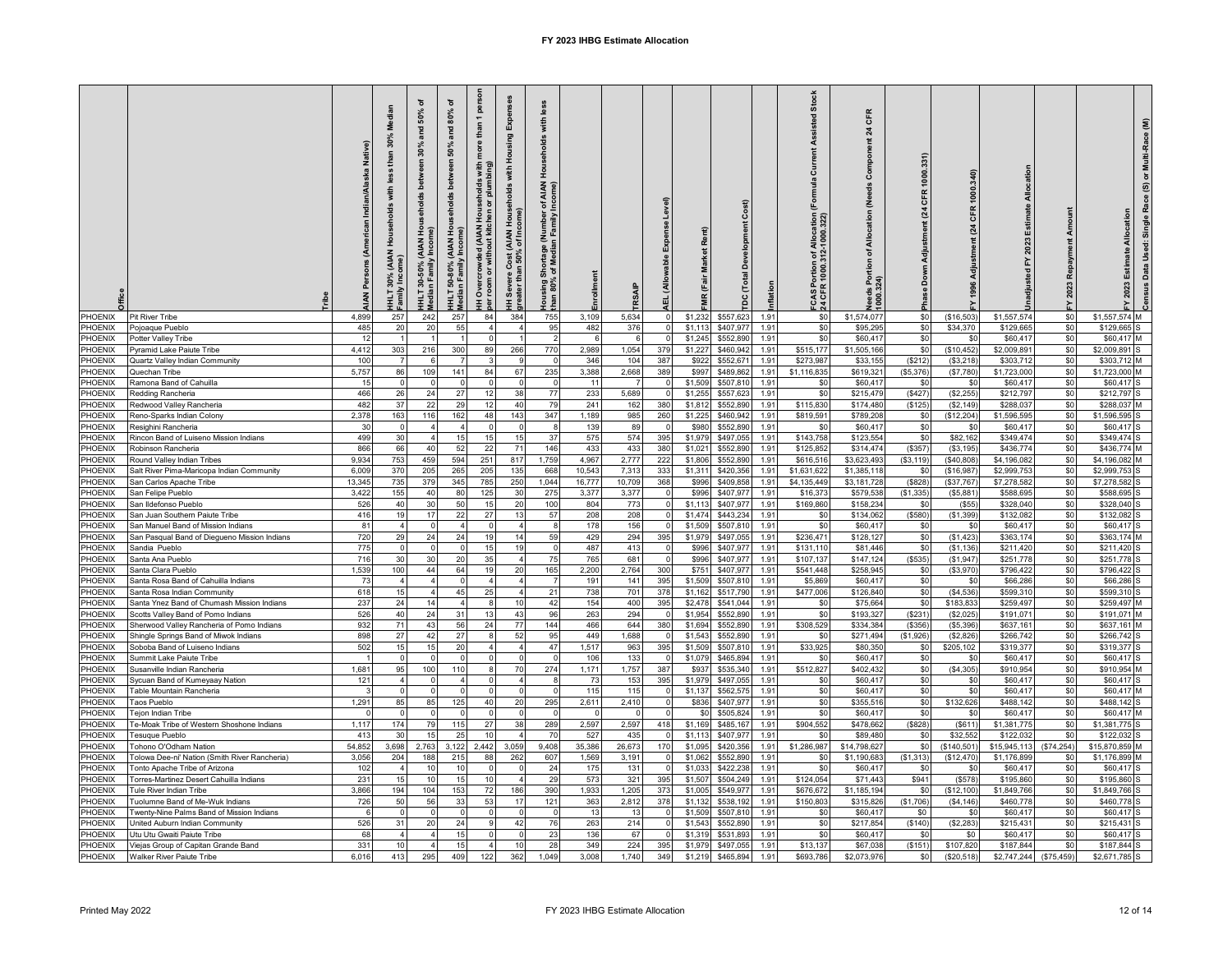|                                |                                                                           | Native)<br>Indian/Alaska<br>rican<br>(Ame<br>Pers<br>Š | than<br>sith<br>유<br><b>AIAN</b><br>30%<br>amily<br>보 | ৳<br>50%<br>and<br>30%<br>ತಿ<br>울<br>Incor<br><b>Median Family</b><br>$30 - 50%$<br>보 | ৳<br>80%<br>್ತಿ<br>오<br>၉<br>Incor<br>-IHLT 50-80% (<br>Median Family<br>257 | jer<br>È<br>bing)<br>pluml<br>ŏ<br>kitchen<br><b>AIAN</b><br>৯<br>Overci<br>room<br>84 | Õ<br><b>Housing</b><br>with<br>Households<br>: (AIAN I)<br>% of Inc<br>$\frac{Cost}{n}$<br>Severe<br>ater than<br>384 | with<br>ठ<br>shortage (Number<br>of Median Family<br>᠊ᅘ<br>%og<br>Sous<br>ξ<br>755 | arollment    | 5,634        | jeve            | <b>Re</b><br>Market<br>Fair<br>g<br>\$1,232 | Cost)                  | nflation     | sisted Stock<br>ä<br>Current<br>[Formula<br>Allocation<br>2-1000.322)<br>of<br>3<br>CAS Portion | CFR<br>$\overline{a}$<br>ponent<br>Com<br>(Needs<br>Allocation<br>৳<br>tion<br><b>Jeeds Port</b><br>1000.324)<br>\$1,574,077 | \$0                        | CFR<br>$^{124}$<br>1996 | Allocation<br>Estimate<br>2023<br>고<br>ladjust | 2023<br>\$0 | $\widehat{\epsilon}$<br>Multi-Race<br>ŏ<br>ම<br>Single Race<br>Estimate Allocation<br>Used:<br>Data<br>2023<br><b>Census</b><br>\$1.557.574 |
|--------------------------------|---------------------------------------------------------------------------|--------------------------------------------------------|-------------------------------------------------------|---------------------------------------------------------------------------------------|------------------------------------------------------------------------------|----------------------------------------------------------------------------------------|-----------------------------------------------------------------------------------------------------------------------|------------------------------------------------------------------------------------|--------------|--------------|-----------------|---------------------------------------------|------------------------|--------------|-------------------------------------------------------------------------------------------------|------------------------------------------------------------------------------------------------------------------------------|----------------------------|-------------------------|------------------------------------------------|-------------|---------------------------------------------------------------------------------------------------------------------------------------------|
| PHOENIX<br><b>PHOENIX</b>      | Pit River Tribe<br>Poioague Pueblo                                        | 4,899<br>485                                           | 257<br>20                                             | 242<br>20                                                                             | 55                                                                           |                                                                                        |                                                                                                                       | 95                                                                                 | 3,109<br>482 | 376          |                 | \$1.113                                     | \$557,623<br>\$407.977 | 1.91<br>1.91 | \$0<br>\$0                                                                                      | \$95,295                                                                                                                     | \$0                        | (\$16,503<br>\$34,370   | \$1,557,574<br>\$129,665                       | \$0         | \$129.665                                                                                                                                   |
| PHOENIX                        | Potter Valley Tribe                                                       | 12                                                     |                                                       |                                                                                       |                                                                              |                                                                                        |                                                                                                                       | $\overline{2}$                                                                     | 6            |              | $\Omega$        | \$1,245                                     | \$552,890              | 1.91         | \$0                                                                                             | \$60,417                                                                                                                     | \$0                        | -SO                     | \$60,417                                       | \$0         | \$60,417<br>м                                                                                                                               |
| <b>HOENIX</b>                  | Pyramid Lake Paiute Tribe                                                 | 4.412                                                  | 303                                                   | 216                                                                                   | 300                                                                          | 89                                                                                     | 266                                                                                                                   | 770                                                                                | 2,989        | 1,054        | 379             | \$1,227                                     | \$460,942              | 1.91         | \$515,177                                                                                       | \$1,505,166                                                                                                                  | \$0                        | (\$10,452               | \$2,009,891                                    | \$0         | \$2,009,891                                                                                                                                 |
| <b>HOENIX</b>                  | Quartz Valley Indian Community                                            | 100                                                    |                                                       |                                                                                       |                                                                              |                                                                                        |                                                                                                                       |                                                                                    | 346          | 104          | 387             | \$922                                       | \$552,671              | 1.91         | \$273,987                                                                                       | \$33,155                                                                                                                     | (\$212)                    | (\$3,218)               | \$303,71                                       | \$0         | \$303,712<br>м                                                                                                                              |
| <b>HOENIX</b>                  | Quechan Tribe                                                             | 5,757                                                  | 86                                                    | 109                                                                                   | 141                                                                          | 84                                                                                     | 67                                                                                                                    | 235                                                                                | 3,388        | 2,668        | 389             | \$997                                       | \$489,86               | 1.91         | \$1,116,835                                                                                     | \$619,32                                                                                                                     | (\$5,376                   | (\$7,780                | \$1,723,00                                     | \$0         | \$1,723,00                                                                                                                                  |
| <b>HOENIX</b><br><b>HOENIX</b> | Ramona Band of Cahuilla                                                   | 466                                                    | 26                                                    | 24                                                                                    | 27                                                                           | 12                                                                                     | 38                                                                                                                    | 77                                                                                 | 11<br>233    | 5,689        |                 | \$1,509<br>\$1,255                          | \$507,81<br>\$557,62   | 1.91<br>1.91 | \$ <sub>6</sub><br>\$0                                                                          | \$60,417<br>\$215,479                                                                                                        | \$ <sub>0</sub><br>(\$427) | <b>S</b><br>(\$2,255    | \$60,417<br>\$212,797                          | \$0<br>\$0  | \$60.41<br>\$212,797                                                                                                                        |
| <b>HOENIX</b>                  | Redding Rancheria<br>Redwood Valley Rancheria                             | 482                                                    | 37                                                    | 22                                                                                    | 29                                                                           | 12                                                                                     | 40                                                                                                                    | 79                                                                                 | 241          | 162          | 380             | \$1,812                                     | \$552,890              | 1.91         | \$115,830                                                                                       | \$174,480                                                                                                                    | (\$125)                    | (\$2,149)               | \$288,037                                      | \$0         | \$288,037                                                                                                                                   |
| <b>HOENIX</b>                  | Reno-Sparks Indian Colonv                                                 | 2,378                                                  | 163                                                   | 116                                                                                   | 162                                                                          | 48                                                                                     | 143                                                                                                                   | 347                                                                                | 1,189        | 985          | 260             | \$1,225                                     | \$460,942              | 1.91         | \$819,591                                                                                       | \$789,208                                                                                                                    | \$0                        | (\$12,204               | \$1,596,595                                    | \$0         | \$1,596,595                                                                                                                                 |
| <b>HOENIX</b>                  | Resighini Rancheria                                                       | 30                                                     | $\Omega$                                              |                                                                                       |                                                                              |                                                                                        |                                                                                                                       | -8                                                                                 | 139          | 89           |                 | \$980                                       | \$552,890              | 1.91         | -90                                                                                             | \$60,417                                                                                                                     | \$0                        | -SC                     | \$60,417                                       | \$0         | \$60,417                                                                                                                                    |
| <b>HOENIX</b>                  | Rincon Band of Luiseno Mission Indians                                    | 499                                                    | 30                                                    |                                                                                       | 15                                                                           | 15                                                                                     | 15                                                                                                                    | 37                                                                                 | 575          | 574          | 395             | \$1,979                                     | \$497,055              | 1.91         | \$143,758                                                                                       | \$123,554                                                                                                                    | \$0                        | \$82,162                | \$349,474                                      | \$0         | \$349,474                                                                                                                                   |
| <b>HOENIX</b>                  | Robinson Rancheria                                                        | 866                                                    | 66                                                    | 40                                                                                    | 52                                                                           | 22                                                                                     | 71                                                                                                                    | 146                                                                                | 433          | 433          | 380             | \$1,021                                     | \$552,890              | 1.91         | \$125,852                                                                                       | \$314,474                                                                                                                    | (\$357)                    | (\$3,195                | \$436,774                                      | \$0         | \$436,774<br>м                                                                                                                              |
| <b>HOENIX</b>                  | Round Valley Indian Tribes                                                | 9,934                                                  | 753                                                   | 459                                                                                   | 594                                                                          | 251                                                                                    | 817                                                                                                                   | 1,759                                                                              | 4,967        | 2,777        | 222             | \$1,806                                     | \$552,890              | 1.91         | \$616,516                                                                                       | \$3,623,493                                                                                                                  | (\$3, 119)                 | (\$40,808               | \$4,196,08                                     | \$0         | \$4,196,082                                                                                                                                 |
| <b>HOENIX</b>                  | Salt River Pima-Maricopa Indian Community                                 | 6,009                                                  | 370                                                   | 205                                                                                   | 265                                                                          | 205                                                                                    | 135                                                                                                                   | 668                                                                                | 10,543       | 7,313        | 333             | \$1,311                                     | \$420,356              | 1.91         | \$1,631,622                                                                                     | \$1,385,118                                                                                                                  | \$0                        | (\$16,987               | \$2,999,75                                     | \$0         | \$2,999,753                                                                                                                                 |
| PHOENIX                        | San Carlos Apache Tribe                                                   | 13,34                                                  | 735                                                   | 379                                                                                   | 345                                                                          | 785                                                                                    | 250                                                                                                                   | 1,044                                                                              | 16,777       | 10,709       | 368<br>$\Omega$ | \$996                                       | \$409,858              | 1.91         | \$4,135,449                                                                                     | \$3,181,728                                                                                                                  | $($ \$828)                 | (\$37,767               | \$7,278,58                                     | \$0         | \$7,278,582                                                                                                                                 |
| <b>HOENIX</b><br><b>HOENIX</b> | San Felipe Pueblo<br>San Ildefonso Pueblo                                 | 3,422<br>526                                           | 155<br>40                                             | 40<br>30                                                                              | 80<br>50                                                                     | 125<br>15                                                                              | 30<br>20                                                                                                              | 275<br>100                                                                         | 3,377<br>804 | 3,377<br>773 |                 | \$996<br>\$1,113                            | \$407,977<br>\$407,977 | 1.91<br>1.91 | \$16,373<br>\$169,860                                                                           | \$579,538<br>\$158,234                                                                                                       | (\$1,335)<br>\$0           | (\$5,881<br>(\$55       | \$588,695<br>\$328,040                         | \$0<br>\$0  | \$588,695<br>\$328,040                                                                                                                      |
| PHOENIX                        | San Juan Southern Paiute Tribe                                            | 416                                                    | 19                                                    | 17                                                                                    | 22                                                                           | 27                                                                                     | 13                                                                                                                    | 57                                                                                 | 208          | 208          | $\Omega$        | \$1,474                                     | \$443,234              | 1.91         | \$0                                                                                             | \$134,062                                                                                                                    | (\$580)                    | (S1, 399)               | \$132,082                                      | \$0         | \$132,082                                                                                                                                   |
| PHOENIX                        | San Manuel Band of Mission Indians                                        | 81                                                     | $\Delta$                                              | $\Omega$                                                                              | $\boldsymbol{\Delta}$                                                        | - 0                                                                                    | $\Delta$                                                                                                              | 8                                                                                  | 178          | 156          | $\Omega$        | \$1,509                                     | \$507,810              | 1.91         | \$0                                                                                             | \$60,417                                                                                                                     | \$0                        | \$0                     | \$60,417                                       | \$0         | \$60,417                                                                                                                                    |
| PHOENIX                        | San Pasqual Band of Diegueno Mission Indians                              | 720                                                    | 29                                                    | 24                                                                                    | 24                                                                           | 19                                                                                     | 14                                                                                                                    | 59                                                                                 | 429          | 294          | 395             | \$1,979                                     | \$497,055              | 1.91         | \$236,471                                                                                       | \$128,127                                                                                                                    | \$0                        | (\$1,423                | \$363,174                                      | \$0         | \$363,174<br>м                                                                                                                              |
| <b>HOENIX</b>                  | Sandia Pueblo                                                             | 775                                                    | $\Omega$                                              | $\Omega$                                                                              | $\sqrt{ }$                                                                   | 15                                                                                     | 19                                                                                                                    | $\Omega$                                                                           | 487          | 413          | $\Omega$        | \$996                                       | \$407,977              | 1.91         | \$131,110                                                                                       | \$81,446                                                                                                                     | \$0                        | (\$1,136)               | \$211,420                                      | \$0         | \$211,420                                                                                                                                   |
| <b>HOENIX</b>                  | Santa Ana Pueblo                                                          | 716                                                    | 30                                                    | 30                                                                                    | 20                                                                           | 35                                                                                     |                                                                                                                       | 75                                                                                 | 765          | 681          |                 | \$996                                       | \$407,97               | 1.91         | \$107.137                                                                                       | \$147.124                                                                                                                    | (\$535)                    | (\$1,947                | \$251.77                                       | \$0         | \$251,778                                                                                                                                   |
| <b>HOENIX</b>                  | Santa Clara Pueblo                                                        | 1,539                                                  | 100                                                   | 44                                                                                    | 64                                                                           | 19                                                                                     | 20                                                                                                                    | 165                                                                                | 2.200        | 2,764        | 300             | \$751                                       | \$407,97               | 1.91         | \$541.448                                                                                       | \$258,945                                                                                                                    | \$0                        | (\$3,970                | \$796,422                                      | \$0         | \$796.422                                                                                                                                   |
| PHOENIX                        | Santa Rosa Band of Cahuilla Indians                                       | 7 <sup>′</sup>                                         | $\Delta$                                              |                                                                                       |                                                                              |                                                                                        |                                                                                                                       |                                                                                    | 191          | 141          | 395             | \$1,509                                     | \$507,810              | 1.91         | \$5,869                                                                                         | \$60,417                                                                                                                     | \$0                        | <b>SC</b>               | \$66,286                                       | \$0         | \$66,286                                                                                                                                    |
| <b>HOENIX</b><br><b>HOENIX</b> | Santa Rosa Indian Communitv<br>Santa Ynez Band of Chumash Mission Indians | 618<br>237                                             | 15<br>24                                              | 14                                                                                    | 45                                                                           | 25                                                                                     | 10                                                                                                                    | 21<br>42                                                                           | 738<br>154   | 701<br>400   | 378<br>395      | \$1,162<br>\$2,478                          | \$517,790<br>\$541,044 | 1.91<br>1.91 | \$477,006<br>\$ <sub>6</sub>                                                                    | \$126,840<br>\$75,664                                                                                                        | \$0<br>\$0                 | (\$4,536<br>\$183,833   | \$599,31<br>\$259.497                          | \$0<br>\$0  | \$599,310<br>\$259.497                                                                                                                      |
| <b>HOENIX</b>                  | Scotts Valley Band of Pomo Indians                                        | 526                                                    | 40                                                    | 24                                                                                    | 31                                                                           | 13                                                                                     | 43                                                                                                                    | 96                                                                                 | 263          | 294          |                 | \$1.954                                     | \$552,890              | 1.91         | \$0                                                                                             | \$193.327                                                                                                                    | \$231                      | (\$2,025                | \$191.071                                      | \$0         | \$191.071                                                                                                                                   |
| <b>HOENIX</b>                  | Sherwood Valley Rancheria of Pomo Indians                                 | 932                                                    | 71                                                    | 43                                                                                    | 56                                                                           | 24                                                                                     | 77                                                                                                                    | 144                                                                                | 466          | 644          | 380             | \$1,694                                     | \$552,890              | 1.91         | \$308,529                                                                                       | \$334,384                                                                                                                    | (\$356)                    | (\$5,396                | \$637,161                                      | \$0         | \$637.161<br>М                                                                                                                              |
| <b>HOENIX</b>                  | Shingle Springs Band of Miwok Indians                                     | 898                                                    | 27                                                    | 42                                                                                    | 27                                                                           | -8                                                                                     | 52                                                                                                                    | 95                                                                                 | 449          | 1,688        |                 | \$1,543                                     | \$552,890              | 1.91         | \$0                                                                                             | \$271,494                                                                                                                    | (\$1,926)                  | (\$2,826                | \$266,742                                      | \$0         | \$266,742                                                                                                                                   |
| <b>HOENIX</b>                  | Soboba Band of Luiseno Indians                                            | 502                                                    | 15                                                    | 15                                                                                    | 20                                                                           |                                                                                        |                                                                                                                       | 47                                                                                 | 1,517        | 963          | 395             | \$1,509                                     | \$507,810              | 1.91         | \$33,925                                                                                        | \$80,350                                                                                                                     | \$0                        | \$205,102               | \$319,37                                       | \$0         | \$319,377                                                                                                                                   |
| <b>HOENIX</b>                  | Summit Lake Paiute Tribe                                                  |                                                        |                                                       |                                                                                       |                                                                              |                                                                                        |                                                                                                                       |                                                                                    | 106          | 133          |                 | \$1,079                                     | \$465,894              | 1.9'         | \$ <sub>6</sub>                                                                                 | \$60,417                                                                                                                     | \$0                        | \$0                     | \$60,41                                        | \$0         | \$60.417                                                                                                                                    |
| <b>HOENIX</b>                  | Susanville Indian Rancheria                                               | 1.681                                                  | 95                                                    | 100                                                                                   | 110                                                                          |                                                                                        | 70                                                                                                                    | 274                                                                                | 1,171        | 1,757        | 387             | \$937                                       | \$535,340              | 1.91         | \$512.827                                                                                       | \$402.432                                                                                                                    | \$0                        | (S4.305)                | \$910.954                                      | \$0         | \$910.954                                                                                                                                   |
| <b>HOENIX</b>                  | iycuan Band of Kumeyaay Nation                                            | 12 <sup>1</sup>                                        | $\Delta$<br>$\Omega$                                  |                                                                                       |                                                                              |                                                                                        |                                                                                                                       | $\Omega$                                                                           | 73           | 153          | 395<br>$\Omega$ | \$1,979                                     | \$497,055              | 1.91         | \$0                                                                                             | \$60,417                                                                                                                     | \$0<br>\$0                 | \$0                     | \$60,417                                       | \$0<br>\$0  | \$60,417<br>м                                                                                                                               |
| PHOENIX<br>PHOENIX             | Table Mountain Rancheria<br><b>Taos Pueblo</b>                            | 1,291                                                  | 85                                                    | 85                                                                                    | 125                                                                          | 40                                                                                     | 20                                                                                                                    | 295                                                                                | 115<br>2,611 | 115<br>2,410 |                 | \$1,137<br>\$836                            | \$562,575<br>\$407,977 | 1.91<br>1.91 | \$0<br>\$0                                                                                      | \$60,417<br>\$355,516                                                                                                        | \$0                        | \$0<br>\$132,626        | \$60,417<br>\$488,142                          | \$0         | \$60,417<br>\$488,142                                                                                                                       |
| <b>PHOENIX</b>                 | Feion Indian Tribe                                                        |                                                        | $\Omega$                                              |                                                                                       |                                                                              | $\Omega$                                                                               |                                                                                                                       | - 0                                                                                | $\Omega$     |              | $\Omega$        | \$0                                         | \$505.824              | 1.91         | \$0                                                                                             | \$60,417                                                                                                                     | \$0                        | -90                     | \$60,417                                       | \$0         | \$60,417                                                                                                                                    |
| <b>HOENIX</b>                  | Fe-Moak Tribe of Western Shoshone Indians                                 | 1,117                                                  | 174                                                   | 79                                                                                    | 115                                                                          | 27                                                                                     | 38                                                                                                                    | 289                                                                                | 2,597        | 2,597        | 418             | \$1,169                                     | \$485,167              | 1.91         | \$904,552                                                                                       | \$478,662                                                                                                                    | (\$828)                    | (S611)                  | \$1,381,775                                    | \$0         | \$1,381,775                                                                                                                                 |
| <b>HOENIX</b>                  | Fesuque Pueblo                                                            | 413                                                    | 30                                                    | 15                                                                                    | 25                                                                           | 10                                                                                     | $\overline{4}$                                                                                                        | 70                                                                                 | 527          | 435          | $\Omega$        | \$1,113                                     | \$407,977              | 1.91         | \$0                                                                                             | \$89,480                                                                                                                     | \$0                        | \$32,552                | \$122,032                                      | \$0         | \$122,032                                                                                                                                   |
| <b>HOENIX</b>                  | Fohono O'Odham Nation                                                     | 54,852                                                 | 3,698                                                 | 2,763                                                                                 | 3,122                                                                        | 2,442                                                                                  | 3,059                                                                                                                 | 9,408                                                                              | 35,386       | 26,673       | 170             | \$1,095                                     | \$420,356              | 1.91         | \$1,286,987                                                                                     | \$14,798,627                                                                                                                 | \$0                        | (\$140,501              | \$15,945,113                                   | (\$74,254)  | \$15,870,859                                                                                                                                |
| <b>HOENIX</b>                  | Folowa Dee-ni' Nation (Smith River Rancheria)                             | 3,056                                                  | 204                                                   | 188                                                                                   | 215                                                                          | 88                                                                                     | 262                                                                                                                   | 607                                                                                | 1,569        | 3,191        |                 | \$1,062                                     | \$552,890              | 1.91         | \$0                                                                                             | \$1,190,683                                                                                                                  | (\$1,313]                  | (\$12,470               | \$1,176,89                                     | \$0         | \$1,176,89                                                                                                                                  |
| <b>HOENIX</b>                  | onto Apache Tribe of Arizona                                              | 102                                                    | $\overline{4}$                                        | 10                                                                                    | 10                                                                           |                                                                                        |                                                                                                                       | 24                                                                                 | 175          | 131          |                 | \$1,033                                     | \$422,23               | 1.9'         | \$0                                                                                             | \$60,417                                                                                                                     | \$ <sub>0</sub>            | <b>SC</b>               | \$60,41                                        | \$0         | \$60.41                                                                                                                                     |
| <b>HOENIX</b><br><b>HOENIX</b> | orres-Martinez Desert Cahuilla Indians<br>Fule River Indian Tribe         | 23 <sup>2</sup><br>3,866                               | 15<br>194                                             | 10<br>104                                                                             | 15<br>153                                                                    | 10<br>72                                                                               | 186                                                                                                                   | 29<br>390                                                                          | 573<br>1,933 | 321<br>1,205 | 395<br>373      | \$1,507<br>\$1,005                          | \$504,249<br>\$549,977 | 1.91<br>1.91 | \$124,054<br>\$676,672                                                                          | \$71,443<br>\$1,185,194                                                                                                      | \$941<br>\$0               | (\$578<br>(\$12,100     | \$195,860<br>\$1,849,76                        | \$0<br>\$0  | \$195,860<br>\$1,849,766                                                                                                                    |
| <b>HOENIX</b>                  | Tuolumne Band of Me-Wuk Indians                                           | 726                                                    | 50                                                    | 56                                                                                    | 33                                                                           | 53                                                                                     | 17                                                                                                                    | 121                                                                                | 363          | 2,812        | 378             | \$1,132                                     | \$538,192              | 1.91         | \$150,803                                                                                       | \$315,826                                                                                                                    | (\$1,706)                  | (\$4, 146               | \$460,778                                      | \$0         | \$460,778                                                                                                                                   |
| <b>HOENIX</b>                  | Twenty-Nine Palms Band of Mission Indians                                 |                                                        |                                                       |                                                                                       |                                                                              |                                                                                        |                                                                                                                       | 0                                                                                  | 13           | 13           |                 | \$1,509                                     | \$507,810              | 1.91         | \$0                                                                                             | \$60,417                                                                                                                     | \$0                        | \$0                     | \$60,417                                       | \$0         | \$60,417                                                                                                                                    |
| <b>HOENIX</b>                  | United Auburn Indian Community                                            | 526                                                    | 31                                                    | 20                                                                                    | 24                                                                           |                                                                                        | 42                                                                                                                    | 76                                                                                 | 263          | 214          |                 | \$1,543                                     | \$552,890              | 1.91         | \$0                                                                                             | \$217,854                                                                                                                    | (\$140)                    | (\$2,283)               | \$215,431                                      | \$0         | \$215.43                                                                                                                                    |
| <b>HOENIX</b>                  | Utu Utu Gwaiti Paiute Tribe                                               | 68                                                     | $\overline{4}$                                        |                                                                                       | 15                                                                           |                                                                                        |                                                                                                                       | 23                                                                                 | 136          | 67           |                 | \$1,319                                     | \$531,893              | 1.91         | \$0                                                                                             | \$60,417                                                                                                                     | \$0                        | \$0                     | \$60,41                                        | \$0         | \$60,417                                                                                                                                    |
| <b>HOENIX</b>                  | Viejas Group of Capitan Grande Band                                       | 331                                                    | 10                                                    |                                                                                       | 15                                                                           |                                                                                        | 10                                                                                                                    | 28                                                                                 | 349          | 224          | 395             | \$1,979                                     | \$497,05               | 1.91         | \$13,137                                                                                        | \$67,038                                                                                                                     | (\$151)                    | \$107,820               | \$187,844                                      | \$0         | \$187,844                                                                                                                                   |
| <b>PHOENIX</b>                 | Walker River Paiute Tribe                                                 | 6.01                                                   | 413                                                   | 295                                                                                   | 409                                                                          | 122                                                                                    | 362                                                                                                                   | 1,049                                                                              | 3,008        | 1,740        | 349             | \$1,21                                      | \$465,89               | 1.91         | \$693,786                                                                                       | \$2,073,976                                                                                                                  | \$0                        | (\$20,518               | \$2,747,244                                    | (\$75,459)  | \$2,671,785                                                                                                                                 |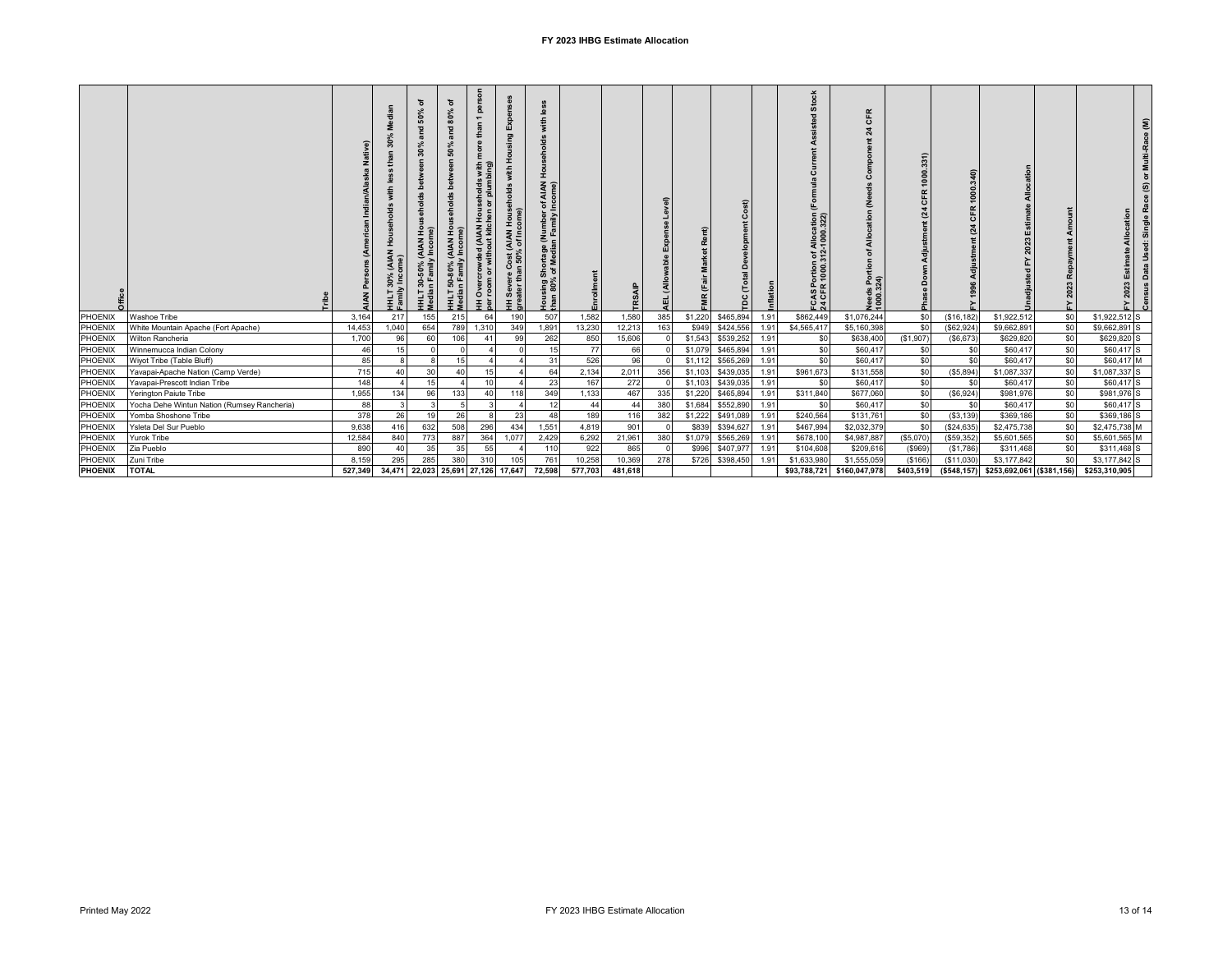|                           |                                               |           | Family Income) | ō<br>ာ<br>- 30-50% (AIAN<br>an Family Incor<br>≣≹ | ৳<br>80%<br>$\boldsymbol{\sigma}$<br>ន្ល<br>HHLT 50-80% (AIAN Ho<br>Median Family Income) | ō.<br>ဋ<br>ds with<br>mbing)<br>naig<br>P<br>ិ<br>Overcrowded (AIAN Hou<br>room or without kitchen<br>$\equiv$ $\frac{1}{2}$ | 四<br>eholds<br>HH Severe Cost (AIAN Hous<br>greater than 50% of Income) | with<br><b>Told</b><br>운<br>AIAN<br>ome)<br>sing Shortage (Number of<br>80% of Median Family Inc<br>than |              |            | ਛ          |                    | St)<br>(Total          |              | ocation<br>00.322)<br>rtion<br>000.3 | CFR<br>ನ<br>Need:<br>1000. | 331)<br>8<br>$\mathbf{N}$ | ຣ                         | <b>Allo</b><br>Estimate<br>23<br>ន |            | ă<br>Estima<br>2023          | ີ້ທ |
|---------------------------|-----------------------------------------------|-----------|----------------|---------------------------------------------------|-------------------------------------------------------------------------------------------|------------------------------------------------------------------------------------------------------------------------------|-------------------------------------------------------------------------|----------------------------------------------------------------------------------------------------------|--------------|------------|------------|--------------------|------------------------|--------------|--------------------------------------|----------------------------|---------------------------|---------------------------|------------------------------------|------------|------------------------------|-----|
| <b>PHOENIX</b>            | Washoe Tribe                                  | 3,164     | 217            | 155                                               | 215                                                                                       | 64                                                                                                                           | 190                                                                     | 507                                                                                                      | 1,582        | 1,580      | 385        | \$1,220            | \$465,894              | 1.91         | \$862,449                            | \$1,076,244                | \$0                       | (\$16, 182)               | \$1,922,512                        | \$0        | \$1,922,512 S                |     |
| PHOENIX                   | White Mountain Apache (Fort Apache)           | 14,453    | 1,040          | 654                                               | 789                                                                                       | 1,310                                                                                                                        | 349                                                                     | 1,891                                                                                                    | 13,230       | 12,213     | 163        | \$949              | \$424,556              | 1.91         | \$4,565,417                          | \$5,160,398                | \$0                       | (\$62,924)                | \$9,662,891                        | \$0        | \$9,662,891 S                |     |
| PHOENIX                   | Wilton Rancheria                              | 1,700     | 96             | 60                                                | 106                                                                                       | 41                                                                                                                           | 99                                                                      | 262                                                                                                      | 850          | 15,606     |            | \$1,543            | \$539,252              | 1.91         | \$0                                  | \$638,400                  | (\$1,907)                 | (\$6,673)                 | \$629,820                          | \$0        | \$629,820 S                  |     |
| PHOENIX                   | Winnemucca Indian Colony                      | 46        | 15             |                                                   | $\Omega$                                                                                  |                                                                                                                              |                                                                         | 15                                                                                                       | 77           | 66         |            | \$1,079            | \$465,894              | 1.91         | \$0                                  | \$60,417                   | \$0                       | \$0                       | \$60,417                           | \$0        | \$60,417 S                   |     |
| PHOENIX                   | Wiyot Tribe (Table Bluff)                     | 85        |                |                                                   | 15                                                                                        | $\overline{A}$                                                                                                               |                                                                         | 31                                                                                                       | 526          | 96         |            | \$1,112            | \$565,269              | 1.91         | \$0                                  | \$60,417                   | \$0                       | \$0                       | \$60,417                           | \$0        | \$60,417 M                   |     |
| PHOENIX                   | Yavapai-Apache Nation (Camp Verde)            | 715       | 40             | 30                                                | 40                                                                                        | 15                                                                                                                           |                                                                         | 64                                                                                                       | 2,134        | 2,011      | 356        | \$1,103            | \$439,035              | 1.91         | \$961,673                            | \$131,558                  | \$0                       | (\$5,894)                 | \$1,087,337                        | \$0        | \$1,087,337 S                |     |
| <b>PHOENIX</b><br>PHOENIX | Yavapai-Prescott Indian Tribe                 | 148       |                | 15                                                |                                                                                           | 10<br>40                                                                                                                     |                                                                         | 23<br>349                                                                                                | 167          | 272        |            | \$1,103            | \$439,035              | 1.91         | \$0                                  | \$60,417                   | \$0                       | \$0                       | \$60,417                           | \$0        | \$60,417 S                   |     |
|                           | Yerington Paiute Tribe                        | 1,955     | 134            | 96                                                | 133                                                                                       |                                                                                                                              | 118                                                                     |                                                                                                          | 1,133        | 467<br>44  | 335        | \$1,220            | \$465,894              | 1.91         | \$311,840<br>\$0                     | \$677,060                  | \$0                       | (S6, 924)                 | \$981,976<br>\$60,417              | \$0        | \$981,976 S                  |     |
| PHOENIX                   | Yocha Dehe Wintun Nation (Rumsey Rancheria)   | 88<br>378 | 26             |                                                   | 26                                                                                        |                                                                                                                              |                                                                         | 12<br>48                                                                                                 | 44           |            | 380<br>382 | \$1,684<br>\$1,222 | \$552,890              | 1.91         | \$240,564                            | \$60,417<br>\$131,761      | \$0                       | \$0                       | \$369,186                          | \$0        | \$60,417 S                   |     |
| PHOENIX<br>PHOENIX        | Yomba Shoshone Tribe<br>Ysleta Del Sur Pueblo | 9,638     | 416            | 19<br>632                                         |                                                                                           |                                                                                                                              | 23                                                                      | 1,551                                                                                                    | 189<br>4,819 | 116<br>901 |            | \$839              | \$491,089              | 1.91<br>1.91 | \$467,994                            |                            | \$0<br>\$0                | ( \$3, 139)<br>(\$24,635) | \$2,475,738                        | \$0<br>\$0 | \$369,186 S<br>\$2,475,738 M |     |
| PHOENIX                   | <b>Yurok Tribe</b>                            | 12,584    | 840            | 773                                               | 508<br>887                                                                                | 296<br>364                                                                                                                   | 434<br>1,077                                                            | 2,429                                                                                                    | 6,292        | 21,961     | 380        | \$1,079            | \$394,627<br>\$565,269 | 1.91         | \$678,100                            | \$2,032,379<br>\$4,987,887 | (\$5,070                  | (\$59,352)                | \$5,601,565                        | \$0        | \$5,601,565 M                |     |
| PHOENIX                   | Zia Pueblo                                    | 890       | 40             | 35                                                | 35                                                                                        | 55                                                                                                                           |                                                                         | 110                                                                                                      | 922          | 865        |            | \$996              | \$407,977              | 1.91         | \$104,608                            | \$209,61                   | (\$969)                   | (S1,786)                  | \$311,468                          | \$0        | \$311,468 S                  |     |
| PHOENIX                   | Zuni Tribe                                    | 8,159     | 295            | 285                                               | 380                                                                                       | 310                                                                                                                          | 105                                                                     | 761                                                                                                      | 10,258       | 10,369     | 278        | \$726              | \$398,450              | 1.91         | \$1,633,980                          | \$1,555,059                | ( \$166)                  | (\$11,030)                | \$3,177,842                        | \$0        | \$3,177,842 S                |     |
| <b>PHOENIX</b>            | <b>TOTAL</b>                                  | 527,349   | 34,471         |                                                   | 22,023 25,691 27,126                                                                      |                                                                                                                              | 17,647                                                                  | 72,598                                                                                                   | 577,703      | 481,618    |            |                    |                        |              | \$93,788,721                         | \$160,047,978              | \$403,519                 | (\$548, 157)              | \$253,692,061 (\$381,156)          |            | \$253,310,905                |     |